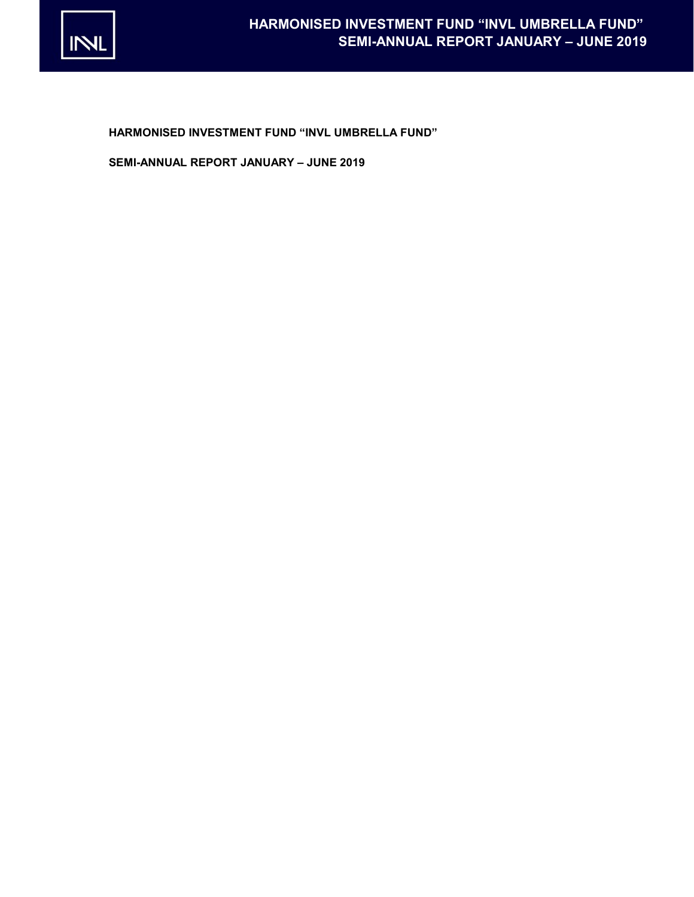

HARMONISED INVESTMENT FUND "INVL UMBRELLA FUND"

SEMI-ANNUAL REPORT JANUARY – JUNE 2019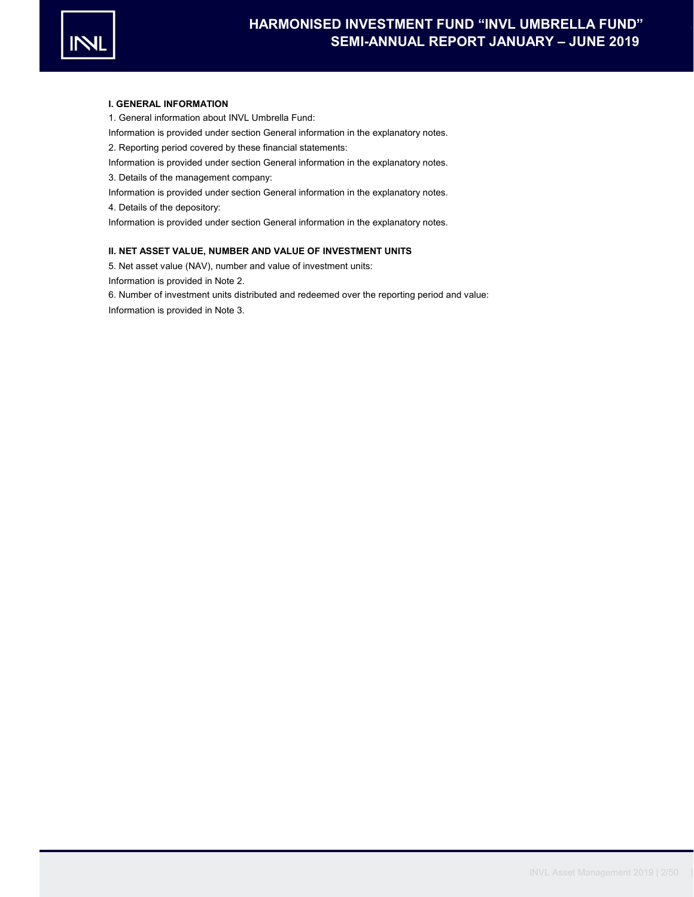

#### I. GENERAL INFORMATION

1. General information about INVL Umbrella Fund:

Information is provided under section General information in the explanatory notes.

2. Reporting period covered by these financial statements:

- Information is provided under section General information in the explanatory notes.
- 3. Details of the management company:
- Information is provided under section General information in the explanatory notes.

4. Details of the depository:

Information is provided under section General information in the explanatory notes.

### II. NET ASSET VALUE, NUMBER AND VALUE OF INVESTMENT UNITS

5. Net asset value (NAV), number and value of investment units:

Information is provided in Note 2.

6. Number of investment units distributed and redeemed over the reporting period and value:

Information is provided in Note 3.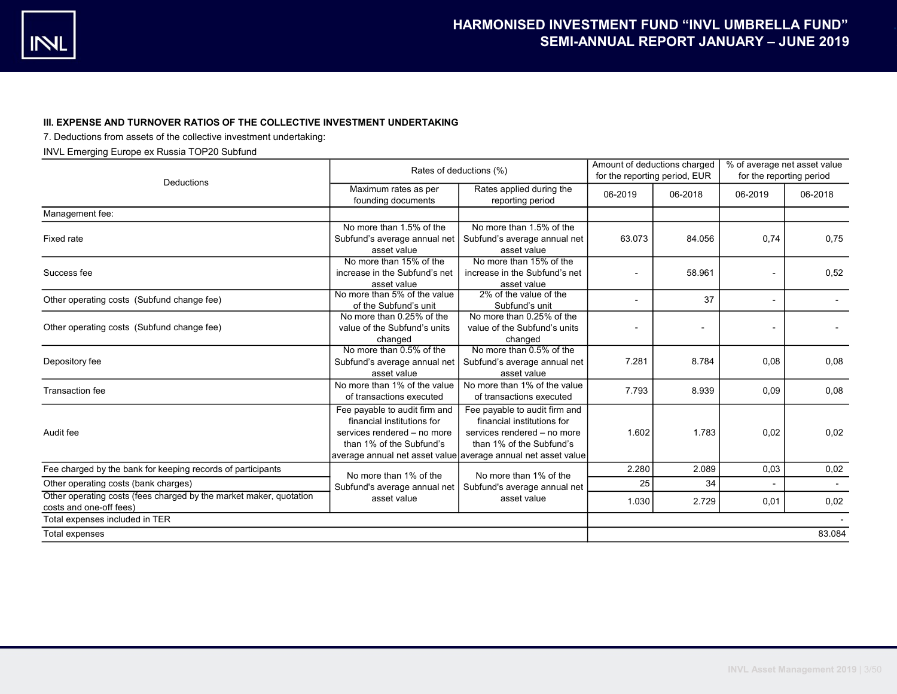## III. EXPENSE AND TURNOVER RATIOS OF THE COLLECTIVE INVESTMENT UNDERTAKING

7. Deductions from assets of the collective investment undertaking:

## INVL Emerging Europe ex Russia TOP20 Subfund

| Deductions                                                                                    | Rates of deductions (%)                                                                                                | Amount of deductions charged<br>for the reporting period, EUR                                                                                                                           |         | % of average net asset value<br>for the reporting period |         |         |
|-----------------------------------------------------------------------------------------------|------------------------------------------------------------------------------------------------------------------------|-----------------------------------------------------------------------------------------------------------------------------------------------------------------------------------------|---------|----------------------------------------------------------|---------|---------|
|                                                                                               | Maximum rates as per<br>founding documents                                                                             | Rates applied during the<br>reporting period                                                                                                                                            | 06-2019 | 06-2018                                                  | 06-2019 | 06-2018 |
| Management fee:                                                                               |                                                                                                                        |                                                                                                                                                                                         |         |                                                          |         |         |
| Fixed rate                                                                                    | No more than 1.5% of the<br>Subfund's average annual net<br>asset value                                                | No more than 1.5% of the<br>Subfund's average annual net<br>asset value                                                                                                                 | 63.073  | 84.056                                                   | 0,74    | 0,75    |
| Success fee                                                                                   | No more than 15% of the<br>increase in the Subfund's net<br>asset value                                                | No more than 15% of the<br>increase in the Subfund's net<br>asset value                                                                                                                 |         | 58.961                                                   |         | 0,52    |
| Other operating costs (Subfund change fee)                                                    | No more than 5% of the value<br>of the Subfund's unit                                                                  | 2% of the value of the<br>Subfund's unit                                                                                                                                                |         | 37                                                       |         |         |
| Other operating costs (Subfund change fee)                                                    | No more than 0.25% of the<br>value of the Subfund's units<br>changed                                                   | No more than 0.25% of the<br>value of the Subfund's units<br>changed                                                                                                                    |         |                                                          |         |         |
| Depository fee                                                                                | No more than 0.5% of the<br>Subfund's average annual net<br>asset value                                                | No more than 0.5% of the<br>Subfund's average annual net<br>asset value                                                                                                                 | 7.281   | 8.784                                                    | 0,08    | 0,08    |
| <b>Transaction fee</b>                                                                        | No more than 1% of the value<br>of transactions executed                                                               | No more than 1% of the value<br>of transactions executed                                                                                                                                | 7.793   | 8.939                                                    | 0,09    | 0,08    |
| Audit fee                                                                                     | Fee payable to audit firm and<br>financial institutions for<br>services rendered - no more<br>than 1% of the Subfund's | Fee payable to audit firm and<br>financial institutions for<br>services rendered - no more<br>than 1% of the Subfund's<br>average annual net asset value average annual net asset value | 1.602   | 1.783                                                    | 0,02    | 0,02    |
| Fee charged by the bank for keeping records of participants                                   | No more than 1% of the                                                                                                 | No more than 1% of the                                                                                                                                                                  | 2.280   | 2.089                                                    | 0,03    | 0,02    |
| Other operating costs (bank charges)                                                          | Subfund's average annual net                                                                                           | Subfund's average annual net                                                                                                                                                            | 25      | 34                                                       |         |         |
| Other operating costs (fees charged by the market maker, quotation<br>costs and one-off fees) | asset value                                                                                                            | asset value                                                                                                                                                                             | 1.030   | 2.729                                                    | 0,01    | 0,02    |
| Total expenses included in TER                                                                |                                                                                                                        |                                                                                                                                                                                         |         |                                                          |         |         |
| Total expenses                                                                                |                                                                                                                        |                                                                                                                                                                                         |         |                                                          |         | 83.084  |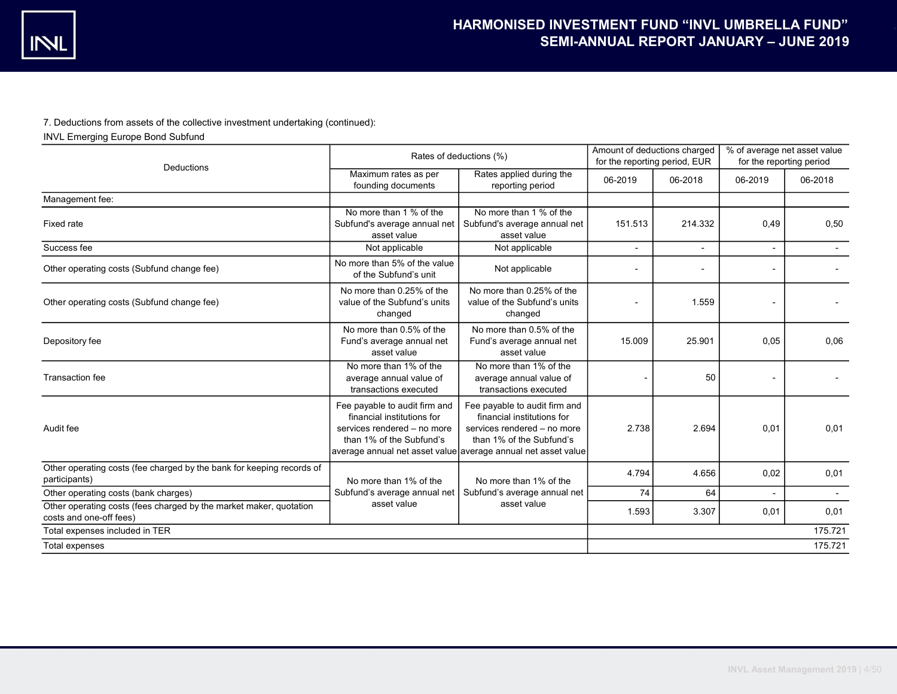## 7. Deductions from assets of the collective investment undertaking (continued):

INVL Emerging Europe Bond Subfund

|                                                                                               | Rates of deductions (%)                                                                                                                                                                 | Amount of deductions charged<br>for the reporting period, EUR                                                          |                | % of average net asset value<br>for the reporting period |         |         |
|-----------------------------------------------------------------------------------------------|-----------------------------------------------------------------------------------------------------------------------------------------------------------------------------------------|------------------------------------------------------------------------------------------------------------------------|----------------|----------------------------------------------------------|---------|---------|
| Deductions                                                                                    | Maximum rates as per<br>founding documents                                                                                                                                              | Rates applied during the<br>reporting period                                                                           | 06-2019        | 06-2018                                                  | 06-2019 | 06-2018 |
| Management fee:                                                                               |                                                                                                                                                                                         |                                                                                                                        |                |                                                          |         |         |
| Fixed rate                                                                                    | No more than 1 % of the<br>Subfund's average annual net<br>asset value                                                                                                                  | No more than 1 % of the<br>Subfund's average annual net<br>asset value                                                 | 151.513        | 214.332                                                  | 0,49    | 0,50    |
| Success fee                                                                                   | Not applicable                                                                                                                                                                          | Not applicable                                                                                                         | $\overline{a}$ |                                                          |         |         |
| Other operating costs (Subfund change fee)                                                    | No more than 5% of the value<br>of the Subfund's unit                                                                                                                                   | Not applicable                                                                                                         |                |                                                          |         |         |
| Other operating costs (Subfund change fee)                                                    | No more than 0.25% of the<br>value of the Subfund's units<br>changed                                                                                                                    | No more than 0.25% of the<br>value of the Subfund's units<br>changed                                                   |                | 1.559                                                    |         |         |
| Depository fee                                                                                | No more than 0.5% of the<br>Fund's average annual net<br>asset value                                                                                                                    | No more than 0.5% of the<br>Fund's average annual net<br>asset value                                                   | 15.009         | 25.901                                                   | 0.05    | 0,06    |
| Transaction fee                                                                               | No more than 1% of the<br>average annual value of<br>transactions executed                                                                                                              | No more than 1% of the<br>average annual value of<br>transactions executed                                             |                | 50                                                       |         |         |
| Audit fee                                                                                     | Fee payable to audit firm and<br>financial institutions for<br>services rendered - no more<br>than 1% of the Subfund's<br>average annual net asset value average annual net asset value | Fee payable to audit firm and<br>financial institutions for<br>services rendered - no more<br>than 1% of the Subfund's | 2.738          | 2.694                                                    | 0,01    | 0,01    |
| Other operating costs (fee charged by the bank for keeping records of<br>participants)        | No more than 1% of the                                                                                                                                                                  | No more than 1% of the                                                                                                 | 4.794          | 4.656                                                    | 0,02    | 0,01    |
| Other operating costs (bank charges)                                                          | Subfund's average annual net                                                                                                                                                            | Subfund's average annual net                                                                                           | 74             | 64                                                       |         |         |
| Other operating costs (fees charged by the market maker, quotation<br>costs and one-off fees) | asset value                                                                                                                                                                             | asset value                                                                                                            | 1.593          | 3.307                                                    | 0,01    | 0,01    |
| Total expenses included in TER                                                                |                                                                                                                                                                                         |                                                                                                                        |                |                                                          |         | 175.721 |
| Total expenses                                                                                |                                                                                                                                                                                         |                                                                                                                        |                |                                                          |         | 175.721 |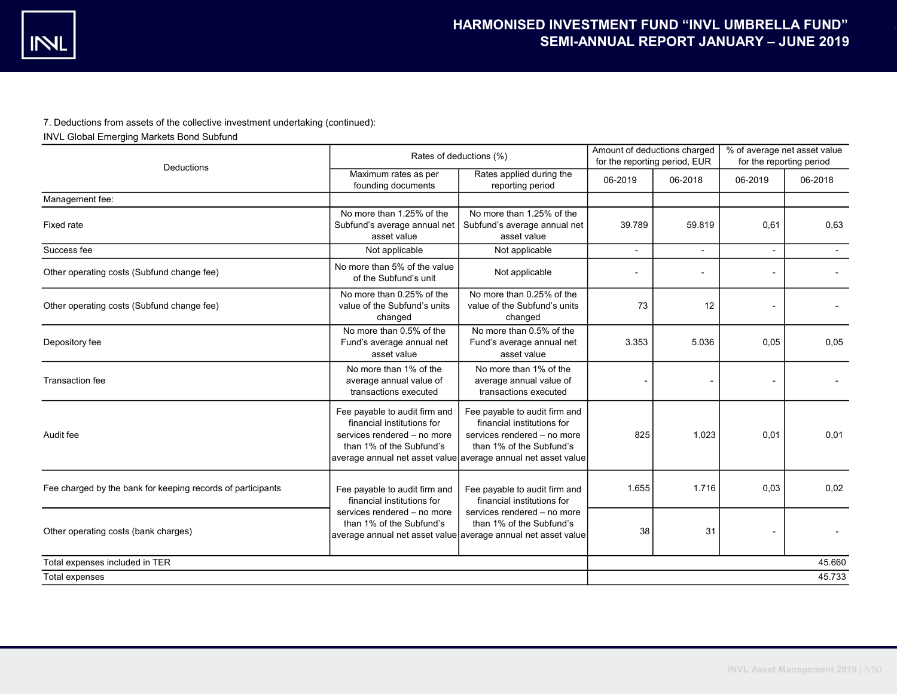## 7. Deductions from assets of the collective investment undertaking (continued):

INVL Global Emerging Markets Bond Subfund

|                                                             | Rates of deductions (%)                                                                                                                                                                                                                                                                                           | Amount of deductions charged<br>for the reporting period, EUR                                                            |                          | % of average net asset value<br>for the reporting period |         |         |
|-------------------------------------------------------------|-------------------------------------------------------------------------------------------------------------------------------------------------------------------------------------------------------------------------------------------------------------------------------------------------------------------|--------------------------------------------------------------------------------------------------------------------------|--------------------------|----------------------------------------------------------|---------|---------|
| Deductions                                                  | Maximum rates as per<br>founding documents                                                                                                                                                                                                                                                                        | Rates applied during the<br>reporting period                                                                             | 06-2019                  | 06-2018                                                  | 06-2019 | 06-2018 |
| Management fee:                                             |                                                                                                                                                                                                                                                                                                                   |                                                                                                                          |                          |                                                          |         |         |
| Fixed rate                                                  | No more than 1.25% of the<br>Subfund's average annual net<br>asset value                                                                                                                                                                                                                                          | No more than 1.25% of the<br>Subfund's average annual net<br>asset value                                                 | 39.789                   | 59.819                                                   | 0,61    | 0.63    |
| Success fee                                                 | Not applicable                                                                                                                                                                                                                                                                                                    | Not applicable                                                                                                           | $\overline{a}$           | $\blacksquare$                                           |         |         |
| Other operating costs (Subfund change fee)                  | No more than 5% of the value<br>of the Subfund's unit                                                                                                                                                                                                                                                             | Not applicable                                                                                                           | $\overline{\phantom{a}}$ | $\overline{\phantom{a}}$                                 |         |         |
| Other operating costs (Subfund change fee)                  | No more than 0.25% of the<br>value of the Subfund's units<br>changed                                                                                                                                                                                                                                              | No more than 0.25% of the<br>value of the Subfund's units<br>changed                                                     | 73                       | 12                                                       |         |         |
| Depository fee                                              | No more than 0.5% of the<br>Fund's average annual net<br>asset value                                                                                                                                                                                                                                              | No more than 0.5% of the<br>Fund's average annual net<br>asset value                                                     | 3.353                    | 5.036                                                    | 0,05    | 0,05    |
| Transaction fee                                             | No more than 1% of the<br>average annual value of<br>transactions executed                                                                                                                                                                                                                                        | No more than 1% of the<br>average annual value of<br>transactions executed                                               |                          |                                                          |         |         |
| Audit fee                                                   | Fee payable to audit firm and<br>Fee payable to audit firm and<br>financial institutions for<br>financial institutions for<br>services rendered - no more<br>services rendered - no more<br>than 1% of the Subfund's<br>than 1% of the Subfund's<br>average annual net asset value average annual net asset value |                                                                                                                          | 825                      | 1.023                                                    | 0,01    | 0,01    |
| Fee charged by the bank for keeping records of participants | Fee payable to audit firm and<br>financial institutions for                                                                                                                                                                                                                                                       | Fee payable to audit firm and<br>financial institutions for                                                              | 1.655                    | 1.716                                                    | 0.03    | 0.02    |
| Other operating costs (bank charges)                        | services rendered - no more<br>than 1% of the Subfund's                                                                                                                                                                                                                                                           | services rendered - no more<br>than 1% of the Subfund's<br>average annual net asset value average annual net asset value | 38                       | 31                                                       |         |         |
| Total expenses included in TER                              |                                                                                                                                                                                                                                                                                                                   |                                                                                                                          |                          |                                                          |         | 45.660  |
| Total expenses                                              |                                                                                                                                                                                                                                                                                                                   |                                                                                                                          |                          |                                                          |         | 45.733  |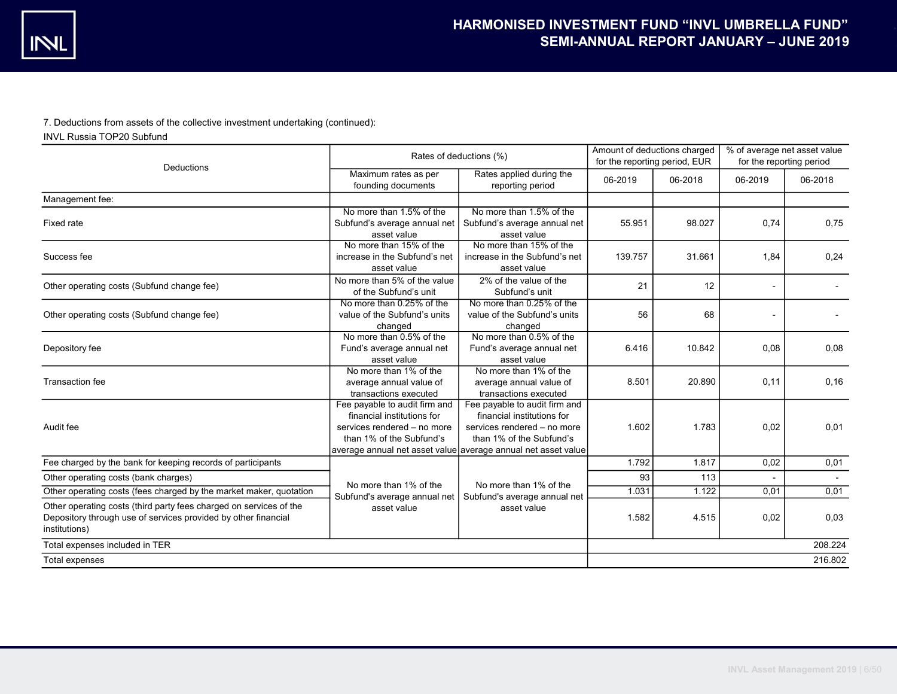7. Deductions from assets of the collective investment undertaking (continued):

INVL Russia TOP20 Subfund

|                                                                                                                                                       | Rates of deductions (%)                                                                                                | Amount of deductions charged<br>for the reporting period, EUR                                                                                                                           |         | % of average net asset value<br>for the reporting period |         |         |
|-------------------------------------------------------------------------------------------------------------------------------------------------------|------------------------------------------------------------------------------------------------------------------------|-----------------------------------------------------------------------------------------------------------------------------------------------------------------------------------------|---------|----------------------------------------------------------|---------|---------|
| Deductions                                                                                                                                            | Maximum rates as per<br>founding documents                                                                             | Rates applied during the<br>reporting period                                                                                                                                            | 06-2019 | 06-2018                                                  | 06-2019 | 06-2018 |
| Management fee:                                                                                                                                       |                                                                                                                        |                                                                                                                                                                                         |         |                                                          |         |         |
| <b>Fixed rate</b>                                                                                                                                     | No more than 1.5% of the<br>Subfund's average annual net<br>asset value                                                | No more than 1.5% of the<br>Subfund's average annual net<br>asset value                                                                                                                 | 55.951  | 98.027                                                   | 0.74    | 0,75    |
| Success fee                                                                                                                                           | No more than 15% of the<br>increase in the Subfund's net<br>asset value                                                | No more than 15% of the<br>increase in the Subfund's net<br>asset value                                                                                                                 | 139.757 | 31.661                                                   | 1,84    | 0,24    |
| Other operating costs (Subfund change fee)                                                                                                            | No more than 5% of the value<br>of the Subfund's unit                                                                  | 2% of the value of the<br>Subfund's unit                                                                                                                                                | 21      | 12                                                       |         |         |
| Other operating costs (Subfund change fee)                                                                                                            | No more than 0.25% of the<br>value of the Subfund's units<br>changed                                                   | No more than 0.25% of the<br>value of the Subfund's units<br>changed                                                                                                                    | 56      | 68                                                       |         |         |
| Depository fee                                                                                                                                        | No more than 0.5% of the<br>Fund's average annual net<br>asset value                                                   | No more than 0.5% of the<br>Fund's average annual net<br>asset value                                                                                                                    | 6.416   | 10.842                                                   | 0,08    | 0,08    |
| <b>Transaction fee</b>                                                                                                                                | No more than 1% of the<br>average annual value of<br>transactions executed                                             | No more than 1% of the<br>average annual value of<br>transactions executed                                                                                                              | 8.501   | 20.890                                                   | 0,11    | 0, 16   |
| Audit fee                                                                                                                                             | Fee payable to audit firm and<br>financial institutions for<br>services rendered - no more<br>than 1% of the Subfund's | Fee payable to audit firm and<br>financial institutions for<br>services rendered - no more<br>than 1% of the Subfund's<br>average annual net asset value average annual net asset value | 1.602   | 1.783                                                    | 0,02    | 0,01    |
| Fee charged by the bank for keeping records of participants                                                                                           |                                                                                                                        |                                                                                                                                                                                         | 1.792   | 1.817                                                    | 0,02    | 0,01    |
| Other operating costs (bank charges)                                                                                                                  |                                                                                                                        |                                                                                                                                                                                         | 93      | 113                                                      |         |         |
| Other operating costs (fees charged by the market maker, quotation                                                                                    | No more than 1% of the<br>Subfund's average annual net                                                                 | No more than 1% of the<br>Subfund's average annual net                                                                                                                                  | 1.031   | 1.122                                                    | 0,01    | 0,01    |
| Other operating costs (third party fees charged on services of the<br>Depository through use of services provided by other financial<br>institutions) | asset value                                                                                                            | asset value                                                                                                                                                                             | 1.582   | 4.515                                                    | 0,02    | 0.03    |
| Total expenses included in TER                                                                                                                        |                                                                                                                        |                                                                                                                                                                                         |         |                                                          |         | 208.224 |
| Total expenses                                                                                                                                        |                                                                                                                        |                                                                                                                                                                                         |         |                                                          |         | 216.802 |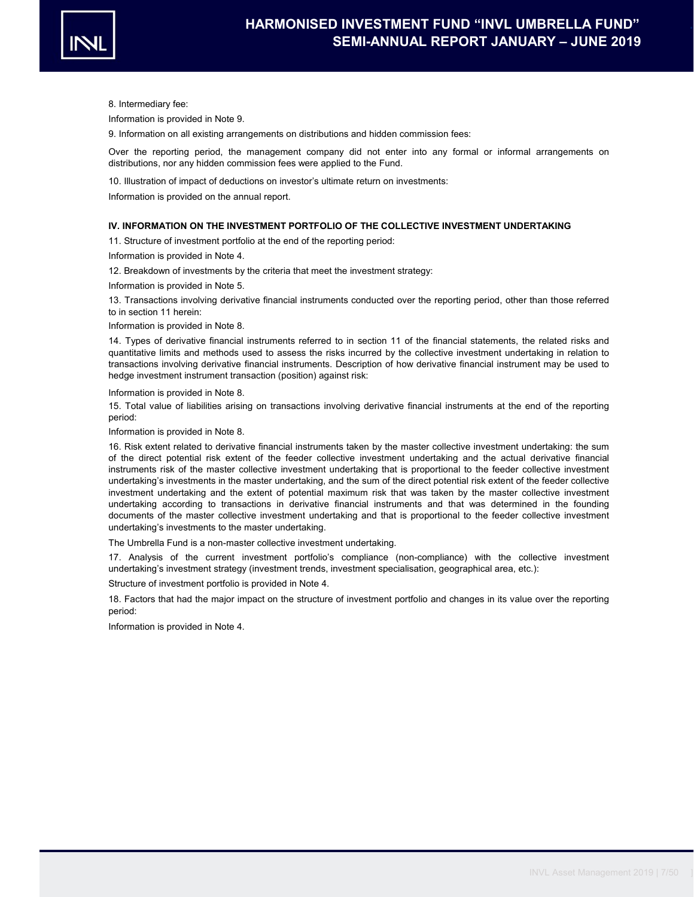

8. Intermediary fee:

Information is provided in Note 9.

9. Information on all existing arrangements on distributions and hidden commission fees:

Over the reporting period, the management company did not enter into any formal or informal arrangements on distributions, nor any hidden commission fees were applied to the Fund.

10. Illustration of impact of deductions on investor's ultimate return on investments:

Information is provided on the annual report.

#### IV. INFORMATION ON THE INVESTMENT PORTFOLIO OF THE COLLECTIVE INVESTMENT UNDERTAKING

11. Structure of investment portfolio at the end of the reporting period:

Information is provided in Note 4.

12. Breakdown of investments by the criteria that meet the investment strategy:

Information is provided in Note 5.

13. Transactions involving derivative financial instruments conducted over the reporting period, other than those referred to in section 11 herein:

Information is provided in Note 8.

14. Types of derivative financial instruments referred to in section 11 of the financial statements, the related risks and quantitative limits and methods used to assess the risks incurred by the collective investment undertaking in relation to transactions involving derivative financial instruments. Description of how derivative financial instrument may be used to hedge investment instrument transaction (position) against risk:

Information is provided in Note 8.

15. Total value of liabilities arising on transactions involving derivative financial instruments at the end of the reporting period:

Information is provided in Note 8.

16. Risk extent related to derivative financial instruments taken by the master collective investment undertaking: the sum of the direct potential risk extent of the feeder collective investment undertaking and the actual derivative financial instruments risk of the master collective investment undertaking that is proportional to the feeder collective investment undertaking's investments in the master undertaking, and the sum of the direct potential risk extent of the feeder collective investment undertaking and the extent of potential maximum risk that was taken by the master collective investment undertaking according to transactions in derivative financial instruments and that was determined in the founding documents of the master collective investment undertaking and that is proportional to the feeder collective investment undertaking's investments to the master undertaking.

The Umbrella Fund is a non-master collective investment undertaking.

17. Analysis of the current investment portfolio's compliance (non-compliance) with the collective investment undertaking's investment strategy (investment trends, investment specialisation, geographical area, etc.):

Structure of investment portfolio is provided in Note 4.

18. Factors that had the major impact on the structure of investment portfolio and changes in its value over the reporting period:

Information is provided in Note 4.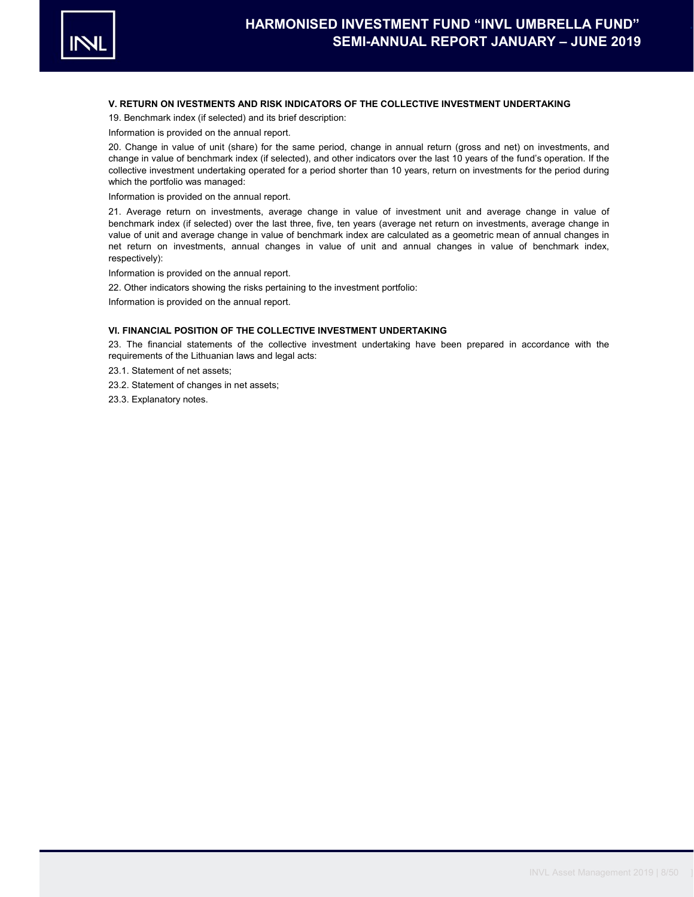

### V. RETURN ON IVESTMENTS AND RISK INDICATORS OF THE COLLECTIVE INVESTMENT UNDERTAKING

19. Benchmark index (if selected) and its brief description:

Information is provided on the annual report.

20. Change in value of unit (share) for the same period, change in annual return (gross and net) on investments, and change in value of benchmark index (if selected), and other indicators over the last 10 years of the fund's operation. If the collective investment undertaking operated for a period shorter than 10 years, return on investments for the period during which the portfolio was managed:

Information is provided on the annual report.

21. Average return on investments, average change in value of investment unit and average change in value of benchmark index (if selected) over the last three, five, ten years (average net return on investments, average change in value of unit and average change in value of benchmark index are calculated as a geometric mean of annual changes in net return on investments, annual changes in value of unit and annual changes in value of benchmark index, respectively):

Information is provided on the annual report.

22. Other indicators showing the risks pertaining to the investment portfolio:

Information is provided on the annual report.

## VI. FINANCIAL POSITION OF THE COLLECTIVE INVESTMENT UNDERTAKING

23. The financial statements of the collective investment undertaking have been prepared in accordance with the requirements of the Lithuanian laws and legal acts:

23.1. Statement of net assets;

- 23.2. Statement of changes in net assets;
- 23.3. Explanatory notes.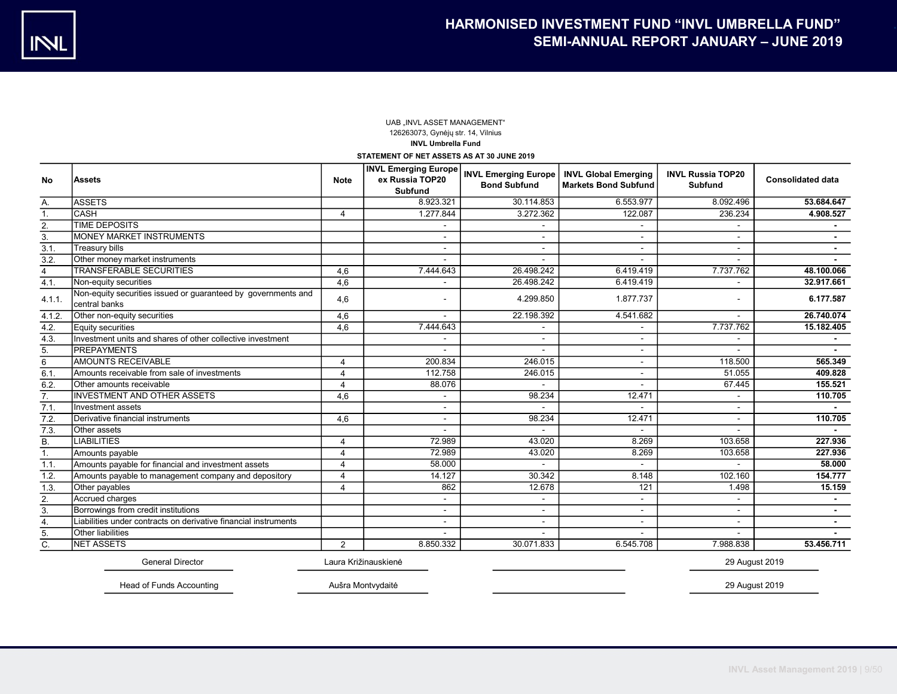## UAB ..INVL ASSET MANAGEMENT" 126263073, Gynėjų str. 14, Vilnius INVL Umbrella Fund

STATEMENT OF NET ASSETS AS AT 30 JUNE 2019

| <b>No</b>        | <b>Assets</b>                                                                  | <b>Note</b>           | <b>INVL Emerging Europe</b><br>ex Russia TOP20<br><b>Subfund</b> | <b>Bond Subfund</b> | INVL Emerging Europe   INVL Global Emerging<br><b>Markets Bond Subfund</b> | <b>INVL Russia TOP20</b><br><b>Subfund</b> | <b>Consolidated data</b> |
|------------------|--------------------------------------------------------------------------------|-----------------------|------------------------------------------------------------------|---------------------|----------------------------------------------------------------------------|--------------------------------------------|--------------------------|
| Α.               | <b>ASSETS</b>                                                                  |                       | 8.923.321                                                        | 30.114.853          | 6.553.977                                                                  | 8.092.496                                  | 53.684.647               |
| $\mathbf{1}$ .   | <b>CASH</b>                                                                    | 4                     | 1.277.844                                                        | 3.272.362           | 122.087                                                                    | 236.234                                    | 4.908.527                |
| 2.               | <b>TIME DEPOSITS</b>                                                           |                       |                                                                  |                     |                                                                            |                                            |                          |
| 3.               | <b>MONEY MARKET INSTRUMENTS</b>                                                |                       |                                                                  | $\sim$              |                                                                            | $\sim$                                     |                          |
| 3.1.             | Treasury bills                                                                 |                       |                                                                  | $\blacksquare$      |                                                                            | $\sim$                                     |                          |
| 3.2.             | Other money market instruments                                                 |                       |                                                                  |                     |                                                                            | $\sim$                                     |                          |
| $\overline{4}$   | <b>TRANSFERABLE SECURITIES</b>                                                 | 4,6                   | 7.444.643                                                        | 26.498.242          | 6.419.419                                                                  | 7.737.762                                  | 48.100.066               |
| 4.1.             | Non-equity securities                                                          | 4,6                   | $\sim$                                                           | 26.498.242          | 6.419.419                                                                  | $\overline{\phantom{a}}$                   | 32.917.661               |
| 4.1.1            | Non-equity securities issued or guaranteed by governments and<br>central banks | 4,6                   |                                                                  | 4.299.850           | 1.877.737                                                                  | $\overline{\phantom{a}}$                   | 6.177.587                |
| 4.1.2.           | Other non-equity securities                                                    | 4,6                   |                                                                  | 22.198.392          | 4.541.682                                                                  |                                            | 26.740.074               |
| 4.2.             | Equity securities                                                              | 4,6                   | 7.444.643                                                        |                     |                                                                            | 7.737.762                                  | 15.182.405               |
| 4.3.             | Investment units and shares of other collective investment                     |                       |                                                                  | $\blacksquare$      | ÷.                                                                         |                                            |                          |
| 5.               | <b>PREPAYMENTS</b>                                                             |                       |                                                                  |                     |                                                                            |                                            |                          |
| 6                | AMOUNTS RECEIVABLE                                                             | $\overline{4}$        | 200.834                                                          | 246.015             | $\sim$                                                                     | 118.500                                    | 565.349                  |
| 6.1              | Amounts receivable from sale of investments                                    | $\boldsymbol{\Delta}$ | 112.758                                                          | 246.015             | $\sim$                                                                     | 51.055                                     | 409.828                  |
| 6.2.             | Other amounts receivable                                                       | 4                     | 88.076                                                           |                     |                                                                            | 67.445                                     | 155.521                  |
| 7.               | <b>INVESTMENT AND OTHER ASSETS</b>                                             | 4,6                   | $\blacksquare$                                                   | 98.234              | 12.471                                                                     | $\blacksquare$                             | 110.705                  |
| 7.1.             | Investment assets                                                              |                       |                                                                  |                     | ٠                                                                          | $\overline{\phantom{a}}$                   |                          |
| 7.2.             | Derivative financial instruments                                               | 4.6                   |                                                                  | 98.234              | 12.471                                                                     | $\overline{\phantom{a}}$                   | 110.705                  |
| 7.3.             | Other assets                                                                   |                       |                                                                  |                     |                                                                            |                                            |                          |
| $\overline{B}$ . | <b>LIABILITIES</b>                                                             | $\boldsymbol{\Delta}$ | 72.989                                                           | 43.020              | 8.269                                                                      | 103.658                                    | 227.936                  |
| 1.               | Amounts payable                                                                | 4                     | 72.989                                                           | 43.020              | 8.269                                                                      | 103.658                                    | 227.936                  |
| 1.1.             | Amounts payable for financial and investment assets                            | $\Delta$              | 58.000                                                           |                     |                                                                            |                                            | 58.000                   |
| 1.2.             | Amounts payable to management company and depository                           | $\overline{4}$        | 14.127                                                           | 30.342              | 8.148                                                                      | 102.160                                    | 154,777                  |
| 1.3.             | Other payables                                                                 | $\overline{4}$        | 862                                                              | 12.678              | 121                                                                        | 1.498                                      | 15.159                   |
| 2.               | Accrued charges                                                                |                       |                                                                  |                     |                                                                            | $\sim$                                     |                          |
| 3.               | Borrowings from credit institutions                                            |                       |                                                                  | $\blacksquare$      |                                                                            | $\blacksquare$                             |                          |
| 4.               | Liabilities under contracts on derivative financial instruments                |                       |                                                                  | $\blacksquare$      |                                                                            | $\overline{\phantom{a}}$                   |                          |
| 5.               | Other liabilities                                                              |                       |                                                                  |                     |                                                                            |                                            |                          |
| C.               | <b>NET ASSETS</b>                                                              | $\overline{2}$        | 8.850.332                                                        | 30.071.833          | 6.545.708                                                                  | 7.988.838                                  | 53.456.711               |

General Director

Laura Križinauskienė

29 August 2019

Head of Funds Accounting

Aušra Montvydaitė

29 August 2019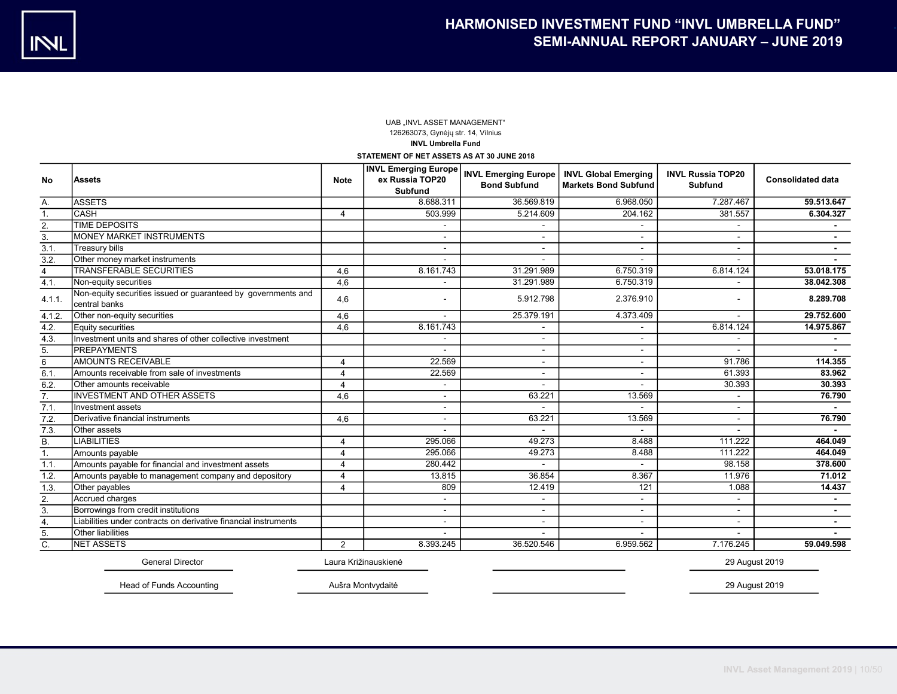## UAB ..INVL ASSET MANAGEMENT" 126263073, Gynėjų str. 14, Vilnius INVL Umbrella Fund

STATEMENT OF NET ASSETS AS AT 30 JUNE 2018

|                  |                                                                                | <b>Note</b>           |                | INVL Emerging Europe   INVL Emerging Europe   INVL Global Emerging |                             | <b>INVL Russia TOP20</b> | <b>Consolidated data</b> |  |
|------------------|--------------------------------------------------------------------------------|-----------------------|----------------|--------------------------------------------------------------------|-----------------------------|--------------------------|--------------------------|--|
| <b>No</b>        | <b>Assets</b>                                                                  |                       | <b>Subfund</b> | <b>Bond Subfund</b>                                                | <b>Markets Bond Subfund</b> | <b>Subfund</b>           |                          |  |
| А.               | <b>ASSETS</b>                                                                  |                       | 8.688.311      | 36.569.819                                                         | 6.968.050                   | 7.287.467                | 59.513.647               |  |
| 1.               | <b>CASH</b>                                                                    | $\overline{a}$        | 503.999        | 5.214.609                                                          | 204.162                     | 381.557                  | 6.304.327                |  |
| 2.               | <b>TIME DEPOSITS</b>                                                           |                       |                |                                                                    |                             |                          |                          |  |
| 3.               | <b>MONEY MARKET INSTRUMENTS</b>                                                |                       |                | $\blacksquare$                                                     |                             | $\blacksquare$           |                          |  |
| 3.1.             | Treasury bills                                                                 |                       |                | $\overline{\phantom{a}}$                                           |                             | $\overline{\phantom{a}}$ |                          |  |
| 3.2.             | Other money market instruments                                                 |                       |                |                                                                    |                             |                          |                          |  |
| $\overline{4}$   | <b>TRANSFERABLE SECURITIES</b>                                                 | 4,6                   | 8.161.743      | 31.291.989                                                         | 6.750.319                   | 6.814.124                | 53.018.175               |  |
| 4.1.             | Non-equity securities                                                          | 4,6                   |                | 31.291.989                                                         | 6.750.319                   |                          | 38.042.308               |  |
| 4.1.1            | Non-equity securities issued or guaranteed by governments and<br>central banks | 4,6                   |                | 5.912.798                                                          | 2.376.910                   |                          | 8.289.708                |  |
| 4.1.2.           | Other non-equity securities                                                    | 4,6                   |                | 25.379.191                                                         | 4.373.409                   |                          | 29.752.600               |  |
| 4.2.             | Equity securities                                                              | 4,6                   | 8.161.743      |                                                                    |                             | 6.814.124                | 14.975.867               |  |
| 4.3.             | Investment units and shares of other collective investment                     |                       |                | $\overline{\phantom{a}}$                                           |                             |                          |                          |  |
| 5.               | <b>IPREPAYMENTS</b>                                                            |                       |                |                                                                    |                             |                          |                          |  |
| 6                | <b>AMOUNTS RECEIVABLE</b>                                                      |                       | 22.569         | $\overline{\phantom{a}}$                                           |                             | 91.786                   | 114.355                  |  |
| 6.1              | Amounts receivable from sale of investments                                    | $\boldsymbol{\Delta}$ | 22.569         | $\overline{\phantom{a}}$                                           |                             | 61.393                   | 83.962                   |  |
| 6.2.             | Other amounts receivable                                                       |                       |                |                                                                    |                             | 30.393                   | 30.393                   |  |
| 7.               | <b>INVESTMENT AND OTHER ASSETS</b>                                             | 4,6                   |                | 63.221                                                             | 13.569                      | $\overline{\phantom{a}}$ | 76.790                   |  |
| 7.1.             | Investment assets                                                              |                       |                |                                                                    |                             | $\overline{\phantom{0}}$ | $\sim$                   |  |
| 7.2.             | Derivative financial instruments                                               | 4.6                   |                | 63.221                                                             | 13.569                      |                          | 76.790                   |  |
| 7.3.             | Other assets                                                                   |                       |                |                                                                    |                             |                          |                          |  |
| $\overline{B}$ . | <b>LIABILITIES</b>                                                             | $\overline{4}$        | 295.066        | 49.273                                                             | 8.488                       | 111.222                  | 464.049                  |  |
| 1.               | Amounts payable                                                                | 4                     | 295.066        | 49.273                                                             | 8.488                       | 111.222                  | 464.049                  |  |
| 1.1.             | Amounts payable for financial and investment assets                            | Δ                     | 280.442        |                                                                    |                             | 98.158                   | 378.600                  |  |
| 1.2.             | Amounts payable to management company and depository                           |                       | 13.815         | 36.854                                                             | 8.367                       | 11.976                   | 71.012                   |  |
| 1.3.             | Other payables                                                                 | 4                     | 809            | 12.419                                                             | 121                         | 1.088                    | 14.437                   |  |
| 2.               | Accrued charges                                                                |                       |                | $\overline{a}$                                                     |                             |                          |                          |  |
| 3.               | Borrowings from credit institutions                                            |                       |                | $\blacksquare$                                                     |                             | $\blacksquare$           |                          |  |
| 4.               | Liabilities under contracts on derivative financial instruments                |                       |                | $\blacksquare$                                                     |                             |                          |                          |  |
| 5.               | Other liabilities                                                              |                       |                |                                                                    |                             |                          |                          |  |
| C.               | <b>INET ASSETS</b>                                                             | 2                     | 8.393.245      | 36.520.546                                                         | 6.959.562                   | 7.176.245                | 59.049.598               |  |

General Director Laura Križinauskienė 29 August 2019

Head of Funds Accounting Aušra Montvydaitė 29 August 2019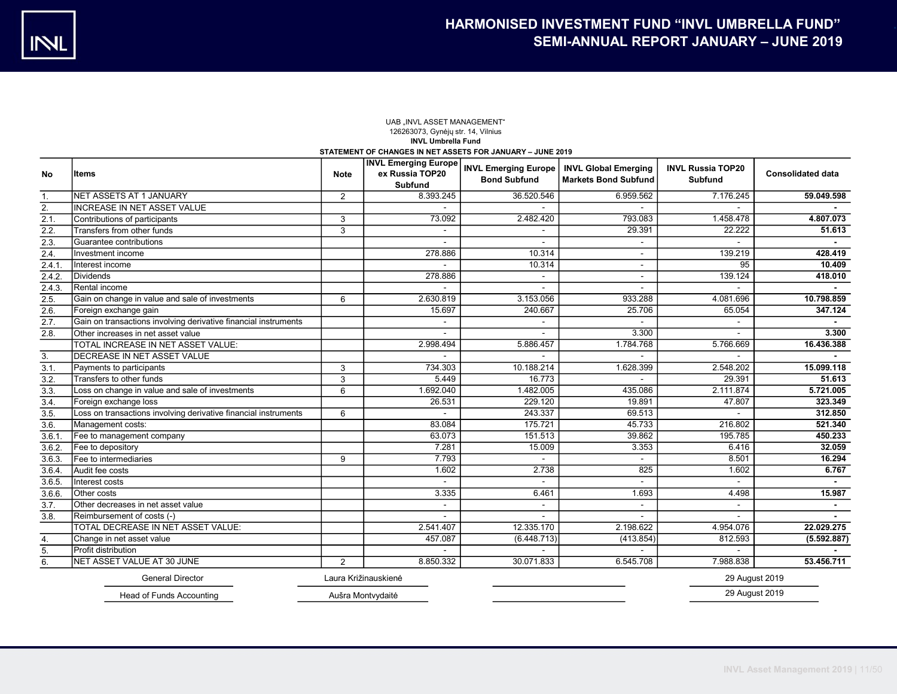#### UAB "INVL ASSET MANAGEMENT" 126263073, Gynėjų str. 14, Vilnius INVL Umbrella Fund STATEMENT OF CHANGES IN NET ASSETS FOR JANUARY – JUNE 2019

|        |                                                                 |                | <b>INVL Emerging Europe</b>       |                                                    |                                                            |                                            |                          |
|--------|-----------------------------------------------------------------|----------------|-----------------------------------|----------------------------------------------------|------------------------------------------------------------|--------------------------------------------|--------------------------|
| No     | Items                                                           | <b>Note</b>    | ex Russia TOP20<br><b>Subfund</b> | <b>INVL Emerging Europe</b><br><b>Bond Subfund</b> | <b>INVL Global Emerging</b><br><b>Markets Bond Subfund</b> | <b>INVL Russia TOP20</b><br><b>Subfund</b> | <b>Consolidated data</b> |
| 1.     | NET ASSETS AT 1 JANUARY                                         | 2              | 8.393.245                         | 36.520.546                                         | 6.959.562                                                  | 7.176.245                                  | 59.049.598               |
| 2.     | <b>INCREASE IN NET ASSET VALUE</b>                              |                |                                   |                                                    |                                                            |                                            |                          |
| 2.1.   | Contributions of participants                                   | 3              | 73.092                            | 2.482.420                                          | 793.083                                                    | 1.458.478                                  | 4.807.073                |
| 2.2.   | Transfers from other funds                                      | 3              | $\sim$                            |                                                    | 29.391                                                     | 22.222                                     | 51.613                   |
| 2.3.   | Guarantee contributions                                         |                | $\blacksquare$                    | $\sim$                                             | ä,                                                         | $\sim$                                     | $\sim$                   |
| 2.4.   | Investment income                                               |                | 278.886                           | 10.314                                             | $\blacksquare$                                             | 139.219                                    | 428.419                  |
| 2.4.1  | Interest income                                                 |                | $\blacksquare$                    | 10.314                                             | $\blacksquare$                                             | 95                                         | 10.409                   |
| 2.4.2. | Dividends                                                       |                | 278.886                           |                                                    | $\overline{a}$                                             | 139.124                                    | 418.010                  |
| 2.4.3. | Rental income                                                   |                |                                   |                                                    |                                                            |                                            |                          |
| 2.5.   | Gain on change in value and sale of investments                 | 6              | 2.630.819                         | 3.153.056                                          | 933.288                                                    | 4.081.696                                  | 10.798.859               |
| 2.6.   | Foreign exchange gain                                           |                | 15.697                            | 240.667                                            | 25.706                                                     | 65.054                                     | 347.124                  |
| 2.7.   | Gain on transactions involving derivative financial instruments |                |                                   |                                                    |                                                            |                                            |                          |
| 2.8.   | Other increases in net asset value                              |                |                                   |                                                    | 3.300                                                      |                                            | 3,300                    |
|        | TOTAL INCREASE IN NET ASSET VALUE:                              |                | 2.998.494                         | 5.886.457                                          | 1.784.768                                                  | 5.766.669                                  | 16.436.388               |
| 3.     | DECREASE IN NET ASSET VALUE                                     |                |                                   |                                                    |                                                            |                                            |                          |
| 3.1.   | Payments to participants                                        | 3              | 734.303                           | 10.188.214                                         | 1.628.399                                                  | 2.548.202                                  | 15.099.118               |
| 3.2.   | Transfers to other funds                                        | 3              | 5.449                             | 16.773                                             | $\overline{a}$                                             | 29.391                                     | 51.613                   |
| 3.3.   | Loss on change in value and sale of investments                 | 6              | 1.692.040                         | 1.482.005                                          | 435.086                                                    | 2.111.874                                  | 5.721.005                |
| 3.4.   | Foreign exchange loss                                           |                | 26.531                            | 229.120                                            | 19.891                                                     | 47.807                                     | 323.349                  |
| 3.5.   | Loss on transactions involving derivative financial instruments | 6              |                                   | 243.337                                            | 69.513                                                     |                                            | 312.850                  |
| 3.6.   | Management costs:                                               |                | 83.084                            | 175.721                                            | 45.733                                                     | 216.802                                    | 521.340                  |
| 3.6.1  | Fee to management company                                       |                | 63.073                            | 151.513                                            | 39.862                                                     | 195.785                                    | 450.233                  |
| 3.6.2  | Fee to depository                                               |                | 7.281                             | 15.009                                             | 3.353                                                      | 6.416                                      | 32.059                   |
| 3.6.3. | Fee to intermediaries                                           | 9              | 7.793                             |                                                    |                                                            | 8.501                                      | 16.294                   |
| 3.6.4  | Audit fee costs                                                 |                | 1.602                             | 2.738                                              | 825                                                        | 1.602                                      | 6.767                    |
| 3.6.5. | Interest costs                                                  |                |                                   |                                                    |                                                            |                                            |                          |
| 3.6.6. | Other costs                                                     |                | 3.335                             | 6.461                                              | 1.693                                                      | 4.498                                      | 15.987                   |
| 3.7.   | Other decreases in net asset value                              |                | $\sim$                            | $\sim$                                             | $\sim$                                                     | $\sim$                                     | $\blacksquare$           |
| 3.8.   | Reimbursement of costs (-)                                      |                | $\blacksquare$                    | $\sim$                                             | $\blacksquare$                                             | $\sim$                                     | $\blacksquare$           |
|        | TOTAL DECREASE IN NET ASSET VALUE:                              |                | 2.541.407                         | 12.335.170                                         | 2.198.622                                                  | 4.954.076                                  | 22.029.275               |
| 4.     | Change in net asset value                                       |                | 457.087                           | (6.448.713)                                        | (413.854)                                                  | 812.593                                    | (5.592.887)              |
| 5.     | Profit distribution                                             |                |                                   |                                                    |                                                            |                                            |                          |
| 6.     | NET ASSET VALUE AT 30 JUNE                                      | $\overline{2}$ | 8.850.332                         | 30.071.833                                         | 6.545.708                                                  | 7.988.838                                  | 53.456.711               |
|        | <b>General Director</b>                                         |                | Laura Križinauskienė              |                                                    |                                                            | 29 August 2019                             |                          |
|        | Head of Funds Accounting                                        |                | Aušra Montvydaitė                 |                                                    |                                                            | 29 August 2019                             |                          |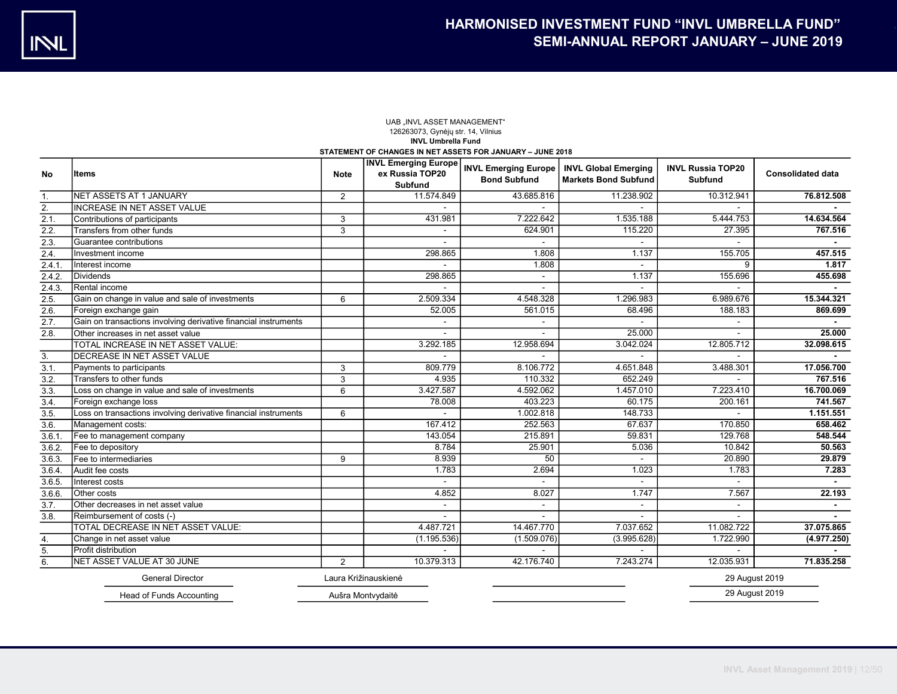#### UAB "INVL ASSET MANAGEMENT" 126263073, Gynėjų str. 14, Vilnius INVL Umbrella Fund STATEMENT OF CHANGES IN NET ASSETS FOR JANUARY – JUNE 2018

| No               | Items                                                           | <b>Note</b>    | <b>INVL Emerging Europe</b><br>ex Russia TOP20<br><b>Subfund</b> | <b>INVL Emerging Europe</b><br><b>Bond Subfund</b> | <b>INVL Global Emerging</b><br><b>Markets Bond Subfund</b> | <b>INVL Russia TOP20</b><br><b>Subfund</b> | <b>Consolidated data</b> |
|------------------|-----------------------------------------------------------------|----------------|------------------------------------------------------------------|----------------------------------------------------|------------------------------------------------------------|--------------------------------------------|--------------------------|
| 1.               | NET ASSETS AT 1 JANUARY                                         | $\overline{2}$ | 11.574.849                                                       | 43.685.816                                         | 11.238.902                                                 | 10.312.941                                 | 76.812.508               |
| $\overline{2}$ . | <b>INCREASE IN NET ASSET VALUE</b>                              |                |                                                                  |                                                    |                                                            |                                            |                          |
| 2.1.             | Contributions of participants                                   | 3              | 431.981                                                          | 7.222.642                                          | 1.535.188                                                  | 5.444.753                                  | 14.634.564               |
| 2.2.             | Transfers from other funds                                      | 3              | $\blacksquare$                                                   | 624.901                                            | 115.220                                                    | 27.395                                     | 767.516                  |
| 2.3.             | Guarantee contributions                                         |                |                                                                  | $\sim$                                             | $\sim$                                                     |                                            | $\sim$                   |
| 2.4.             | Investment income                                               |                | 298.865                                                          | 1.808                                              | 1.137                                                      | 155.705                                    | 457.515                  |
| 2.4.1            | Interest income                                                 |                |                                                                  | 1.808                                              |                                                            | 9                                          | 1.817                    |
| 2.4.2            | Dividends                                                       |                | 298.865                                                          | $\sim$                                             | 1.137                                                      | 155.696                                    | 455.698                  |
| 2.4.3.           | Rental income                                                   |                |                                                                  |                                                    |                                                            |                                            |                          |
| 2.5.             | Gain on change in value and sale of investments                 | 6              | 2.509.334                                                        | 4.548.328                                          | 1.296.983                                                  | 6.989.676                                  | 15.344.321               |
| 2.6.             | Foreign exchange gain                                           |                | 52.005                                                           | 561.015                                            | 68.496                                                     | 188.183                                    | 869.699                  |
| 2.7.             | Gain on transactions involving derivative financial instruments |                |                                                                  |                                                    |                                                            |                                            |                          |
| 2.8.             | Other increases in net asset value                              |                |                                                                  |                                                    | 25.000                                                     |                                            | 25.000                   |
|                  | TOTAL INCREASE IN NET ASSET VALUE:                              |                | 3.292.185                                                        | 12.958.694                                         | 3.042.024                                                  | 12.805.712                                 | 32.098.615               |
| 3.               | DECREASE IN NET ASSET VALUE                                     |                |                                                                  |                                                    |                                                            |                                            |                          |
| 3.1.             | Payments to participants                                        | 3              | 809.779                                                          | 8.106.772                                          | 4.651.848                                                  | 3.488.301                                  | 17.056.700               |
| 3.2.             | Transfers to other funds                                        | 3              | 4.935                                                            | 110.332                                            | 652.249                                                    |                                            | 767.516                  |
| 3.3.             | Loss on change in value and sale of investments                 | 6              | 3.427.587                                                        | 4.592.062                                          | 1.457.010                                                  | 7.223.410                                  | 16.700.069               |
| 3.4.             | Foreign exchange loss                                           |                | 78.008                                                           | 403.223                                            | 60.175                                                     | 200.161                                    | 741.567                  |
| 3.5.             | Loss on transactions involving derivative financial instruments | 6              |                                                                  | 1.002.818                                          | 148.733                                                    |                                            | 1.151.551                |
| 3.6.             | Management costs:                                               |                | 167.412                                                          | 252.563                                            | 67.637                                                     | 170.850                                    | 658.462                  |
| 3.6.1            | Fee to management company                                       |                | 143.054                                                          | 215.891                                            | 59.831                                                     | 129.768                                    | 548.544                  |
| 3.6.2            | Fee to depository                                               |                | 8.784                                                            | 25.901                                             | 5.036                                                      | 10.842                                     | 50.563                   |
| 3.6.3.           | Fee to intermediaries                                           | 9              | 8.939                                                            | 50                                                 |                                                            | 20.890                                     | 29.879                   |
| 3.6.4            | Audit fee costs                                                 |                | 1.783                                                            | 2.694                                              | 1.023                                                      | 1.783                                      | 7.283                    |
| 3.6.5.           | Interest costs                                                  |                |                                                                  |                                                    |                                                            |                                            |                          |
| 3.6.6.           | <b>Other</b> costs                                              |                | 4.852                                                            | 8.027                                              | 1.747                                                      | 7.567                                      | 22.193                   |
| 3.7.             | Other decreases in net asset value                              |                | $\sim$                                                           | $\sim$                                             | $\sim$                                                     | $\sim$                                     | $\blacksquare$           |
| 3.8.             | Reimbursement of costs (-)                                      |                | $\blacksquare$                                                   |                                                    |                                                            |                                            |                          |
|                  | TOTAL DECREASE IN NET ASSET VALUE:                              |                | 4.487.721                                                        | 14.467.770                                         | 7.037.652                                                  | 11.082.722                                 | 37.075.865               |
| 4.               | Change in net asset value                                       |                | (1.195.536)                                                      | (1.509.076)                                        | (3.995.628)                                                | 1.722.990                                  | (4.977.250)              |
| 5.               | Profit distribution                                             |                |                                                                  |                                                    |                                                            |                                            |                          |
| 6.               | NET ASSET VALUE AT 30 JUNE                                      | $\overline{2}$ | 10.379.313                                                       | 42.176.740                                         | 7.243.274                                                  | 12.035.931                                 | 71.835.258               |
|                  | <b>General Director</b>                                         |                | Laura Križinauskienė                                             |                                                    |                                                            | 29 August 2019                             |                          |
|                  | Head of Funds Accounting                                        |                | Aušra Montvydaitė                                                |                                                    |                                                            | 29 August 2019                             |                          |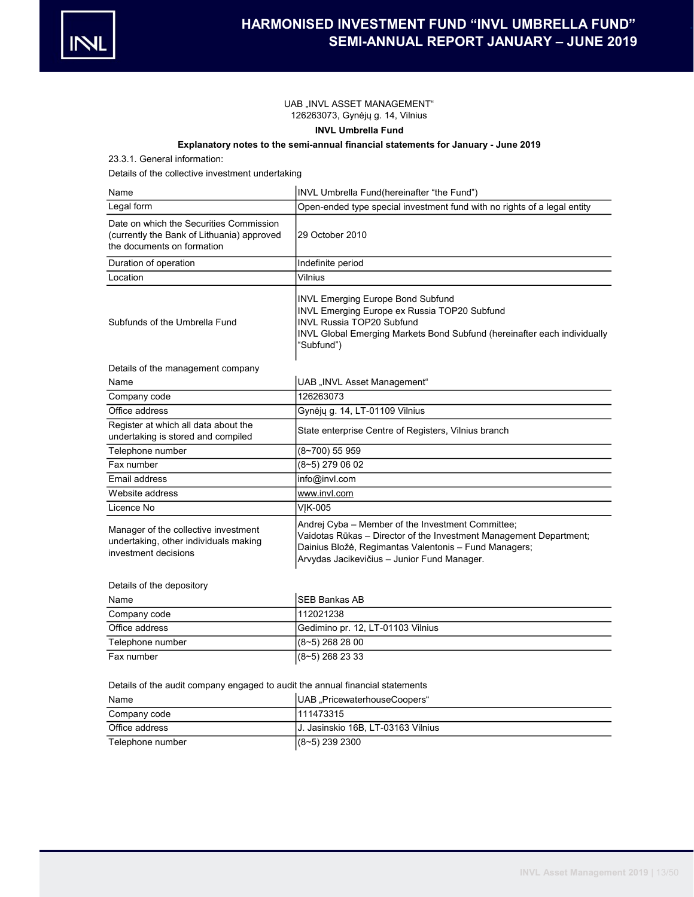

### UAB "INVL ASSET MANAGEMENT" 126263073, Gynėjų g. 14, Vilnius

# INVL Umbrella Fund

# Explanatory notes to the semi-annual financial statements for January - June 2019

23.3.1. General information:

Details of the collective investment undertaking

| Name                                                                                                                | INVL Umbrella Fund(hereinafter "the Fund")                                                                                                                                                                                      |
|---------------------------------------------------------------------------------------------------------------------|---------------------------------------------------------------------------------------------------------------------------------------------------------------------------------------------------------------------------------|
| Legal form                                                                                                          | Open-ended type special investment fund with no rights of a legal entity                                                                                                                                                        |
| Date on which the Securities Commission<br>(currently the Bank of Lithuania) approved<br>the documents on formation | 29 October 2010                                                                                                                                                                                                                 |
| Duration of operation                                                                                               | Indefinite period                                                                                                                                                                                                               |
| Location                                                                                                            | Vilnius                                                                                                                                                                                                                         |
| Subfunds of the Umbrella Fund                                                                                       | <b>INVL Emerging Europe Bond Subfund</b><br>INVL Emerging Europe ex Russia TOP20 Subfund<br><b>INVL Russia TOP20 Subfund</b><br>INVL Global Emerging Markets Bond Subfund (hereinafter each individually<br>"Subfund")          |
| Details of the management company                                                                                   |                                                                                                                                                                                                                                 |
| Name                                                                                                                | UAB "INVL Asset Management"                                                                                                                                                                                                     |
| Company code                                                                                                        | 126263073                                                                                                                                                                                                                       |
| Office address                                                                                                      | Gynėjų g. 14, LT-01109 Vilnius                                                                                                                                                                                                  |
| Register at which all data about the<br>undertaking is stored and compiled                                          | State enterprise Centre of Registers, Vilnius branch                                                                                                                                                                            |
| Telephone number                                                                                                    | (8~700) 55 959                                                                                                                                                                                                                  |
| Fax number                                                                                                          | $(8 - 5)$ 279 06 02                                                                                                                                                                                                             |
| Email address                                                                                                       | info@invl.com                                                                                                                                                                                                                   |
| Website address                                                                                                     | www.invl.com                                                                                                                                                                                                                    |
| Licence No                                                                                                          | VIK-005                                                                                                                                                                                                                         |
| Manager of the collective investment<br>undertaking, other individuals making<br>investment decisions               | Andrej Cyba - Member of the Investment Committee;<br>Vaidotas Rūkas - Director of the Investment Management Department;<br>Dainius Bložė, Regimantas Valentonis – Fund Managers;<br>Arvydas Jacikevičius - Junior Fund Manager. |
| Details of the depository                                                                                           |                                                                                                                                                                                                                                 |
| Name                                                                                                                | <b>SEB Bankas AB</b>                                                                                                                                                                                                            |

| name             | TSED DAIIKAS AD                   |
|------------------|-----------------------------------|
| Company code     | 1112021238                        |
| Office address   | Gedimino pr. 12, LT-01103 Vilnius |
| Telephone number | $(8-5)$ 268 28 00                 |
| Fax number       | $(8-5)$ 268 23 33                 |

Details of the audit company engaged to audit the annual financial statements

| Name             | UAB "PricewaterhouseCoopers"        |
|------------------|-------------------------------------|
| Company code     | 1111473315                          |
| Office address   | IJ. Jasinskio 16B. LT-03163 Vilnius |
| Telephone number | $(8-5)$ 239 2300                    |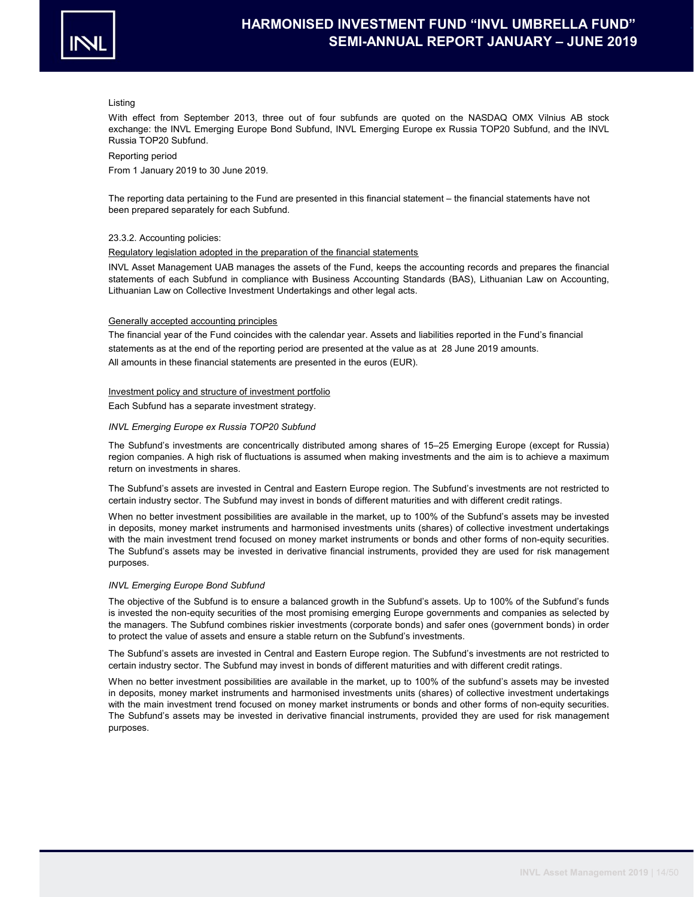

#### Listing

With effect from September 2013, three out of four subfunds are quoted on the NASDAQ OMX Vilnius AB stock exchange: the INVL Emerging Europe Bond Subfund, INVL Emerging Europe ex Russia TOP20 Subfund, and the INVL Russia TOP20 Subfund.

#### Reporting period

From 1 January 2019 to 30 June 2019.

The reporting data pertaining to the Fund are presented in this financial statement – the financial statements have not been prepared separately for each Subfund.

#### 23.3.2. Accounting policies:

#### Regulatory legislation adopted in the preparation of the financial statements

INVL Asset Management UAB manages the assets of the Fund, keeps the accounting records and prepares the financial statements of each Subfund in compliance with Business Accounting Standards (BAS), Lithuanian Law on Accounting, Lithuanian Law on Collective Investment Undertakings and other legal acts.

#### Generally accepted accounting principles

statements as at the end of the reporting period are presented at the value as at 28 June 2019 amounts. The financial year of the Fund coincides with the calendar year. Assets and liabilities reported in the Fund's financial All amounts in these financial statements are presented in the euros (EUR).

#### Investment policy and structure of investment portfolio

Each Subfund has a separate investment strategy.

#### INVL Emerging Europe ex Russia TOP20 Subfund

The Subfund's investments are concentrically distributed among shares of 15–25 Emerging Europe (except for Russia) region companies. A high risk of fluctuations is assumed when making investments and the aim is to achieve a maximum return on investments in shares.

The Subfund's assets are invested in Central and Eastern Europe region. The Subfund's investments are not restricted to certain industry sector. The Subfund may invest in bonds of different maturities and with different credit ratings.

When no better investment possibilities are available in the market, up to 100% of the Subfund's assets may be invested in deposits, money market instruments and harmonised investments units (shares) of collective investment undertakings with the main investment trend focused on money market instruments or bonds and other forms of non-equity securities. The Subfund's assets may be invested in derivative financial instruments, provided they are used for risk management purposes.

#### INVL Emerging Europe Bond Subfund

The objective of the Subfund is to ensure a balanced growth in the Subfund's assets. Up to 100% of the Subfund's funds is invested the non-equity securities of the most promising emerging Europe governments and companies as selected by the managers. The Subfund combines riskier investments (corporate bonds) and safer ones (government bonds) in order to protect the value of assets and ensure a stable return on the Subfund's investments.

The Subfund's assets are invested in Central and Eastern Europe region. The Subfund's investments are not restricted to certain industry sector. The Subfund may invest in bonds of different maturities and with different credit ratings.

When no better investment possibilities are available in the market, up to 100% of the subfund's assets may be invested in deposits, money market instruments and harmonised investments units (shares) of collective investment undertakings with the main investment trend focused on money market instruments or bonds and other forms of non-equity securities. The Subfund's assets may be invested in derivative financial instruments, provided they are used for risk management purposes.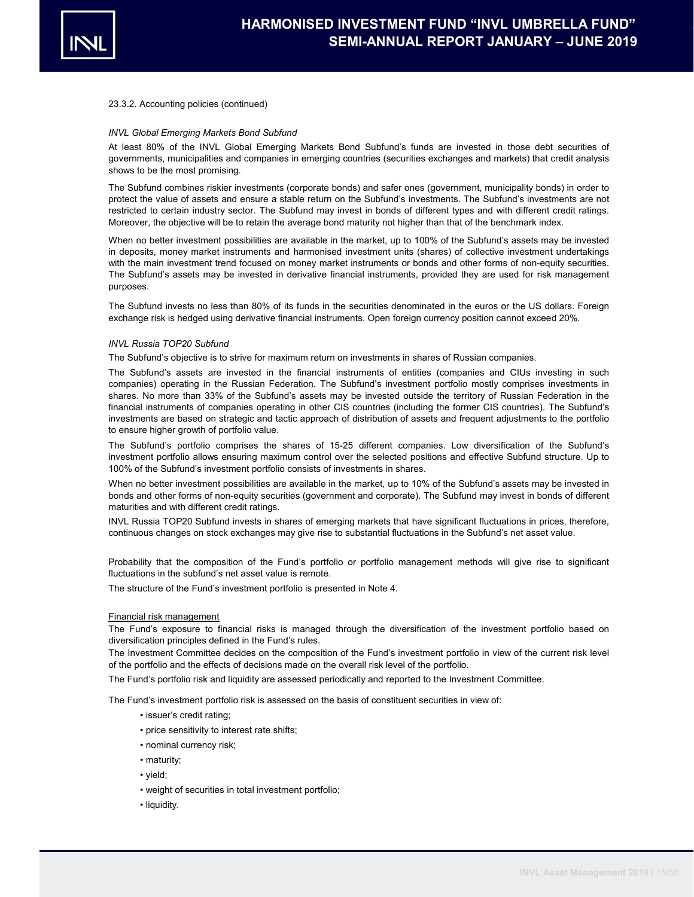

#### INVL Global Emerging Markets Bond Subfund

At least 80% of the INVL Global Emerging Markets Bond Subfund's funds are invested in those debt securities of governments, municipalities and companies in emerging countries (securities exchanges and markets) that credit analysis shows to be the most promising.

The Subfund combines riskier investments (corporate bonds) and safer ones (government, municipality bonds) in order to protect the value of assets and ensure a stable return on the Subfund's investments. The Subfund's investments are not restricted to certain industry sector. The Subfund may invest in bonds of different types and with different credit ratings. Moreover, the objective will be to retain the average bond maturity not higher than that of the benchmark index.

When no better investment possibilities are available in the market, up to 100% of the Subfund's assets may be invested in deposits, money market instruments and harmonised investment units (shares) of collective investment undertakings with the main investment trend focused on money market instruments or bonds and other forms of non-equity securities. The Subfund's assets may be invested in derivative financial instruments, provided they are used for risk management purposes.

The Subfund invests no less than 80% of its funds in the securities denominated in the euros or the US dollars. Foreign exchange risk is hedged using derivative financial instruments. Open foreign currency position cannot exceed 20%.

### INVL Russia TOP20 Subfund

The Subfund's objective is to strive for maximum return on investments in shares of Russian companies.

The Subfund's assets are invested in the financial instruments of entities (companies and CIUs investing in such companies) operating in the Russian Federation. The Subfund's investment portfolio mostly comprises investments in shares. No more than 33% of the Subfund's assets may be invested outside the territory of Russian Federation in the financial instruments of companies operating in other CIS countries (including the former CIS countries). The Subfund's investments are based on strategic and tactic approach of distribution of assets and frequent adjustments to the portfolio to ensure higher growth of portfolio value.

The Subfund's portfolio comprises the shares of 15-25 different companies. Low diversification of the Subfund's investment portfolio allows ensuring maximum control over the selected positions and effective Subfund structure. Up to 100% of the Subfund's investment portfolio consists of investments in shares.

When no better investment possibilities are available in the market, up to 10% of the Subfund's assets may be invested in bonds and other forms of non-equity securities (government and corporate). The Subfund may invest in bonds of different maturities and with different credit ratings.

INVL Russia TOP20 Subfund invests in shares of emerging markets that have significant fluctuations in prices, therefore, continuous changes on stock exchanges may give rise to substantial fluctuations in the Subfund's net asset value.

Probability that the composition of the Fund's portfolio or portfolio management methods will give rise to significant fluctuations in the subfund's net asset value is remote.

The structure of the Fund's investment portfolio is presented in Note 4.

#### Financial risk management

The Fund's exposure to financial risks is managed through the diversification of the investment portfolio based on diversification principles defined in the Fund's rules.

The Investment Committee decides on the composition of the Fund's investment portfolio in view of the current risk level of the portfolio and the effects of decisions made on the overall risk level of the portfolio.

The Fund's portfolio risk and liquidity are assessed periodically and reported to the Investment Committee.

The Fund's investment portfolio risk is assessed on the basis of constituent securities in view of:

- issuer's credit rating;
- price sensitivity to interest rate shifts;
- nominal currency risk;
- maturity;
- yield;
- weight of securities in total investment portfolio;
- liquidity.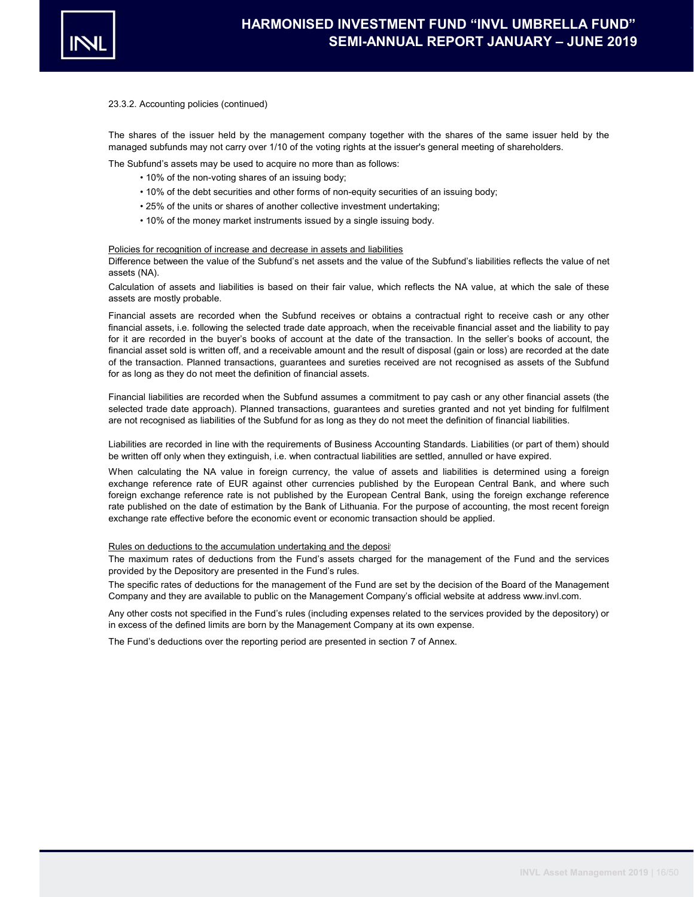

The shares of the issuer held by the management company together with the shares of the same issuer held by the managed subfunds may not carry over 1/10 of the voting rights at the issuer's general meeting of shareholders.

The Subfund's assets may be used to acquire no more than as follows:

- 10% of the non-voting shares of an issuing body;
- 10% of the debt securities and other forms of non-equity securities of an issuing body;
- 25% of the units or shares of another collective investment undertaking;
- 10% of the money market instruments issued by a single issuing body.

#### Policies for recognition of increase and decrease in assets and liabilities

Difference between the value of the Subfund's net assets and the value of the Subfund's liabilities reflects the value of net assets (NA).

Calculation of assets and liabilities is based on their fair value, which reflects the NA value, at which the sale of these assets are mostly probable.

Financial assets are recorded when the Subfund receives or obtains a contractual right to receive cash or any other financial assets, i.e. following the selected trade date approach, when the receivable financial asset and the liability to pay for it are recorded in the buyer's books of account at the date of the transaction. In the seller's books of account, the financial asset sold is written off, and a receivable amount and the result of disposal (gain or loss) are recorded at the date of the transaction. Planned transactions, guarantees and sureties received are not recognised as assets of the Subfund for as long as they do not meet the definition of financial assets.

Financial liabilities are recorded when the Subfund assumes a commitment to pay cash or any other financial assets (the selected trade date approach). Planned transactions, guarantees and sureties granted and not yet binding for fulfilment are not recognised as liabilities of the Subfund for as long as they do not meet the definition of financial liabilities.

Liabilities are recorded in line with the requirements of Business Accounting Standards. Liabilities (or part of them) should be written off only when they extinguish, i.e. when contractual liabilities are settled, annulled or have expired.

When calculating the NA value in foreign currency, the value of assets and liabilities is determined using a foreign exchange reference rate of EUR against other currencies published by the European Central Bank, and where such foreign exchange reference rate is not published by the European Central Bank, using the foreign exchange reference rate published on the date of estimation by the Bank of Lithuania. For the purpose of accounting, the most recent foreign exchange rate effective before the economic event or economic transaction should be applied.

#### Rules on deductions to the accumulation undertaking and the deposit

The maximum rates of deductions from the Fund's assets charged for the management of the Fund and the services provided by the Depository are presented in the Fund's rules.

The specific rates of deductions for the management of the Fund are set by the decision of the Board of the Management Company and they are available to public on the Management Company's official website at address www.invl.com.

Any other costs not specified in the Fund's rules (including expenses related to the services provided by the depository) or in excess of the defined limits are born by the Management Company at its own expense.

The Fund's deductions over the reporting period are presented in section 7 of Annex.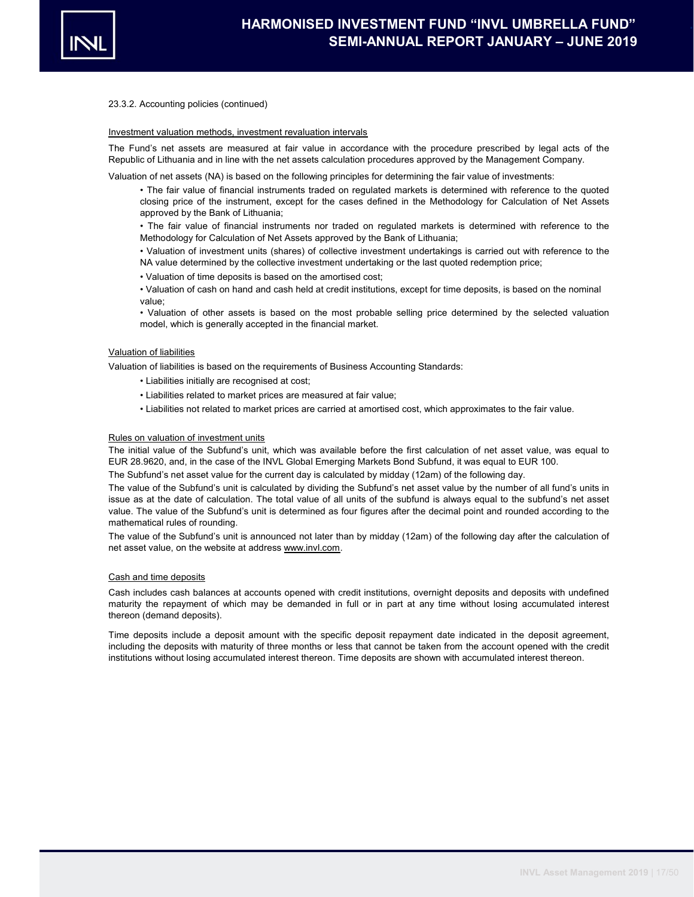

#### Investment valuation methods, investment revaluation intervals

The Fund's net assets are measured at fair value in accordance with the procedure prescribed by legal acts of the Republic of Lithuania and in line with the net assets calculation procedures approved by the Management Company.

Valuation of net assets (NA) is based on the following principles for determining the fair value of investments:

• The fair value of financial instruments traded on regulated markets is determined with reference to the quoted closing price of the instrument, except for the cases defined in the Methodology for Calculation of Net Assets approved by the Bank of Lithuania;

• The fair value of financial instruments nor traded on regulated markets is determined with reference to the Methodology for Calculation of Net Assets approved by the Bank of Lithuania;

• Valuation of investment units (shares) of collective investment undertakings is carried out with reference to the NA value determined by the collective investment undertaking or the last quoted redemption price;

• Valuation of time deposits is based on the amortised cost;

• Valuation of cash on hand and cash held at credit institutions, except for time deposits, is based on the nominal value;

• Valuation of other assets is based on the most probable selling price determined by the selected valuation model, which is generally accepted in the financial market.

#### Valuation of liabilities

Valuation of liabilities is based on the requirements of Business Accounting Standards:

- Liabilities initially are recognised at cost;
- Liabilities related to market prices are measured at fair value;
- Liabilities not related to market prices are carried at amortised cost, which approximates to the fair value.

#### Rules on valuation of investment units

The initial value of the Subfund's unit, which was available before the first calculation of net asset value, was equal to EUR 28.9620, and, in the case of the INVL Global Emerging Markets Bond Subfund, it was equal to EUR 100.

The Subfund's net asset value for the current day is calculated by midday (12am) of the following day.

The value of the Subfund's unit is calculated by dividing the Subfund's net asset value by the number of all fund's units in issue as at the date of calculation. The total value of all units of the subfund is always equal to the subfund's net asset value. The value of the Subfund's unit is determined as four figures after the decimal point and rounded according to the mathematical rules of rounding.

The value of the Subfund's unit is announced not later than by midday (12am) of the following day after the calculation of net asset value, on the website at address www.invl.com.

#### Cash and time deposits

Cash includes cash balances at accounts opened with credit institutions, overnight deposits and deposits with undefined maturity the repayment of which may be demanded in full or in part at any time without losing accumulated interest thereon (demand deposits).

Time deposits include a deposit amount with the specific deposit repayment date indicated in the deposit agreement, including the deposits with maturity of three months or less that cannot be taken from the account opened with the credit institutions without losing accumulated interest thereon. Time deposits are shown with accumulated interest thereon.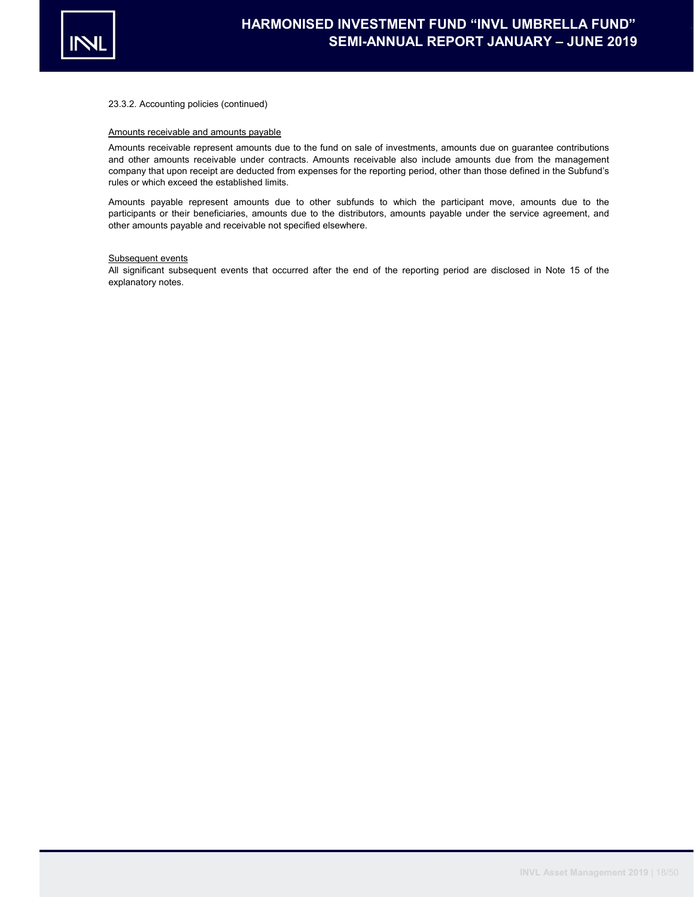

#### Amounts receivable and amounts payable

Amounts receivable represent amounts due to the fund on sale of investments, amounts due on guarantee contributions and other amounts receivable under contracts. Amounts receivable also include amounts due from the management company that upon receipt are deducted from expenses for the reporting period, other than those defined in the Subfund's rules or which exceed the established limits.

Amounts payable represent amounts due to other subfunds to which the participant move, amounts due to the participants or their beneficiaries, amounts due to the distributors, amounts payable under the service agreement, and other amounts payable and receivable not specified elsewhere.

#### Subsequent events

All significant subsequent events that occurred after the end of the reporting period are disclosed in Note 15 of the explanatory notes.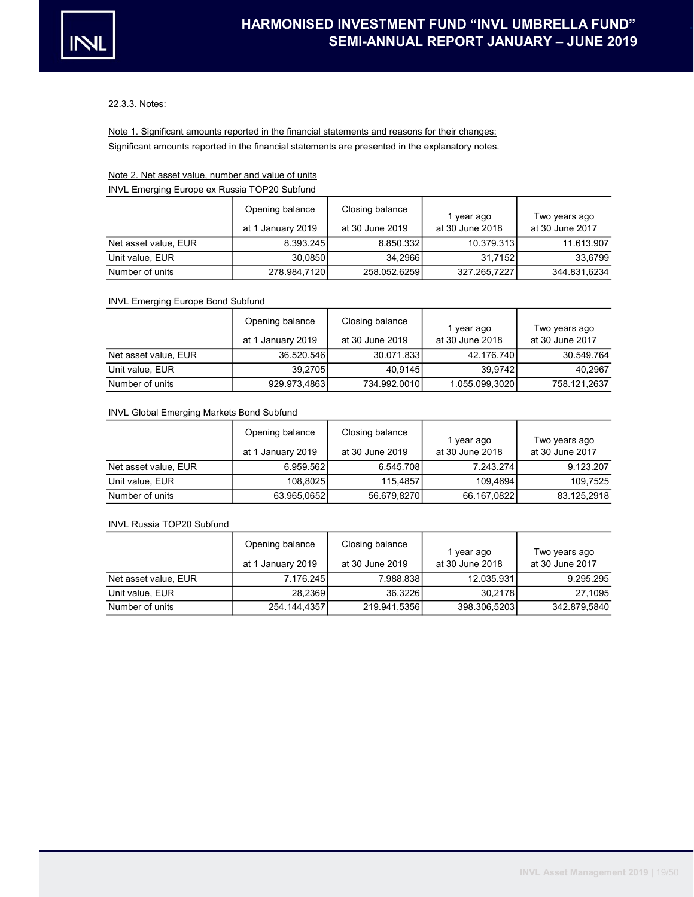

### 22.3.3. Notes:

Significant amounts reported in the financial statements are presented in the explanatory notes. Note 1. Significant amounts reported in the financial statements and reasons for their changes:

# Note 2. Net asset value, number and value of units INVL Emerging Europe ex Russia TOP20 Subfund

|                      | Opening balance   | Closing balance | l year ago      | Two years ago   |
|----------------------|-------------------|-----------------|-----------------|-----------------|
|                      | at 1 January 2019 | at 30 June 2019 | at 30 June 2018 | at 30 June 2017 |
| Net asset value, EUR | 8.393.245         | 8.850.332       | 10.379.313      | 11.613.907      |
| Unit value, EUR      | 30.0850           | 34.2966         | 31.7152         | 33.6799         |
| Number of units      | 278.984,7120      | 258.052.6259    | 327.265,7227    | 344.831.6234    |

## INVL Emerging Europe Bond Subfund

|                      | Opening balance      | Closing balance | l year ago      | Two years ago   |
|----------------------|----------------------|-----------------|-----------------|-----------------|
|                      | January 2019<br>at 1 | at 30 June 2019 | at 30 June 2018 | at 30 June 2017 |
| Net asset value. EUR | 36.520.546           | 30.071.833      | 42.176.740      | 30.549.764      |
| Unit value, EUR      | 39.2705              | 40.9145         | 39.9742         | 40.2967         |
| Number of units      | 929.973,4863         | 734.992,0010    | 1.055.099,3020  | 758.121.2637    |

## INVL Global Emerging Markets Bond Subfund

|                      | Opening balance      | Closing balance | 1 year ago      | Two years ago   |
|----------------------|----------------------|-----------------|-----------------|-----------------|
|                      | January 2019<br>at 1 | at 30 June 2019 | at 30 June 2018 | at 30 June 2017 |
| Net asset value, EUR | 6.959.562            | 6.545.708       | 7.243.274       | 9.123.207       |
| Unit value. EUR      | 108.8025             | 115.4857        | 109.4694        | 109.7525        |
| Number of units      | 63.965,0652          | 56.679,8270     | 66.167,0822     | 83.125.2918     |

## INVL Russia TOP20 Subfund

|                      | Opening balance   | Closing balance | 1 year ago      | Two years ago   |
|----------------------|-------------------|-----------------|-----------------|-----------------|
|                      | at 1 January 2019 | at 30 June 2019 | at 30 June 2018 | at 30 June 2017 |
| Net asset value, EUR | 7.176.2451        | 7.988.838       | 12.035.931      | 9.295.295       |
| Unit value, EUR      | 28.2369           | 36.3226         | 30.2178         | 27.1095         |
| Number of units      | 254.144,4357      | 219.941,5356    | 398.306,5203    | 342.879.5840    |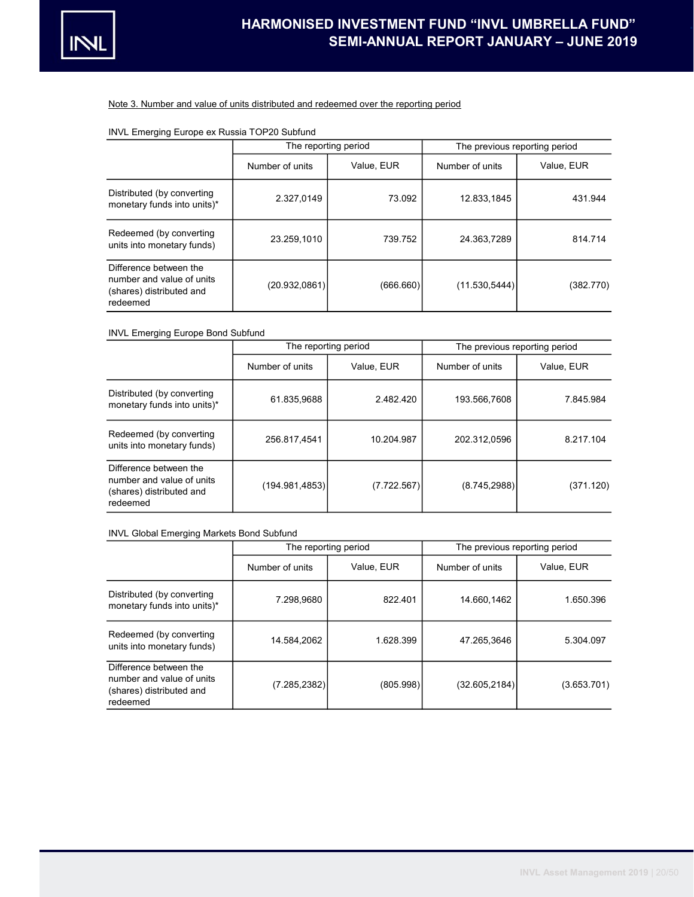

#### Note 3. Number and value of units distributed and redeemed over the reporting period

# INVL Emerging Europe ex Russia TOP20 Subfund

|                                                                                             |                 | The reporting period | The previous reporting period |            |  |  |
|---------------------------------------------------------------------------------------------|-----------------|----------------------|-------------------------------|------------|--|--|
|                                                                                             | Number of units | Value, EUR           | Number of units               | Value, EUR |  |  |
| Distributed (by converting<br>monetary funds into units)*                                   | 2.327,0149      | 73.092               | 12.833,1845                   | 431.944    |  |  |
| Redeemed (by converting<br>units into monetary funds)                                       | 23.259.1010     | 739.752              | 24.363.7289                   | 814.714    |  |  |
| Difference between the<br>number and value of units<br>(shares) distributed and<br>redeemed | (20.932, 0861)  | (666.660)            | (11.530.5444)                 | (382.770)  |  |  |

# INVL Emerging Europe Bond Subfund

|                                                                                             |                 | The reporting period | The previous reporting period |            |  |  |
|---------------------------------------------------------------------------------------------|-----------------|----------------------|-------------------------------|------------|--|--|
|                                                                                             | Number of units | Value, EUR           | Number of units               | Value, EUR |  |  |
| Distributed (by converting<br>monetary funds into units)*                                   | 61.835,9688     | 2.482.420            | 193.566.7608                  | 7.845.984  |  |  |
| Redeemed (by converting<br>units into monetary funds)                                       | 256.817,4541    | 10.204.987           | 202.312.0596                  | 8.217.104  |  |  |
| Difference between the<br>number and value of units<br>(shares) distributed and<br>redeemed | (194.981, 4853) | (7.722.567)          | (8.745, 2988)                 | (371.120)  |  |  |

### INVL Global Emerging Markets Bond Subfund

|                                                                                             |                 | The reporting period |                 | The previous reporting period |
|---------------------------------------------------------------------------------------------|-----------------|----------------------|-----------------|-------------------------------|
|                                                                                             | Number of units | Value, EUR           | Number of units | Value, EUR                    |
| Distributed (by converting<br>monetary funds into units)*                                   | 7.298.9680      | 822.401              | 14.660.1462     | 1.650.396                     |
| Redeemed (by converting<br>units into monetary funds)                                       | 14.584.2062     | 1.628.399            | 47.265.3646     | 5.304.097                     |
| Difference between the<br>number and value of units<br>(shares) distributed and<br>redeemed | (7.285, 2382)   | (805.998)            | (32.605, 2184)  | (3.653.701)                   |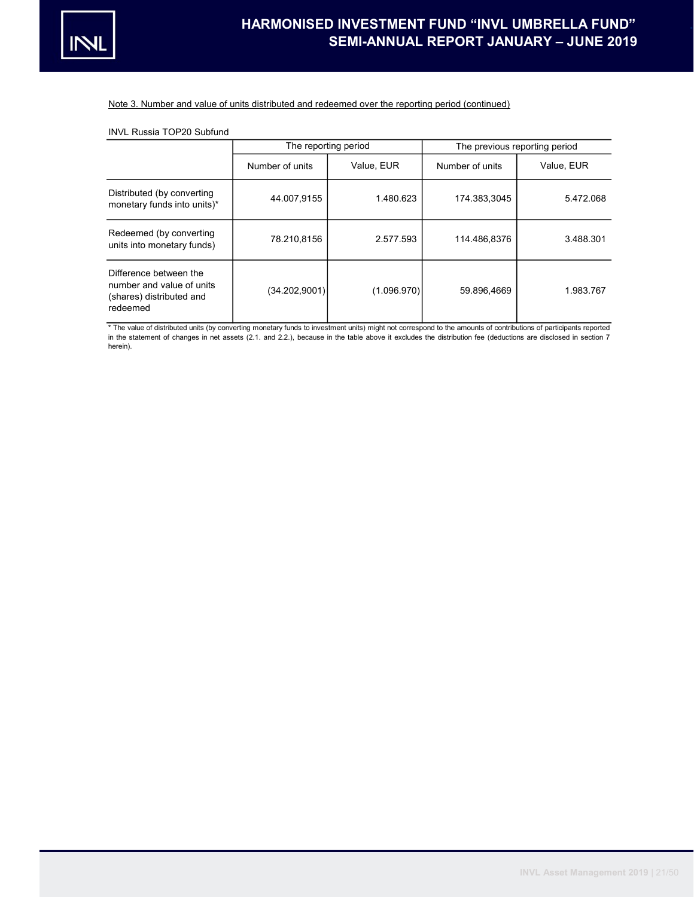

#### Note 3. Number and value of units distributed and redeemed over the reporting period (continued)

### INVL Russia TOP20 Subfund

|                                                                                             |                 | The reporting period |                 | The previous reporting period |
|---------------------------------------------------------------------------------------------|-----------------|----------------------|-----------------|-------------------------------|
|                                                                                             | Number of units | Value, EUR           | Number of units | Value, EUR                    |
| Distributed (by converting<br>monetary funds into units)*                                   | 44.007,9155     | 1.480.623            | 174.383,3045    | 5.472.068                     |
| Redeemed (by converting<br>units into monetary funds)                                       | 78.210.8156     | 2.577.593            | 114.486.8376    | 3.488.301                     |
| Difference between the<br>number and value of units<br>(shares) distributed and<br>redeemed | (34.202,9001)   | (1.096.970)          | 59.896.4669     | 1.983.767                     |

\* The value of distributed units (by converting monetary funds to investment units) might not correspond to the amounts of contributions of participants reported in the statement of changes in net assets (2.1. and 2.2.), because in the table above it excludes the distribution fee (deductions are disclosed in section 7 herein).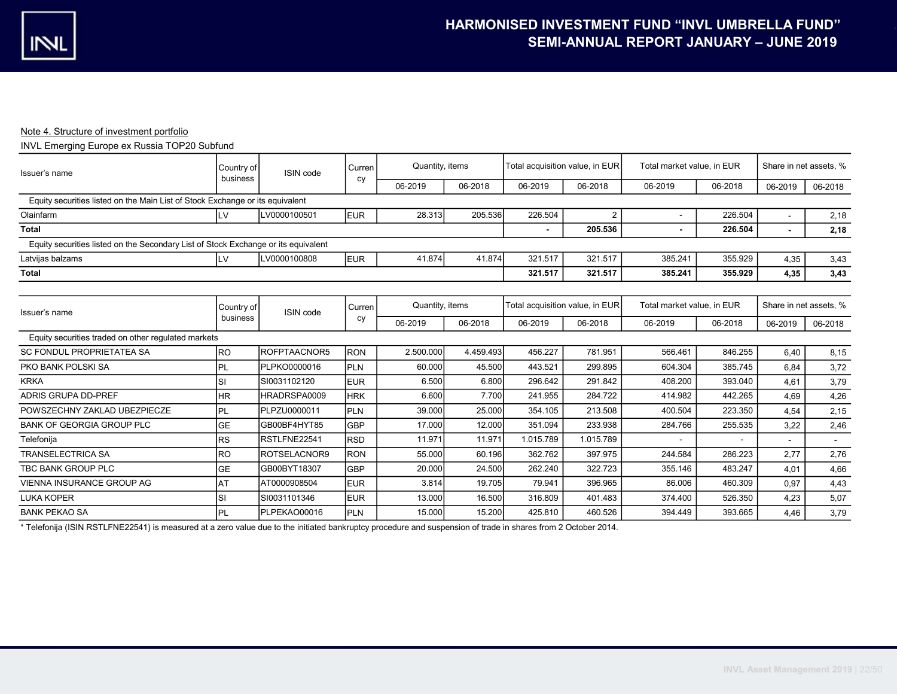## Note 4. Structure of investment portfolio

# INVL Emerging Europe ex Russia TOP20 Subfund

| Issuer's name                                                                      | Country of<br>business | ISIN code    | Curren<br>cy | Quantity, items |           | Total acquisition value, in EUR |                | Total market value, in EUR |         | Share in net assets, % |         |
|------------------------------------------------------------------------------------|------------------------|--------------|--------------|-----------------|-----------|---------------------------------|----------------|----------------------------|---------|------------------------|---------|
|                                                                                    |                        |              |              | 06-2019         | 06-2018   | 06-2019                         | 06-2018        | 06-2019                    | 06-2018 | 06-2019                | 06-2018 |
| Equity securities listed on the Main List of Stock Exchange or its equivalent      |                        |              |              |                 |           |                                 |                |                            |         |                        |         |
| Olainfarm                                                                          | LV                     | LV0000100501 | <b>EUR</b>   | 28.313          | 205.536   | 226.504                         | $\overline{2}$ |                            | 226.504 |                        | 2,18    |
| <b>Total</b>                                                                       |                        |              |              |                 |           |                                 | 205.536        |                            | 226.504 |                        | 2,18    |
| Equity securities listed on the Secondary List of Stock Exchange or its equivalent |                        |              |              |                 |           |                                 |                |                            |         |                        |         |
| Latvijas balzams                                                                   | LV                     | LV0000100808 | <b>IEUR</b>  | 41.874          | 41.874    | 321.517                         | 321.517        | 385.241                    | 355.929 | 4,35                   | 3,43    |
| <b>Total</b>                                                                       |                        |              |              |                 |           | 321.517                         | 321.517        | 385.241                    | 355.929 | 4,35                   | 3,43    |
|                                                                                    |                        |              |              |                 |           |                                 |                |                            |         |                        |         |
| Issuer's name                                                                      | Country of             | ISIN code    | Curren       | Quantity, items |           | Total acquisition value, in EUR |                | Total market value, in EUR |         | Share in net assets, % |         |
|                                                                                    | business               |              | cy           | 06-2019         | 06-2018   | 06-2019                         | 06-2018        | 06-2019                    | 06-2018 | 06-2019                | 06-2018 |
| Equity securities traded on other regulated markets                                |                        |              |              |                 |           |                                 |                |                            |         |                        |         |
| <b>SC FONDUL PROPRIETATEA SA</b>                                                   | <b>RO</b>              | ROFPTAACNOR5 | <b>IRON</b>  | 2.500.000       | 4.459.493 | 456.227                         | 781.951        | 566.461                    | 846.255 | 6.40                   | 8,15    |
| PKO BANK POLSKI SA                                                                 | <b>PL</b>              | PLPKO0000016 | <b>PLN</b>   | 60.000          | 45.500    | 443.521                         | 299.895        | 604.304                    | 385.745 | 6.84                   | 3,72    |
| <b>KRKA</b>                                                                        | SI                     | SI0031102120 | <b>IEUR</b>  | 6.500           | 6.800     | 296.642                         | 291.842        | 408.200                    | 393.040 | 4.61                   | 3,79    |
| <b>ADRIS GRUPA DD-PREF</b>                                                         | <b>HR</b>              | HRADRSPA0009 | <b>HRK</b>   | 6.600           | 7.700     | 241.955                         | 284.722        | 414.982                    | 442.265 | 4.69                   | 4,26    |
| POWSZECHNY ZAKLAD UBEZPIECZE                                                       | <b>PL</b>              | PLPZU0000011 | <b>PLN</b>   | 39.000          | 25.000    | 354.105                         | 213.508        | 400.504                    | 223.350 | 4,54                   | 2,15    |
| <b>BANK OF GEORGIA GROUP PLC</b>                                                   | <b>GE</b>              | GB00BF4HYT85 | <b>GBP</b>   | 17.000          | 12.000    | 351.094                         | 233.938        | 284.766                    | 255.535 | 3,22                   | 2,46    |
| Telefonija                                                                         | <b>RS</b>              | RSTLFNE22541 | Irsd         | 11.971          | 11.971    | 1.015.789                       | 1.015.789      |                            |         | $\sim$                 | $\sim$  |
| <b>TRANSELECTRICA SA</b>                                                           | <b>RO</b>              | ROTSELACNOR9 | IRON         | 55.000          | 60.196    | 362.762                         | 397.975        | 244.584                    | 286.223 | 2,77                   | 2,76    |
| TBC BANK GROUP PLC                                                                 | <b>GE</b>              | GB00BYT18307 | lGBP         | 20.000          | 24.500    | 262.240                         | 322.723        | 355.146                    | 483.247 | 4,01                   | 4,66    |
| <b>VIENNA INSURANCE GROUP AG</b>                                                   | <b>AT</b>              | AT0000908504 | <b>IEUR</b>  | 3.814           | 19.705    | 79.941                          | 396.965        | 86.006                     | 460.309 | 0.97                   | 4,43    |
| <b>LUKA KOPER</b>                                                                  | SI                     | SI0031101346 | <b>IEUR</b>  | 13.000          | 16.500    | 316.809                         | 401.483        | 374.400                    | 526.350 | 4,23                   | 5,07    |
| <b>BANK PEKAO SA</b>                                                               | PL                     | PLPEKAO00016 | PLN          | 15.000          | 15.200    | 425.810                         | 460.526        | 394.449                    | 393.665 | 4,46                   | 3,79    |

\* Telefonija (ISIN RSTLFNE22541) is measured at a zero value due to the initiated bankruptcy procedure and suspension of trade in shares from 2 October 2014.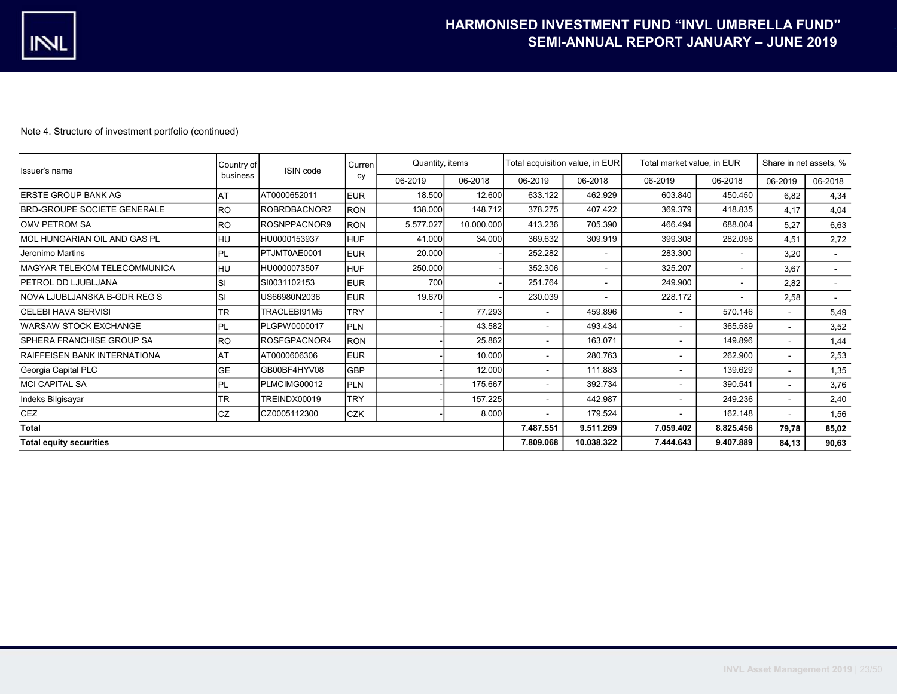| Issuer's name                      | Country of | ISIN code    | Curren     |           | Quantity, items |                          | Total acquisition value, in EUR |                          | Total market value, in EUR |                          | Share in net assets, %   |  |
|------------------------------------|------------|--------------|------------|-----------|-----------------|--------------------------|---------------------------------|--------------------------|----------------------------|--------------------------|--------------------------|--|
|                                    | business   |              | cy         | 06-2019   | 06-2018         | 06-2019                  | 06-2018                         | 06-2019                  | 06-2018                    | 06-2019                  | 06-2018                  |  |
| <b>ERSTE GROUP BANK AG</b>         | <b>AT</b>  | AT0000652011 | <b>EUR</b> | 18.500    | 12.600          | 633.122                  | 462.929                         | 603.840                  | 450.450                    | 6,82                     | 4,34                     |  |
| <b>BRD-GROUPE SOCIETE GENERALE</b> | <b>RO</b>  | ROBRDBACNOR2 | <b>RON</b> | 138.000   | 148.712         | 378.275                  | 407.422                         | 369.379                  | 418.835                    | 4.17                     | 4,04                     |  |
| OMV PETROM SA                      | <b>RO</b>  | ROSNPPACNOR9 | <b>RON</b> | 5.577.027 | 10.000.000      | 413.236                  | 705.390                         | 466.494                  | 688.004                    | 5,27                     | 6,63                     |  |
| MOL HUNGARIAN OIL AND GAS PL       | <b>HU</b>  | HU0000153937 | <b>HUF</b> | 41.000    | 34.000          | 369.632                  | 309.919                         | 399.308                  | 282.098                    | 4,51                     | 2,72                     |  |
| Jeronimo Martins                   | <b>IPL</b> | PTJMT0AE0001 | <b>EUR</b> | 20.000    |                 | 252.282                  |                                 | 283.300                  |                            | 3,20                     | $\sim$                   |  |
| MAGYAR TELEKOM TELECOMMUNICA       | <b>HU</b>  | HU0000073507 | <b>HUF</b> | 250.000   |                 | 352.306                  |                                 | 325.207                  |                            | 3,67                     | $\sim$                   |  |
| PETROL DD LJUBLJANA                | <b>SI</b>  | SI0031102153 | <b>EUR</b> | 700       |                 | 251.764                  |                                 | 249.900                  | $\sim$                     | 2,82                     | $\overline{\phantom{a}}$ |  |
| NOVA LJUBLJANSKA B-GDR REG S       | <b>SI</b>  | US66980N2036 | <b>EUR</b> | 19.670    |                 | 230.039                  |                                 | 228.172                  |                            | 2,58                     | $\sim$                   |  |
| <b>CELEBI HAVA SERVISI</b>         | <b>TR</b>  | TRACLEBI91M5 | <b>TRY</b> |           | 77.293          | $\sim$                   | 459.896                         |                          | 570.146                    | $\sim$                   | 5,49                     |  |
| <b>WARSAW STOCK EXCHANGE</b>       | <b>IPL</b> | PLGPW0000017 | <b>PLN</b> |           | 43.582          | $\overline{\phantom{a}}$ | 493.434                         | ٠                        | 365.589                    | $\sim$                   | 3,52                     |  |
| SPHERA FRANCHISE GROUP SA          | <b>RO</b>  | ROSFGPACNOR4 | <b>RON</b> |           | 25.862          | $\,$ $\,$                | 163.071                         | $\overline{\phantom{a}}$ | 149.896                    | $\sim$                   | 1,44                     |  |
| RAIFFEISEN BANK INTERNATIONA       | AT         | AT0000606306 | <b>EUR</b> |           | 10.000          | $\sim$                   | 280.763                         | $\overline{\phantom{a}}$ | 262.900                    | $\sim$                   | 2,53                     |  |
| Georgia Capital PLC                | <b>GE</b>  | GB00BF4HYV08 | <b>GBP</b> |           | 12.000          | $\overline{\phantom{a}}$ | 111.883                         | $\blacksquare$           | 139.629                    | $\overline{\phantom{a}}$ | 1,35                     |  |
| <b>MCI CAPITAL SA</b>              | <b>IPL</b> | PLMCIMG00012 | <b>PLN</b> |           | 175.667         | $\overline{\phantom{a}}$ | 392.734                         |                          | 390.541                    | $\sim$                   | 3,76                     |  |
| Indeks Bilgisayar                  | TR         | TREINDX00019 | TRY        |           | 157.225         | $\blacksquare$           | 442.987                         |                          | 249.236                    | $\sim$                   | 2,40                     |  |
| CEZ                                | <b>CZ</b>  | CZ0005112300 | <b>CZK</b> |           | 8.000           |                          | 179.524                         |                          | 162.148                    |                          | 1,56                     |  |
| Total                              |            |              |            |           |                 |                          | 9.511.269                       | 7.059.402                | 8.825.456                  | 79,78                    | 85,02                    |  |
| <b>Total equity securities</b>     | 7.809.068  | 10.038.322   | 7.444.643  | 9.407.889 | 84,13           | 90,63                    |                                 |                          |                            |                          |                          |  |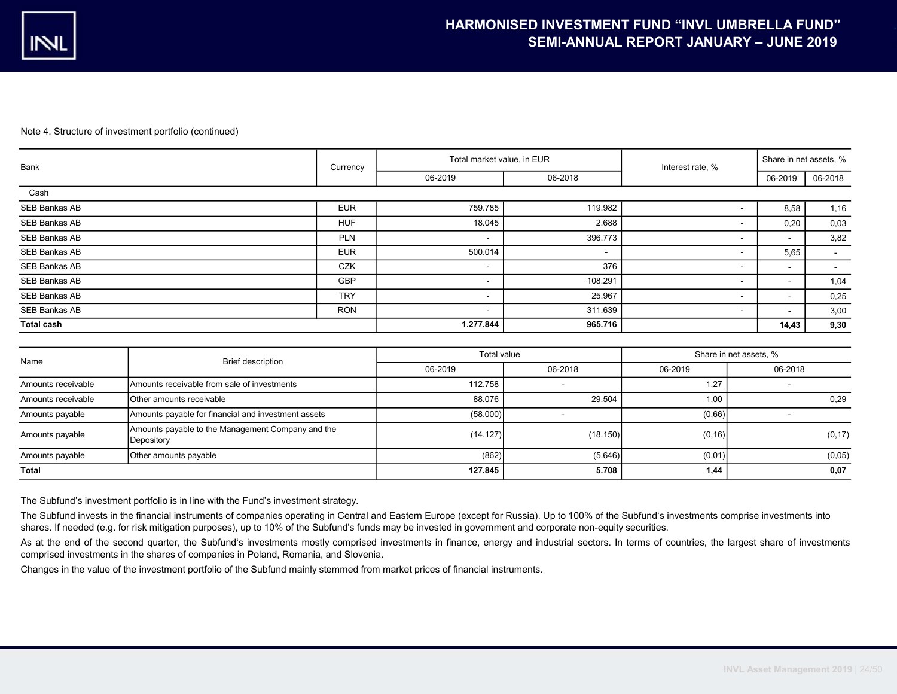| Bank              | Currency   | Total market value, in EUR |                          | Interest rate, %         | Share in net assets, % |         |
|-------------------|------------|----------------------------|--------------------------|--------------------------|------------------------|---------|
|                   |            | 06-2019                    | 06-2018                  |                          | 06-2019                | 06-2018 |
| Cash              |            |                            |                          |                          |                        |         |
| SEB Bankas AB     | <b>EUR</b> | 759.785                    | 119.982                  |                          | 8,58                   | 1,16    |
| SEB Bankas AB     | <b>HUF</b> | 18.045                     | 2.688                    |                          | 0,20                   | 0,03    |
| SEB Bankas AB     | <b>PLN</b> | $\sim$                     | 396.773                  | $\sim$                   | $\sim$                 | 3,82    |
| SEB Bankas AB     | <b>EUR</b> | 500.014                    | $\overline{\phantom{a}}$ |                          | 5,65                   | $\sim$  |
| SEB Bankas AB     | <b>CZK</b> | $\sim$                     | 376                      | $\sim$                   | $\sim$                 | $\sim$  |
| SEB Bankas AB     | <b>GBP</b> | $\sim$                     | 108.291                  | $\sim$                   | $\sim$                 | 1,04    |
| SEB Bankas AB     | <b>TRY</b> | $\overline{\phantom{a}}$   | 25.967                   | $\sim$                   | $\sim$                 | 0,25    |
| SEB Bankas AB     | <b>RON</b> | $\blacksquare$             | 311.639                  | $\overline{\phantom{a}}$ | $\sim$                 | 3,00    |
| <b>Total cash</b> |            | 1.277.844                  | 965.716                  |                          | 14,43                  | 9,30    |

| Name               | Brief description                                               | Total value |          | Share in net assets, % |         |  |
|--------------------|-----------------------------------------------------------------|-------------|----------|------------------------|---------|--|
|                    |                                                                 | 06-2019     | 06-2018  | 06-2019                | 06-2018 |  |
| Amounts receivable | Amounts receivable from sale of investments                     | 112.758     |          | 1,27                   |         |  |
| Amounts receivable | Other amounts receivable                                        | 88.076      | 29.504   | 1,00                   | 0,29    |  |
| Amounts payable    | Amounts payable for financial and investment assets             | (58.000)    |          | (0,66)                 |         |  |
| Amounts payable    | Amounts payable to the Management Company and the<br>Depository | (14.127)    | (18.150) | (0, 16)                | (0, 17) |  |
| Amounts payable    | Other amounts payable                                           | (862)       | (5.646)  | (0,01)                 | (0,05)  |  |
| Total              |                                                                 | 127.845     | 5.708    | 1,44                   | 0,07    |  |

The Subfund's investment portfolio is in line with the Fund's investment strategy.

The Subfund invests in the financial instruments of companies operating in Central and Eastern Europe (except for Russia). Up to 100% of the Subfund's investments comprise investments into shares. If needed (e.g. for risk mitigation purposes), up to 10% of the Subfund's funds may be invested in government and corporate non-equity securities.

As at the end of the second quarter, the Subfund's investments mostly comprised investments in finance, energy and industrial sectors. In terms of countries, the largest share of investments comprised investments in the shares of companies in Poland, Romania, and Slovenia.

Changes in the value of the investment portfolio of the Subfund mainly stemmed from market prices of financial instruments.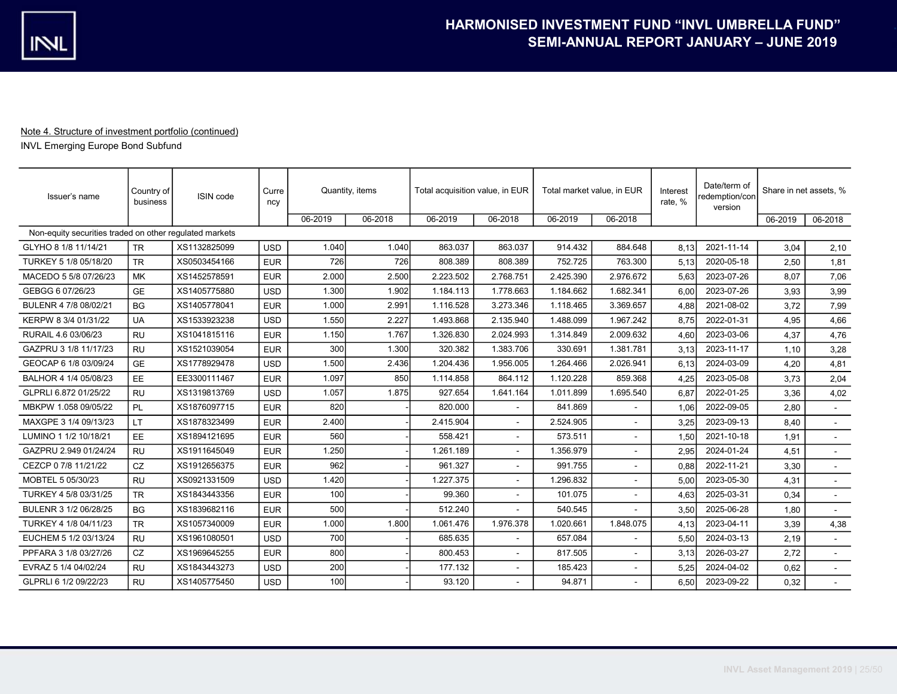INVL Emerging Europe Bond Subfund

| Issuer's name                                           | Country of<br>business | ISIN code    | Curre<br>ncy | Quantity, items |         | Total acquisition value, in EUR |           | Total market value, in EUR |                | Interest<br>rate, % | Date/term of<br>redemption/con<br>version | Share in net assets, % |         |
|---------------------------------------------------------|------------------------|--------------|--------------|-----------------|---------|---------------------------------|-----------|----------------------------|----------------|---------------------|-------------------------------------------|------------------------|---------|
|                                                         |                        |              |              | 06-2019         | 06-2018 | 06-2019                         | 06-2018   | 06-2019                    | 06-2018        |                     |                                           | 06-2019                | 06-2018 |
| Non-equity securities traded on other requlated markets |                        |              |              |                 |         |                                 |           |                            |                |                     |                                           |                        |         |
| GLYHO 8 1/8 11/14/21                                    | <b>TR</b>              | XS1132825099 | <b>USD</b>   | 1.040           | 1.040   | 863.037                         | 863.037   | 914.432                    | 884.648        | 8.13                | 2021-11-14                                | 3.04                   | 2,10    |
| TURKEY 5 1/8 05/18/20                                   | <b>TR</b>              | XS0503454166 | <b>EUR</b>   | 726             | 726     | 808.389                         | 808.389   | 752.725                    | 763.300        | 5.13                | 2020-05-18                                | 2,50                   | 1,81    |
| MACEDO 5 5/8 07/26/23                                   | MK                     | XS1452578591 | <b>EUR</b>   | 2.000           | 2.500   | 2.223.502                       | 2.768.751 | 2.425.390                  | 2.976.672      | 5,63                | 2023-07-26                                | 8,07                   | 7,06    |
| GEBGG 6 07/26/23                                        | <b>GE</b>              | XS1405775880 | <b>USD</b>   | 1.300           | 1.902   | 1.184.113                       | 1.778.663 | 1.184.662                  | 1.682.341      | 6.00                | 2023-07-26                                | 3,93                   | 3,99    |
| BULENR 4 7/8 08/02/21                                   | <b>BG</b>              | XS1405778041 | <b>EUR</b>   | 1.000           | 2.991   | 1.116.528                       | 3.273.346 | 1.118.465                  | 3.369.657      | 4,88                | 2021-08-02                                | 3,72                   | 7,99    |
| KERPW 8 3/4 01/31/22                                    | <b>UA</b>              | XS1533923238 | <b>USD</b>   | 1.550           | 2.227   | 1.493.868                       | 2.135.940 | 1.488.099                  | 1.967.242      | 8,75                | 2022-01-31                                | 4,95                   | 4,66    |
| RURAIL 4.6 03/06/23                                     | <b>RU</b>              | XS1041815116 | <b>EUR</b>   | 1.150           | 1.767   | 1.326.830                       | 2.024.993 | 1.314.849                  | 2.009.632      | 4,60                | 2023-03-06                                | 4,37                   | 4,76    |
| GAZPRU 3 1/8 11/17/23                                   | <b>RU</b>              | XS1521039054 | <b>EUR</b>   | 300             | 1.300   | 320.382                         | 1.383.706 | 330.691                    | 1.381.781      | 3.13                | 2023-11-17                                | 1.10                   | 3,28    |
| GEOCAP 6 1/8 03/09/24                                   | <b>GE</b>              | XS1778929478 | <b>USD</b>   | 1.500           | 2.436   | 1.204.436                       | 1.956.005 | 1.264.466                  | 2.026.941      | 6.13                | 2024-03-09                                | 4,20                   | 4,81    |
| BALHOR 4 1/4 05/08/23                                   | <b>EE</b>              | EE3300111467 | <b>EUR</b>   | 1.097           | 850     | 1.114.858                       | 864.112   | 1.120.228                  | 859.368        | 4,25                | 2023-05-08                                | 3,73                   | 2,04    |
| GLPRLI 6.872 01/25/22                                   | <b>RU</b>              | XS1319813769 | <b>USD</b>   | 1.057           | 1.875   | 927.654                         | 1.641.164 | 1.011.899                  | 1.695.540      | 6.87                | 2022-01-25                                | 3.36                   | 4,02    |
| MBKPW 1.058 09/05/22                                    | PL                     | XS1876097715 | <b>EUR</b>   | 820             |         | 820.000                         |           | 841.869                    |                | 1,06                | 2022-09-05                                | 2,80                   | $\sim$  |
| MAXGPE 3 1/4 09/13/23                                   | <b>LT</b>              | XS1878323499 | <b>EUR</b>   | 2.400           |         | 2.415.904                       |           | 2.524.905                  |                | 3,25                | 2023-09-13                                | 8,40                   |         |
| LUMINO 1 1/2 10/18/21                                   | <b>EE</b>              | XS1894121695 | <b>EUR</b>   | 560             |         | 558.421                         |           | 573.511                    | $\blacksquare$ | 1,50                | 2021-10-18                                | 1,91                   |         |
| GAZPRU 2.949 01/24/24                                   | <b>RU</b>              | XS1911645049 | <b>EUR</b>   | 1.250           |         | 1.261.189                       |           | 1.356.979                  |                | 2,95                | 2024-01-24                                | 4,51                   | $\sim$  |
| CEZCP 0 7/8 11/21/22                                    | CZ                     | XS1912656375 | <b>EUR</b>   | 962             |         | 961.327                         |           | 991.755                    |                | 0.88                | 2022-11-21                                | 3,30                   |         |
| MOBTEL 5 05/30/23                                       | <b>RU</b>              | XS0921331509 | <b>USD</b>   | 1.420           |         | 1.227.375                       |           | 1.296.832                  |                | 5.00                | 2023-05-30                                | 4,31                   | $\sim$  |
| TURKEY 4 5/8 03/31/25                                   | <b>TR</b>              | XS1843443356 | <b>EUR</b>   | 100             |         | 99.360                          |           | 101.075                    |                | 4.63                | 2025-03-31                                | 0,34                   | $\sim$  |
| BULENR 3 1/2 06/28/25                                   | <b>BG</b>              | XS1839682116 | <b>EUR</b>   | 500             |         | 512.240                         |           | 540.545                    |                | 3.50                | 2025-06-28                                | 1,80                   | $\sim$  |
| TURKEY 4 1/8 04/11/23                                   | <b>TR</b>              | XS1057340009 | <b>EUR</b>   | 1.000           | 1.800   | 1.061.476                       | 1.976.378 | 1.020.661                  | 1.848.075      | 4,13                | 2023-04-11                                | 3,39                   | 4,38    |
| EUCHEM 5 1/2 03/13/24                                   | <b>RU</b>              | XS1961080501 | <b>USD</b>   | 700             |         | 685.635                         |           | 657.084                    |                | 5,50                | 2024-03-13                                | 2,19                   |         |
| PPFARA 3 1/8 03/27/26                                   | CZ                     | XS1969645255 | <b>EUR</b>   | 800             |         | 800.453                         |           | 817.505                    |                | 3.13                | 2026-03-27                                | 2,72                   |         |
| EVRAZ 5 1/4 04/02/24                                    | <b>RU</b>              | XS1843443273 | <b>USD</b>   | 200             |         | 177.132                         |           | 185.423                    | $\blacksquare$ | 5.25                | 2024-04-02                                | 0,62                   | $\sim$  |
| GLPRLI 6 1/2 09/22/23                                   | <b>RU</b>              | XS1405775450 | <b>USD</b>   | 100             |         | 93.120                          |           | 94.871                     |                | 6,50                | 2023-09-22                                | 0,32                   |         |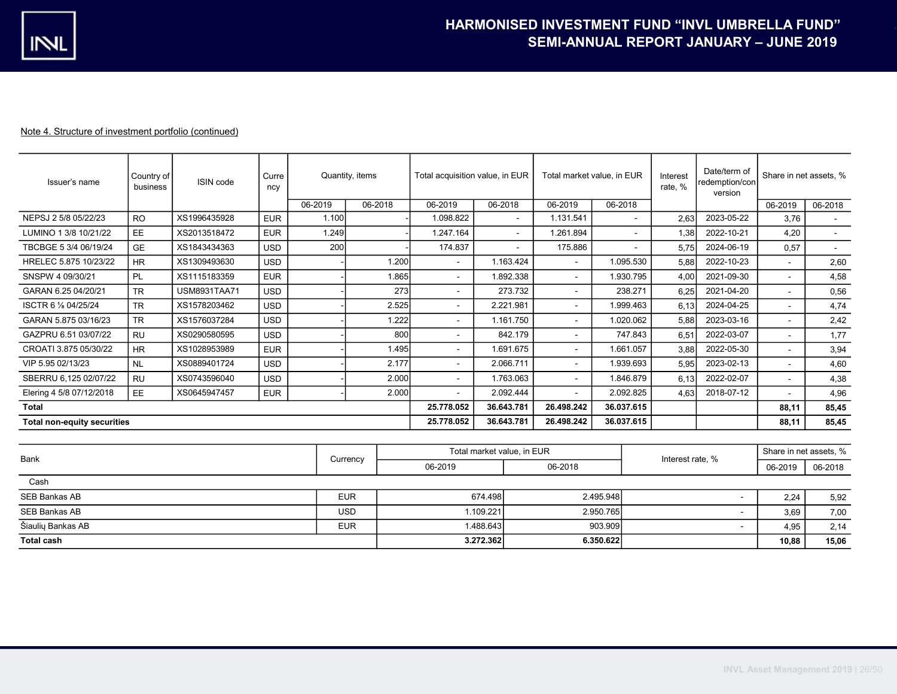| Issuer's name                      | Country of<br>business | ISIN code           | Curre<br>ncy |         | Quantity, items | Total acquisition value, in EUR |                            | Total market value, in EUR |            | Interest<br>rate, % | Date/term of<br>redemption/con<br>version | Share in net assets. % |         |
|------------------------------------|------------------------|---------------------|--------------|---------|-----------------|---------------------------------|----------------------------|----------------------------|------------|---------------------|-------------------------------------------|------------------------|---------|
|                                    |                        |                     |              | 06-2019 | 06-2018         | 06-2019                         | 06-2018                    | 06-2019                    | 06-2018    |                     |                                           | 06-2019                | 06-2018 |
| NEPSJ 2 5/8 05/22/23               | <b>RO</b>              | XS1996435928        | <b>EUR</b>   | 1.100   |                 | 1.098.822                       |                            | 1.131.541                  |            | 2.63                | 2023-05-22                                | 3.76                   |         |
| LUMINO 1 3/8 10/21/22              | EE                     | XS2013518472        | <b>EUR</b>   | 1.249   |                 | 1.247.164                       | $\sim$                     | 1.261.894                  | ÷          | 1,38                | 2022-10-21                                | 4,20                   |         |
| TBCBGE 5 3/4 06/19/24              | <b>GE</b>              | XS1843434363        | <b>USD</b>   | 200     |                 | 174.837                         |                            | 175.886                    |            | 5.75                | 2024-06-19                                | 0,57                   |         |
| HRELEC 5.875 10/23/22              | <b>HR</b>              | XS1309493630        | <b>USD</b>   |         | 1.200           | $\blacksquare$                  | 1.163.424                  | $\blacksquare$             | 1.095.530  | 5,88                | 2022-10-23                                | $\blacksquare$         | 2,60    |
| SNSPW 4 09/30/21                   | <b>PL</b>              | XS1115183359        | <b>EUR</b>   |         | 1.865           | $\blacksquare$                  | 1.892.338                  | $\sim$                     | 1.930.795  | 4,00                | 2021-09-30                                | $\sim$                 | 4,58    |
| GARAN 6.25 04/20/21                | <b>TR</b>              | <b>USM8931TAA71</b> | <b>USD</b>   |         |                 | 273<br>$\blacksquare$           | 273.732                    | $\sim$                     | 238.271    | 6,25                | 2021-04-20                                |                        | 0,56    |
| ISCTR 6 % 04/25/24                 | <b>TR</b>              | XS1578203462        | <b>USD</b>   |         | 2.525           | $\blacksquare$                  | 2.221.981                  | $\blacksquare$             | 1.999.463  | 6,13                | 2024-04-25                                | $\sim$                 | 4,74    |
| GARAN 5.875 03/16/23               | <b>TR</b>              | XS1576037284        | <b>USD</b>   |         | 1.222           | $\sim$                          | 1.161.750                  | $\sim$                     | 1.020.062  | 5.88                | 2023-03-16                                | $\mathbf{r}$           | 2,42    |
| GAZPRU 6.51 03/07/22               | <b>RU</b>              | XS0290580595        | <b>USD</b>   |         |                 | 800<br>$\blacksquare$           | 842.179                    | $\sim$                     | 747.843    | 6,51                | 2022-03-07                                | $\mathbf{r}$           | 1,77    |
| CROATI 3.875 05/30/22              | <b>HR</b>              | XS1028953989        | <b>EUR</b>   |         | 1.495           | $\blacksquare$                  | 1.691.675                  | $\sim$                     | 1.661.057  | 3,88                | 2022-05-30                                | $\overline{a}$         | 3,94    |
| VIP 5.95 02/13/23                  | <b>NL</b>              | XS0889401724        | <b>USD</b>   |         | 2.177           | $\blacksquare$                  | 2.066.711                  | $\sim$                     | 1.939.693  | 5,95                | 2023-02-13                                |                        | 4,60    |
| SBERRU 6,125 02/07/22              | <b>RU</b>              | XS0743596040        | <b>USD</b>   |         | 2.000           | $\sim$                          | 1.763.063                  | $\sim$                     | 1.846.879  | 6.13                | 2022-02-07                                | $\sim$                 | 4,38    |
| Elering 4 5/8 07/12/2018           | EE                     | XS0645947457        | <b>EUR</b>   |         | 2.000           | $\mathbf{r}$                    | 2.092.444                  | $\sim$                     | 2.092.825  | 4,63                | 2018-07-12                                |                        | 4,96    |
| <b>Total</b>                       |                        |                     |              |         |                 | 25.778.052                      | 36.643.781                 | 26.498.242                 | 36.037.615 |                     |                                           | 88.11                  | 85,45   |
| <b>Total non-equity securities</b> |                        |                     |              |         |                 | 25.778.052                      | 36.643.781                 | 26.498.242                 | 36.037.615 |                     |                                           | 88,11                  | 85,45   |
|                                    |                        |                     |              |         |                 |                                 |                            |                            |            |                     |                                           |                        |         |
|                                    |                        |                     |              |         |                 |                                 | Total market value, in EUR |                            |            |                     |                                           | Share in net assets, % |         |
| <b>Bank</b>                        |                        |                     |              |         | Currency        | 06-2019                         |                            | 06-2018                    |            | Interest rate, %    |                                           | 06-2019                | 06-2018 |
| Cash                               |                        |                     |              |         |                 |                                 |                            |                            |            |                     |                                           |                        |         |
| <b>SEB Bankas AB</b>               |                        |                     |              |         | <b>EUR</b>      |                                 | 674.498                    |                            | 2.495.948  |                     |                                           | 2,24                   | 5,92    |
| SEB Bankas AB                      |                        |                     |              |         | <b>USD</b>      |                                 | 1.109.221                  |                            | 2.950.765  |                     |                                           | 3,69                   | 7,00    |
| Šiaulių Bankas AB                  |                        |                     |              |         | <b>EUR</b>      |                                 | 1.488.643                  |                            | 903.909    |                     | $\sim$                                    | 4,95                   | 2,14    |
| <b>Total cash</b>                  |                        |                     |              |         |                 | 3.272.362                       |                            | 6.350.622                  |            |                     |                                           | 10.88                  | 15,06   |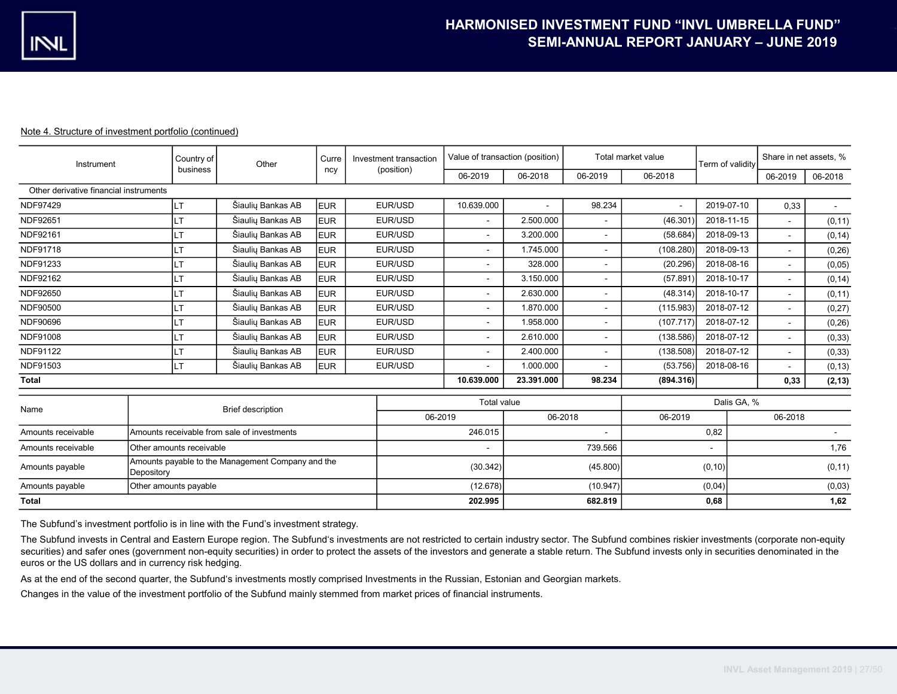| Instrument                             | Country of                                                      | Other                                       | Curre      | Investment transaction |                    | Value of transaction (position) |                              | Total market value | Term of validity | Share in net assets. % |         |  |
|----------------------------------------|-----------------------------------------------------------------|---------------------------------------------|------------|------------------------|--------------------|---------------------------------|------------------------------|--------------------|------------------|------------------------|---------|--|
|                                        | business                                                        |                                             | ncy        | (position)             | 06-2019            | 06-2018                         | 06-2019                      | 06-2018            |                  | 06-2019                | 06-2018 |  |
| Other derivative financial instruments |                                                                 |                                             |            |                        |                    |                                 |                              |                    |                  |                        |         |  |
| NDF97429                               | <b>LT</b>                                                       | Šiaulių Bankas AB                           | <b>EUR</b> | EUR/USD                | 10.639.000         |                                 | 98.234                       | $\overline{a}$     | 2019-07-10       | 0,33                   | $\sim$  |  |
| NDF92651                               | $\top$                                                          | Šiaulių Bankas AB                           | <b>EUR</b> | EUR/USD                | $\sim$             | 2.500.000                       | $\qquad \qquad \blacksquare$ | (46.301)           | 2018-11-15       | $\sim$                 | (0, 11) |  |
| NDF92161                               | $\mathsf{T}$                                                    | Šiaulių Bankas AB                           | <b>EUR</b> | EUR/USD                | $\sim$             | 3.200.000                       | ۰                            | (58.684)           | 2018-09-13       | ٠                      | (0, 14) |  |
| NDF91718                               | T                                                               | Šiaulių Bankas AB                           | <b>EUR</b> | EUR/USD                | $\sim$             | 1.745.000                       | ٠                            | (108.280)          | 2018-09-13       | ÷.                     | (0, 26) |  |
| NDF91233                               | T                                                               | Šiaulių Bankas AB                           | <b>EUR</b> | EUR/USD                | $\sim$             | 328.000                         |                              | (20.296)           | 2018-08-16       | $\blacksquare$         | (0,05)  |  |
| NDF92162                               | IT.                                                             | Šiaulių Bankas AB                           | <b>EUR</b> | EUR/USD                | $\sim$             | 3.150.000                       |                              | (57.891)           | 2018-10-17       | ÷.                     | (0, 14) |  |
| NDF92650                               | T                                                               | Šiaulių Bankas AB                           | <b>EUR</b> | EUR/USD                | $\sim$             | 2.630.000                       |                              | (48.314)           | 2018-10-17       | ÷                      | (0, 11) |  |
| NDF90500                               | T                                                               | Šiaulių Bankas AB                           | <b>EUR</b> | EUR/USD                | $\sim$             | 1.870.000                       |                              | (115.983)          | 2018-07-12       | ÷.                     | (0, 27) |  |
| NDF90696                               | IT                                                              | Šiaulių Bankas AB                           | <b>EUR</b> | EUR/USD                | $\sim$             | 1.958.000                       |                              | (107.717)          | 2018-07-12       | ٠                      | (0, 26) |  |
| NDF91008                               | IT.                                                             | Šiaulių Bankas AB                           | <b>EUR</b> | EUR/USD                | $\sim$             | 2.610.000                       |                              | (138.586)          | 2018-07-12       | ٠                      | (0, 33) |  |
| NDF91122                               | LT.                                                             | Šiaulių Bankas AB                           | <b>EUR</b> | EUR/USD                | $\sim$             | 2.400.000                       |                              | (138.508)          | 2018-07-12       | ÷.                     | (0, 33) |  |
| NDF91503                               | LT.                                                             | Šiaulių Bankas AB                           | <b>EUR</b> | EUR/USD                | $\sim$             | 1.000.000                       |                              | (53.756)           | 2018-08-16       | $\sim$                 | (0, 13) |  |
| <b>Total</b>                           |                                                                 |                                             |            |                        | 10.639.000         | 23.391.000                      | 98.234                       | (894.316)          |                  | 0,33                   | (2, 13) |  |
|                                        |                                                                 |                                             |            |                        | <b>Total value</b> |                                 |                              |                    | Dalis GA, %      |                        |         |  |
| Name                                   |                                                                 | <b>Brief description</b>                    |            | 06-2019                |                    | 06-2018                         |                              | 06-2019            |                  | 06-2018                |         |  |
| Amounts receivable                     |                                                                 | Amounts receivable from sale of investments |            |                        | 246.015            |                                 |                              |                    | 0,82             |                        |         |  |
| Amounts receivable                     | Other amounts receivable                                        |                                             |            |                        |                    |                                 | 739.566                      |                    | $\blacksquare$   |                        | 1,76    |  |
| Amounts payable                        | Amounts payable to the Management Company and the<br>Depository |                                             |            |                        | (30.342)           |                                 | (45.800)                     |                    | (0, 10)          |                        | (0, 11) |  |
| Amounts payable                        | Other amounts payable                                           |                                             |            |                        | (12.678)           |                                 | (10.947)                     |                    | (0,04)           |                        | (0,03)  |  |
| <b>Total</b>                           |                                                                 |                                             |            | 202.995                |                    | 682.819                         |                              | 0,68               |                  | 1,62                   |         |  |

The Subfund's investment portfolio is in line with the Fund's investment strategy.

The Subfund invests in Central and Eastern Europe region. The Subfund's investments are not restricted to certain industry sector. The Subfund combines riskier investments (corporate non-equity securities) and safer ones (government non-equity securities) in order to protect the assets of the investors and generate a stable return. The Subfund invests only in securities denominated in the euros or the US dollars and in currency risk hedging.

As at the end of the second quarter, the Subfund's investments mostly comprised Investments in the Russian, Estonian and Georgian markets.

Changes in the value of the investment portfolio of the Subfund mainly stemmed from market prices of financial instruments.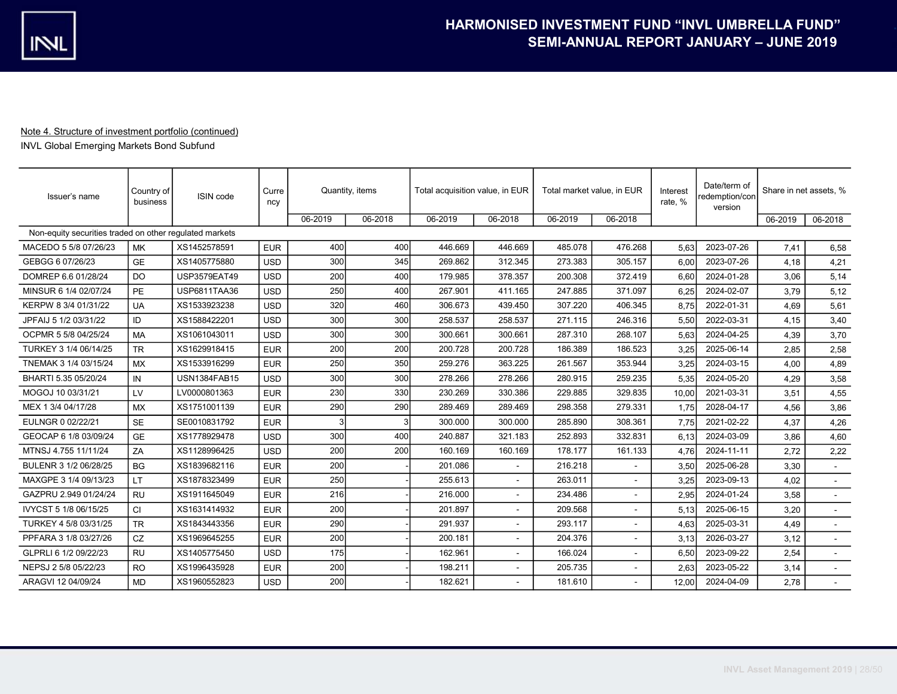INVL Global Emerging Markets Bond Subfund

| Issuer's name                                           | Country of<br>business | ISIN code           | Curre<br>ncy | Quantity, items |         | Total acquisition value, in EUR |         | Total market value, in EUR |                | Interest<br>rate, % | Date/term of<br>redemption/con<br>version | Share in net assets, % |         |
|---------------------------------------------------------|------------------------|---------------------|--------------|-----------------|---------|---------------------------------|---------|----------------------------|----------------|---------------------|-------------------------------------------|------------------------|---------|
|                                                         |                        |                     |              | 06-2019         | 06-2018 | 06-2019                         | 06-2018 | 06-2019                    | 06-2018        |                     |                                           | 06-2019                | 06-2018 |
| Non-equity securities traded on other requlated markets |                        |                     |              |                 |         |                                 |         |                            |                |                     |                                           |                        |         |
| MACEDO 5 5/8 07/26/23                                   | <b>MK</b>              | XS1452578591        | <b>EUR</b>   | 400             | 400     | 446.669                         | 446.669 | 485.078                    | 476.268        | 5.63                | 2023-07-26                                | 7.41                   | 6,58    |
| GEBGG 6 07/26/23                                        | <b>GE</b>              | XS1405775880        | <b>USD</b>   | 300             | 345     | 269.862                         | 312.345 | 273.383                    | 305.157        | 6.00                | 2023-07-26                                | 4.18                   | 4,21    |
| DOMREP 6.6 01/28/24                                     | D <sub>O</sub>         | <b>USP3579EAT49</b> | <b>USD</b>   | 200             | 400     | 179.985                         | 378.357 | 200.308                    | 372.419        | 6.60                | 2024-01-28                                | 3,06                   | 5,14    |
| MINSUR 6 1/4 02/07/24                                   | <b>PE</b>              | <b>USP6811TAA36</b> | <b>USD</b>   | 250             | 400     | 267.901                         | 411.165 | 247.885                    | 371.097        | 6.25                | 2024-02-07                                | 3.79                   | 5,12    |
| KERPW 8 3/4 01/31/22                                    | <b>UA</b>              | XS1533923238        | <b>USD</b>   | 320             | 460     | 306.673                         | 439.450 | 307.220                    | 406.345        | 8.75                | 2022-01-31                                | 4.69                   | 5,61    |
| JPFAIJ 5 1/2 03/31/22                                   | ID                     | XS1588422201        | <b>USD</b>   | 300             | 300     | 258.537                         | 258.537 | 271.115                    | 246.316        | 5.50                | 2022-03-31                                | 4.15                   | 3,40    |
| OCPMR 5 5/8 04/25/24                                    | <b>MA</b>              | XS1061043011        | <b>USD</b>   | 300             | 300     | 300.661                         | 300.661 | 287.310                    | 268.107        | 5.63                | 2024-04-25                                | 4.39                   | 3,70    |
| TURKEY 3 1/4 06/14/25                                   | <b>TR</b>              | XS1629918415        | <b>EUR</b>   | 200             | 200     | 200.728                         | 200.728 | 186.389                    | 186.523        | 3,25                | 2025-06-14                                | 2,85                   | 2,58    |
| TNEMAK 3 1/4 03/15/24                                   | <b>MX</b>              | XS1533916299        | <b>EUR</b>   | 250             | 350     | 259.276                         | 363.225 | 261.567                    | 353.944        | 3,25                | 2024-03-15                                | 4,00                   | 4,89    |
| BHARTI 5.35 05/20/24                                    | IN                     | <b>USN1384FAB15</b> | <b>USD</b>   | 300             | 300     | 278.266                         | 278.266 | 280.915                    | 259.235        | 5.35                | 2024-05-20                                | 4.29                   | 3,58    |
| MOGOJ 10 03/31/21                                       | LV                     | LV0000801363        | <b>EUR</b>   | 230             | 330     | 230.269                         | 330.386 | 229.885                    | 329.835        | 10,00               | 2021-03-31                                | 3,51                   | 4,55    |
| MEX 1 3/4 04/17/28                                      | MX                     | XS1751001139        | <b>EUR</b>   | 290             | 290     | 289.469                         | 289.469 | 298.358                    | 279.331        | 1,75                | 2028-04-17                                | 4,56                   | 3,86    |
| EULNGR 0 02/22/21                                       | <b>SE</b>              | SE0010831792        | <b>EUR</b>   | 3               |         | 300.000                         | 300.000 | 285.890                    | 308.361        | 7,75                | 2021-02-22                                | 4,37                   | 4,26    |
| GEOCAP 6 1/8 03/09/24                                   | <b>GE</b>              | XS1778929478        | <b>USD</b>   | 300             | 400     | 240.887                         | 321.183 | 252.893                    | 332.831        | 6,13                | 2024-03-09                                | 3,86                   | 4,60    |
| MTNSJ 4.755 11/11/24                                    | ZA                     | XS1128996425        | <b>USD</b>   | 200             | 200     | 160.169                         | 160.169 | 178.177                    | 161.133        | 4,76                | 2024-11-11                                | 2,72                   | 2,22    |
| BULENR 3 1/2 06/28/25                                   | <b>BG</b>              | XS1839682116        | <b>EUR</b>   | 200             |         | 201.086                         | $\sim$  | 216.218                    |                | 3,50                | 2025-06-28                                | 3,30                   |         |
| MAXGPE 3 1/4 09/13/23                                   | <b>LT</b>              | XS1878323499        | <b>EUR</b>   | 250             |         | 255.613                         |         | 263.011                    | $\blacksquare$ | 3.25                | 2023-09-13                                | 4,02                   | $\sim$  |
| GAZPRU 2.949 01/24/24                                   | <b>RU</b>              | XS1911645049        | <b>EUR</b>   | 216             |         | 216.000                         |         | 234.486                    |                | 2.95                | 2024-01-24                                | 3,58                   |         |
| IVYCST 5 1/8 06/15/25                                   | <b>CI</b>              | XS1631414932        | <b>EUR</b>   | 200             |         | 201.897                         |         | 209.568                    | $\overline{a}$ | 5,13                | 2025-06-15                                | 3,20                   | $\sim$  |
| TURKEY 4 5/8 03/31/25                                   | <b>TR</b>              | XS1843443356        | <b>EUR</b>   | 290             |         | 291.937                         |         | 293.117                    |                | 4,63                | 2025-03-31                                | 4,49                   |         |
| PPFARA 3 1/8 03/27/26                                   | CZ                     | XS1969645255        | <b>EUR</b>   | 200             |         | 200.181                         |         | 204.376                    | $\blacksquare$ | 3.13                | 2026-03-27                                | 3,12                   |         |
| GLPRLI 6 1/2 09/22/23                                   | <b>RU</b>              | XS1405775450        | <b>USD</b>   | 175             |         | 162.961                         |         | 166.024                    |                | 6.50                | 2023-09-22                                | 2,54                   |         |
| NEPSJ 2 5/8 05/22/23                                    | <b>RO</b>              | XS1996435928        | <b>EUR</b>   | 200             |         | 198.211                         | $\sim$  | 205.735                    | $\overline{a}$ | 2.63                | 2023-05-22                                | 3,14                   | $\sim$  |
| ARAGVI 12 04/09/24                                      | <b>MD</b>              | XS1960552823        | <b>USD</b>   | 200             |         | 182.621                         |         | 181.610                    |                | 12,00               | 2024-04-09                                | 2,78                   |         |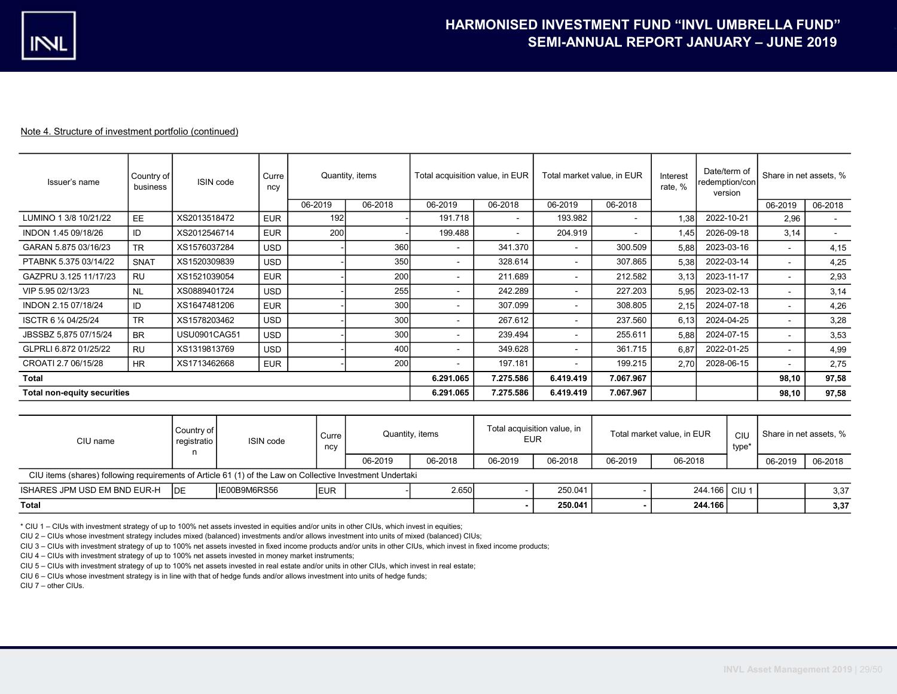| Issuer's name                      | Country of<br>business | ISIN code           | Quantity, items<br>Curre<br>ncy |         |         | Total acquisition value, in EUR |                          | Total market value, in EUR |           | Interest<br>rate, % | Date/term of<br>redemption/con<br>version | Share in net assets, %   |         |
|------------------------------------|------------------------|---------------------|---------------------------------|---------|---------|---------------------------------|--------------------------|----------------------------|-----------|---------------------|-------------------------------------------|--------------------------|---------|
|                                    |                        |                     |                                 | 06-2019 | 06-2018 | 06-2019                         | 06-2018                  | 06-2019                    | 06-2018   |                     |                                           | 06-2019                  | 06-2018 |
| LUMINO 1 3/8 10/21/22              | EE.                    | XS2013518472        | <b>EUR</b>                      | 192     |         | 191.718                         | $\overline{\phantom{a}}$ | 193.982                    | $\sim$    | 1.38                | 2022-10-21                                | 2,96                     |         |
| INDON 1.45 09/18/26                | ID                     | XS2012546714        | <b>EUR</b>                      | 200     |         | 199.488                         |                          | 204.919                    | ۰         | 1,45                | 2026-09-18                                | 3,14                     | $\sim$  |
| GARAN 5.875 03/16/23               | <b>TR</b>              | XS1576037284        | <b>USD</b>                      |         | 360     | $\blacksquare$                  | 341.370                  | $\sim$                     | 300.509   | 5,88                | 2023-03-16                                | $\sim$                   | 4,15    |
| PTABNK 5.375 03/14/22              | <b>SNAT</b>            | XS1520309839        | <b>USD</b>                      |         | 350     | ۰                               | 328.614                  | $\sim$                     | 307.865   | 5,38                | 2022-03-14                                | $\sim$                   | 4,25    |
| GAZPRU 3.125 11/17/23              | <b>RU</b>              | XS1521039054        | <b>EUR</b>                      |         | 200     | $\overline{\phantom{a}}$        | 211.689                  | $\sim$                     | 212.582   | 3.13                | 2023-11-17                                | $\overline{\phantom{a}}$ | 2,93    |
| VIP 5.95 02/13/23                  | <b>NL</b>              | XS0889401724        | <b>USD</b>                      |         | 255     | ۰                               | 242.289                  | $\sim$                     | 227.203   | 5,95                | 2023-02-13                                | $\sim$                   | 3,14    |
| INDON 2.15 07/18/24                | ID                     | XS1647481206        | <b>EUR</b>                      |         | 300     | ۰                               | 307.099                  | $\sim$                     | 308.805   | 2.15                | 2024-07-18                                | $\blacksquare$           | 4,26    |
| ISCTR 6 % 04/25/24                 | <b>TR</b>              | XS1578203462        | <b>USD</b>                      |         | 300     | $\blacksquare$                  | 267.612                  | $\sim$                     | 237.560   | 6,13                | 2024-04-25                                |                          | 3,28    |
| JBSSBZ 5,875 07/15/24              | <b>BR</b>              | <b>USU0901CAG51</b> | <b>USD</b>                      |         | 300     | ۰                               | 239.494                  | $\sim$                     | 255.611   | 5,88                | 2024-07-15                                | $\sim$                   | 3,53    |
| GLPRLI 6.872 01/25/22              | <b>RU</b>              | XS1319813769        | <b>USD</b>                      |         | 400     | $\blacksquare$                  | 349.628                  | $\sim$                     | 361.715   | 6.87                | 2022-01-25                                | $\blacksquare$           | 4,99    |
| CROATI 2.7 06/15/28                | HR.                    | XS1713462668        | <b>EUR</b>                      |         | 200     | $\blacksquare$                  | 197.181                  | $\sim$                     | 199.215   | 2.70                | 2028-06-15                                |                          | 2,75    |
| Total                              |                        |                     |                                 |         |         | 6.291.065                       | 7.275.586                | 6.419.419                  | 7.067.967 |                     |                                           | 98,10                    | 97,58   |
| <b>Total non-equity securities</b> |                        |                     |                                 |         |         | 6.291.065                       | 7.275.586                | 6.419.419                  | 7.067.967 |                     |                                           | 98,10                    | 97,58   |

| CIU name                                                                                                  | Country of<br>registratio | ISIN code    |             | Quantity, items |         | Total acquisition value, in<br><b>EUR</b> |         | Total market value, in EUR |               | CIU<br>type* | Share in net assets, % |         |
|-----------------------------------------------------------------------------------------------------------|---------------------------|--------------|-------------|-----------------|---------|-------------------------------------------|---------|----------------------------|---------------|--------------|------------------------|---------|
|                                                                                                           |                           |              |             | 06-2019         | 06-2018 | 06-2019                                   | 06-2018 | 06-2019                    | 06-2018       |              | 06-2019                | 06-2018 |
| CIU items (shares) following requirements of Article 61 (1) of the Law on Collective Investment Undertaki |                           |              |             |                 |         |                                           |         |                            |               |              |                        |         |
| ISHARES JPM USD EM BND EUR-H                                                                              | <b>IDE</b>                | IE00B9M6RS56 | <b>IEUR</b> |                 | 2.650   |                                           | 250.041 |                            | 244.166 CIU 1 |              |                        | 3,37    |
| Total                                                                                                     |                           |              |             |                 |         |                                           | 250.041 |                            | 244.166       |              |                        | 3,37    |

\* CIU 1 – CIUs with investment strategy of up to 100% net assets invested in equities and/or units in other CIUs, which invest in equities;

CIU 2 – CIUs whose investment strategy includes mixed (balanced) investments and/or allows investment into units of mixed (balanced) CIUs;

CIU 3 – CIUs with investment strategy of up to 100% net assets invested in fixed income products and/or units in other CIUs, which invest in fixed income products;

CIU 4 – CIUs with investment strategy of up to 100% net assets invested in money market instruments;

CIU 5 – CIUs with investment strategy of up to 100% net assets invested in real estate and/or units in other CIUs, which invest in real estate;

CIU 6 – CIUs whose investment strategy is in line with that of hedge funds and/or allows investment into units of hedge funds;

CIU 7 – other CIUs.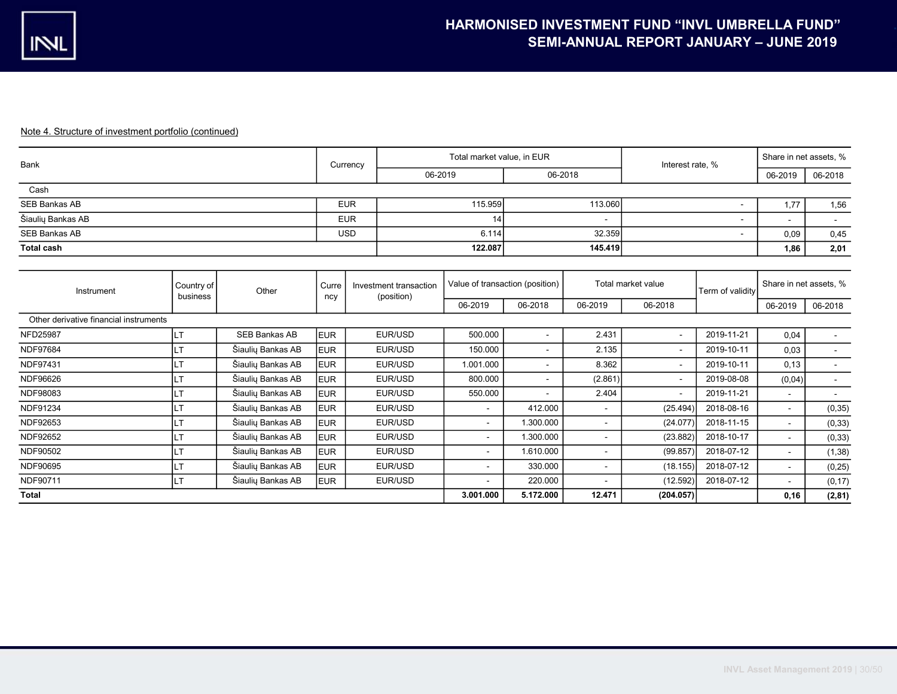| <b>Bank</b>                            |                        |                      |              | Currency                             | Total market value, in EUR |                                 |                | Interest rate, %   |                  | Share in net assets, % |         |
|----------------------------------------|------------------------|----------------------|--------------|--------------------------------------|----------------------------|---------------------------------|----------------|--------------------|------------------|------------------------|---------|
|                                        |                        |                      |              | 06-2019                              |                            | 06-2018                         |                |                    |                  | 06-2019                | 06-2018 |
| Cash                                   |                        |                      |              |                                      |                            |                                 |                |                    |                  |                        |         |
| <b>SEB Bankas AB</b>                   |                        |                      |              | <b>EUR</b>                           | 115.959                    |                                 | 113.060        |                    | $\blacksquare$   | 1,77                   | 1,56    |
| Šiaulių Bankas AB                      |                        |                      |              | <b>EUR</b>                           | 14                         |                                 |                |                    | ۰                |                        |         |
| <b>SEB Bankas AB</b>                   |                        |                      |              | <b>USD</b>                           | 6.114                      |                                 | 32.359         |                    | ۰.               | 0,09                   | 0,45    |
| <b>Total cash</b>                      |                        |                      |              |                                      | 122.087                    |                                 | 145.419        |                    |                  | 1,86                   | 2,01    |
|                                        |                        |                      |              |                                      |                            |                                 |                |                    |                  |                        |         |
| Instrument                             | Country of<br>business | Other                | Curre<br>ncy | Investment transaction<br>(position) |                            | Value of transaction (position) |                | Total market value | Term of validity | Share in net assets, % |         |
|                                        |                        |                      |              |                                      | 06-2019                    | 06-2018                         | 06-2019        | 06-2018            |                  | 06-2019                | 06-2018 |
| Other derivative financial instruments |                        |                      |              |                                      |                            |                                 |                |                    |                  |                        |         |
| <b>NFD25987</b>                        | ILТ                    | <b>SEB Bankas AB</b> | <b>EUR</b>   | EUR/USD                              | 500.000                    | ٠                               | 2.431          | $\blacksquare$     | 2019-11-21       | 0,04                   | $\sim$  |
| <b>NDF97684</b>                        | <b>LT</b>              | Šiaulių Bankas AB    | <b>EUR</b>   | EUR/USD                              | 150.000                    | $\blacksquare$                  | 2.135          | $\blacksquare$     | 2019-10-11       | 0,03                   | $\sim$  |
| NDF97431                               | LT                     | Šiaulių Bankas AB    | <b>EUR</b>   | EUR/USD                              | 1.001.000                  | ٠                               | 8.362          | $\blacksquare$     | 2019-10-11       | 0, 13                  | $\sim$  |
| NDF96626                               | LT                     | Šiaulių Bankas AB    | <b>EUR</b>   | EUR/USD                              | 800.000                    | Ĭ.                              | (2.861)        | $\blacksquare$     | 2019-08-08       | (0,04)                 | $\sim$  |
| NDF98083                               | LТ                     | Šiaulių Bankas AB    | <b>EUR</b>   | EUR/USD                              | 550.000                    |                                 | 2.404          | $\blacksquare$     | 2019-11-21       | $\mathbf{r}$           | $\sim$  |
| <b>NDF91234</b>                        | LТ                     | Šiaulių Bankas AB    | <b>EUR</b>   | EUR/USD                              | $\sim$                     | 412.000                         | $\blacksquare$ | (25.494)           | 2018-08-16       | $\mathbf{r}$           | (0, 35) |
| NDF92653                               | LТ                     | Šiaulių Bankas AB    | <b>EUR</b>   | EUR/USD                              | $\sim$                     | 1.300.000                       | $\blacksquare$ | (24.077)           | 2018-11-15       |                        | (0, 33) |
| NDF92652                               | LT.                    | Šiaulių Bankas AB    | <b>EUR</b>   | EUR/USD                              | $\sim$                     | 1.300.000                       | $\blacksquare$ | (23.882)           | 2018-10-17       |                        | (0, 33) |
| NDF90502                               | IT.                    | Šiaulių Bankas AB    | <b>EUR</b>   | EUR/USD                              | $\sim$                     | 1.610.000                       | $\blacksquare$ | (99.857)           | 2018-07-12       |                        | (1, 38) |
| NDF90695                               | LT.                    | Šiaulių Bankas AB    | <b>EUR</b>   | EUR/USD                              | $\sim$                     | 330.000                         | $\blacksquare$ | (18.155)           | 2018-07-12       | $\blacksquare$         | (0, 25) |
| NDF90711<br>Šiaulių Bankas AB<br>LT    |                        |                      | <b>EUR</b>   | EUR/USD                              | $\sim$                     | 220.000                         |                | (12.592)           | 2018-07-12       | $\blacksquare$         | (0, 17) |
| <b>Total</b>                           |                        |                      |              |                                      | 3.001.000                  | 5.172.000                       | 12.471         | (204.057)          |                  | 0, 16                  | (2, 81) |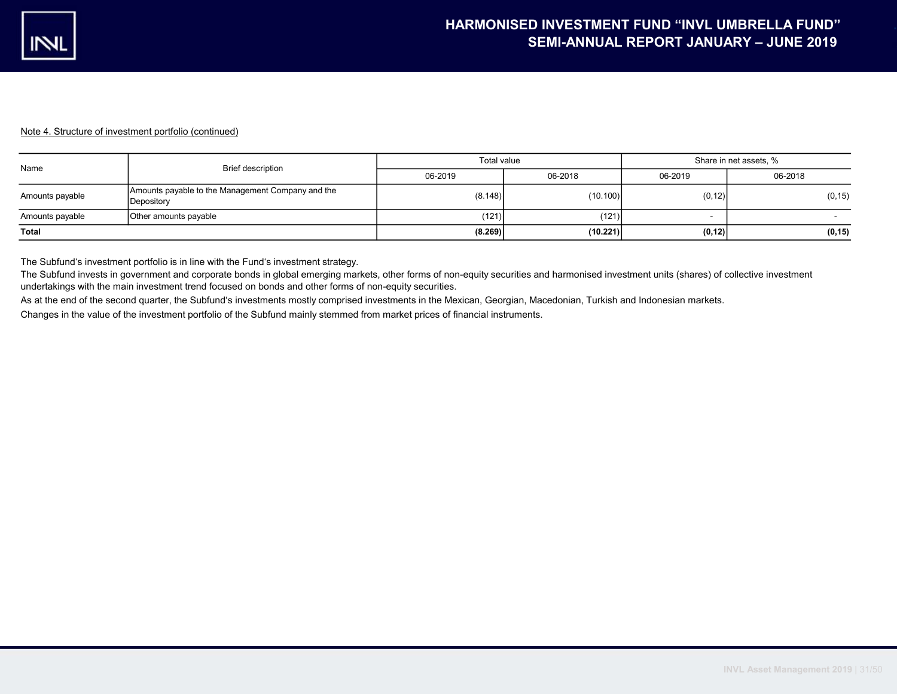| Name            | Brief description                                               | Total value |          | Share in net assets, %   |         |  |  |
|-----------------|-----------------------------------------------------------------|-------------|----------|--------------------------|---------|--|--|
|                 |                                                                 | 06-2019     | 06-2018  | 06-2019                  | 06-2018 |  |  |
| Amounts payable | Amounts payable to the Management Company and the<br>Depository | (8.148)     | (10.100) | (0, 12)                  | (0, 15) |  |  |
| Amounts payable | Other amounts payable                                           | (121)       | (121)    | $\overline{\phantom{a}}$ |         |  |  |
| <b>Total</b>    |                                                                 | (8.269)     | (10.221) | (0, 12)                  | (0, 15) |  |  |

The Subfund's investment portfolio is in line with the Fund's investment strategy.

The Subfund invests in government and corporate bonds in global emerging markets, other forms of non-equity securities and harmonised investment units (shares) of collective investment undertakings with the main investment trend focused on bonds and other forms of non-equity securities.

As at the end of the second quarter, the Subfund's investments mostly comprised investments in the Mexican, Georgian, Macedonian, Turkish and Indonesian markets.

Changes in the value of the investment portfolio of the Subfund mainly stemmed from market prices of financial instruments.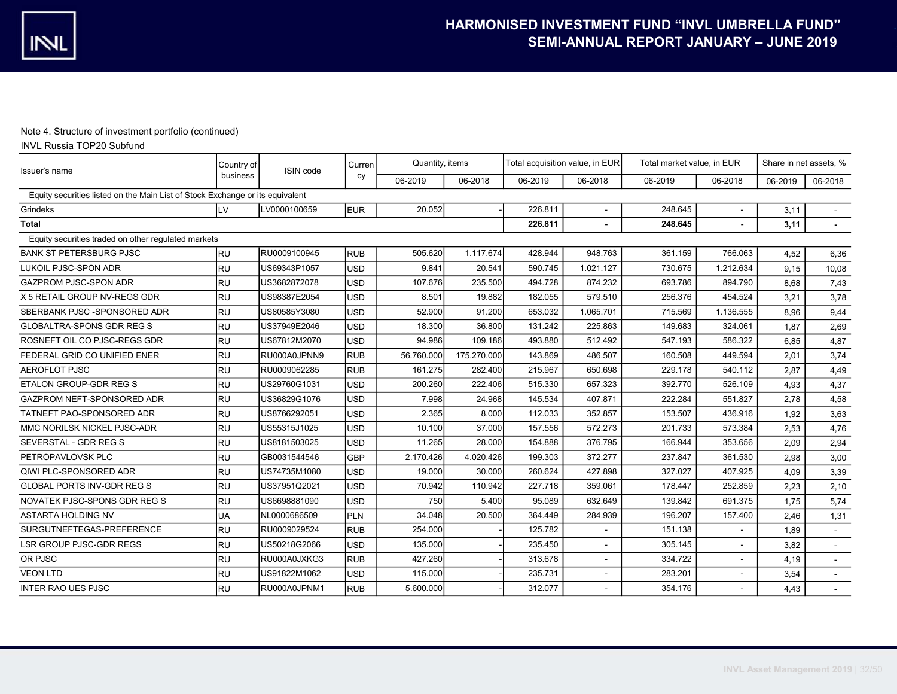## INVL Russia TOP20 Subfund

| Issuer's name                                                                 | Country of | ISIN code    | Curren     | Quantity, items |             | Total acquisition value, in EUR |                | Total market value, in EUR |              | Share in net assets, % |                |
|-------------------------------------------------------------------------------|------------|--------------|------------|-----------------|-------------|---------------------------------|----------------|----------------------------|--------------|------------------------|----------------|
|                                                                               | business   |              | cy         | 06-2019         | 06-2018     | 06-2019                         | 06-2018        | 06-2019                    | 06-2018      | 06-2019                | 06-2018        |
| Equity securities listed on the Main List of Stock Exchange or its equivalent |            |              |            |                 |             |                                 |                |                            |              |                        |                |
| Grindeks                                                                      | LV         | LV0000100659 | EUR        | 20.052          |             | 226.811                         | ÷              | 248.645                    |              | 3,11                   | $\sim$         |
| <b>Total</b>                                                                  |            |              |            |                 |             | 226.811                         |                | 248.645                    |              | 3,11                   |                |
| Equity securities traded on other requlated markets                           |            |              |            |                 |             |                                 |                |                            |              |                        |                |
| <b>BANK ST PETERSBURG PJSC</b>                                                | <b>RU</b>  | RU0009100945 | <b>RUB</b> | 505.620         | 1.117.674   | 428.944                         | 948.763        | 361.159                    | 766.063      | 4.52                   | 6,36           |
| LUKOIL PJSC-SPON ADR                                                          | <b>RU</b>  | US69343P1057 | <b>USD</b> | 9.841           | 20.541      | 590.745                         | 1.021.127      | 730.675                    | 1.212.634    | 9,15                   | 10,08          |
| <b>GAZPROM PJSC-SPON ADR</b>                                                  | <b>RU</b>  | US3682872078 | <b>USD</b> | 107.676         | 235.500     | 494.728                         | 874.232        | 693.786                    | 894.790      | 8,68                   | 7,43           |
| X 5 RETAIL GROUP NV-REGS GDR                                                  | <b>RU</b>  | US98387E2054 | USD        | 8.501           | 19.882      | 182.055                         | 579.510        | 256.376                    | 454.524      | 3,21                   | 3,78           |
| SBERBANK PJSC - SPONSORED ADR                                                 | <b>RU</b>  | US80585Y3080 | USD        | 52.900          | 91.200      | 653.032                         | 1.065.701      | 715.569                    | 1.136.555    | 8,96                   | 9,44           |
| <b>GLOBALTRA-SPONS GDR REG S</b>                                              | <b>RU</b>  | US37949E2046 | USD        | 18.300          | 36.800      | 131.242                         | 225.863        | 149.683                    | 324.061      | 1,87                   | 2,69           |
| ROSNEFT OIL CO PJSC-REGS GDR                                                  | <b>RU</b>  | US67812M2070 | USD        | 94.986          | 109.186     | 493.880                         | 512.492        | 547.193                    | 586.322      | 6,85                   | 4,87           |
| FEDERAL GRID CO UNIFIED ENER                                                  | <b>RU</b>  | RU000A0JPNN9 | <b>RUB</b> | 56.760.000      | 175.270.000 | 143.869                         | 486.507        | 160.508                    | 449.594      | 2,01                   | 3,74           |
| <b>AEROFLOT PJSC</b>                                                          | <b>RU</b>  | RU0009062285 | <b>RUB</b> | 161.275         | 282.400     | 215.967                         | 650.698        | 229.178                    | 540.112      | 2,87                   | 4,49           |
| ETALON GROUP-GDR REG S                                                        | <b>RU</b>  | US29760G1031 | <b>USD</b> | 200.260         | 222.406     | 515.330                         | 657.323        | 392.770                    | 526.109      | 4,93                   | 4,37           |
| GAZPROM NEFT-SPONSORED ADR                                                    | <b>RU</b>  | US36829G1076 | USD        | 7.998           | 24.968      | 145.534                         | 407.871        | 222.284                    | 551.827      | 2,78                   | 4,58           |
| TATNEFT PAO-SPONSORED ADR                                                     | <b>RU</b>  | US8766292051 | <b>USD</b> | 2.365           | 8.000       | 112.033                         | 352.857        | 153.507                    | 436.916      | 1,92                   | 3,63           |
| MMC NORILSK NICKEL PJSC-ADR                                                   | <b>RU</b>  | US55315J1025 | USD        | 10.100          | 37.000      | 157.556                         | 572.273        | 201.733                    | 573.384      | 2,53                   | 4,76           |
| SEVERSTAL - GDR REG S                                                         | <b>RU</b>  | US8181503025 | <b>USD</b> | 11.265          | 28.000      | 154.888                         | 376.795        | 166.944                    | 353.656      | 2,09                   | 2,94           |
| PETROPAVLOVSK PLC                                                             | <b>RU</b>  | GB0031544546 | <b>GBP</b> | 2.170.426       | 4.020.426   | 199.303                         | 372.277        | 237.847                    | 361.530      | 2,98                   | 3,00           |
| QIWI PLC-SPONSORED ADR                                                        | <b>RU</b>  | US74735M1080 | <b>USD</b> | 19.000          | 30.000      | 260.624                         | 427.898        | 327.027                    | 407.925      | 4,09                   | 3,39           |
| <b>GLOBAL PORTS INV-GDR REG S</b>                                             | <b>RU</b>  | US37951Q2021 | USD        | 70.942          | 110.942     | 227.718                         | 359.061        | 178.447                    | 252.859      | 2,23                   | 2,10           |
| NOVATEK PJSC-SPONS GDR REG S                                                  | <b>RU</b>  | US6698881090 | USD        | 750             | 5.400       | 95.089                          | 632.649        | 139.842                    | 691.375      | 1,75                   | 5,74           |
| <b>ASTARTA HOLDING NV</b>                                                     | UA         | NL0000686509 | PLN        | 34.048          | 20.500      | 364.449                         | 284.939        | 196.207                    | 157.400      | 2,46                   | 1,31           |
| SURGUTNEFTEGAS-PREFERENCE                                                     | <b>RU</b>  | RU0009029524 | RUB        | 254.000         |             | 125.782                         | $\blacksquare$ | 151.138                    | $\sim$       | 1,89                   |                |
| <b>LSR GROUP PJSC-GDR REGS</b>                                                | <b>RU</b>  | US50218G2066 | <b>USD</b> | 135.000         |             | 235.450                         |                | 305.145                    | $\mathbf{r}$ | 3,82                   |                |
| OR PJSC                                                                       | <b>RU</b>  | RU000A0JXKG3 | <b>RUB</b> | 427.260         |             | 313.678                         | ÷              | 334.722                    | $\sim$       | 4,19                   | $\sim$         |
| <b>VEON LTD</b>                                                               | <b>RU</b>  | US91822M1062 | <b>USD</b> | 115.000         |             | 235.731                         |                | 283.201                    |              | 3,54                   |                |
| <b>INTER RAO UES PJSC</b>                                                     | <b>RU</b>  | RU000A0JPNM1 | <b>RUB</b> | 5.600.000       |             | 312.077                         |                | 354.176                    |              | 4,43                   | $\blacksquare$ |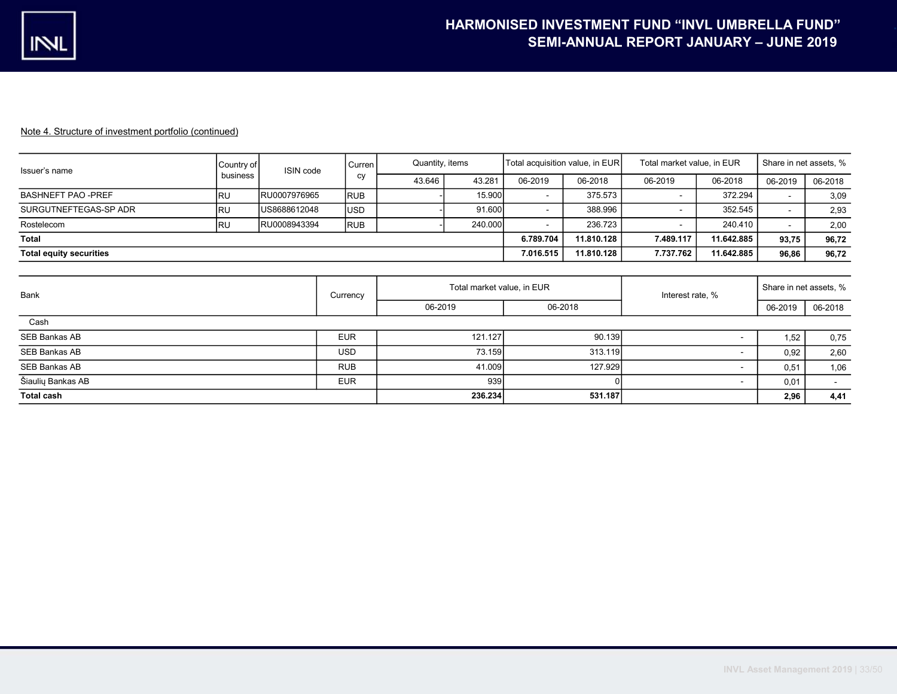| Issuer's name                  | Country of | ISIN code    | l Curren   | Quantity, items |         | Total acquisition value, in EUR |            | Total market value, in EUR | Share in net assets, % |         |         |
|--------------------------------|------------|--------------|------------|-----------------|---------|---------------------------------|------------|----------------------------|------------------------|---------|---------|
|                                | business   |              | cy         | 43.646          | 43.281  | 06-2019                         | 06-2018    | 06-2019                    | 06-2018                | 06-2019 | 06-2018 |
| <b>BASHNEFT PAO -PREF</b>      | <b>RU</b>  | RU0007976965 | <b>RUB</b> |                 | 15.900  | $\overline{\phantom{a}}$        | 375.573    |                            | 372.294                |         | 3,09    |
| SURGUTNEFTEGAS-SP ADR          | <b>RU</b>  | US8688612048 | <b>USD</b> |                 | 91.600  | $\sim$                          | 388.996    |                            | 352.545                |         | 2,93    |
| Rostelecom                     | <b>IRU</b> | RU0008943394 | <b>RUB</b> |                 | 240.000 | $\overline{\phantom{a}}$        | 236.723    |                            | 240.410                |         | 2,00    |
| Total                          |            |              |            |                 |         | 6.789.704                       | 11.810.128 | 7.489.117                  | 11.642.885             | 93.75   | 96,72   |
| <b>Total equity securities</b> |            |              |            |                 |         | 7.016.515                       | 11.810.128 | 7.737.762                  | 11.642.885             | 96,86   | 96,72   |
|                                |            |              |            |                 |         |                                 |            |                            |                        |         |         |

| Bank              | Currency   | Total market value, in EUR |         | Interest rate, % | Share in net assets, % |         |
|-------------------|------------|----------------------------|---------|------------------|------------------------|---------|
|                   |            | 06-2019                    | 06-2018 |                  | 06-2019                | 06-2018 |
| Cash              |            |                            |         |                  |                        |         |
| SEB Bankas AB     | <b>EUR</b> | 121.127                    | 90.139  |                  | 1,52                   | 0,75    |
| SEB Bankas AB     | <b>USD</b> | 73.159                     | 313.119 |                  | 0,92                   | 2,60    |
| SEB Bankas AB     | <b>RUB</b> | 41.009                     | 127.929 |                  | 0,51                   | 1,06    |
| Šiaulių Bankas AB | <b>EUR</b> | 939                        | ΩI      |                  | 0,01                   |         |
| <b>Total cash</b> |            | 236,234                    | 531.187 |                  | 2,96                   | 4,41    |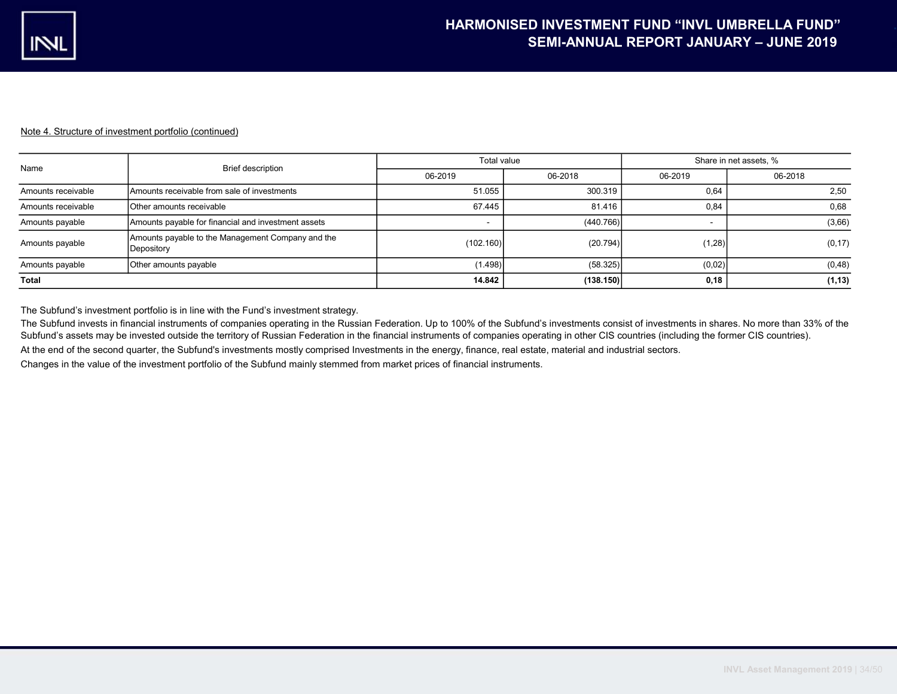| Name               | Brief description                                               | Total value              |           | Share in net assets, %   |         |  |
|--------------------|-----------------------------------------------------------------|--------------------------|-----------|--------------------------|---------|--|
|                    |                                                                 | 06-2019                  | 06-2018   | 06-2019                  | 06-2018 |  |
| Amounts receivable | Amounts receivable from sale of investments                     | 51.055                   | 300.319   | 0,64                     | 2,50    |  |
| Amounts receivable | Other amounts receivable                                        | 67.445                   | 81.416    | 0,84                     | 0,68    |  |
| Amounts payable    | Amounts payable for financial and investment assets             | $\overline{\phantom{a}}$ | (440.766) | $\overline{\phantom{a}}$ | (3,66)  |  |
| Amounts payable    | Amounts payable to the Management Company and the<br>Depository | (102.160)                | (20.794)  | (1,28)                   | (0, 17) |  |
| Amounts payable    | Other amounts payable                                           | (1.498)                  | (58.325)  | (0,02)                   | (0, 48) |  |
| <b>Total</b>       |                                                                 | 14.842                   | (138.150) | 0,18                     | (1, 13) |  |

The Subfund's investment portfolio is in line with the Fund's investment strategy.

The Subfund invests in financial instruments of companies operating in the Russian Federation. Up to 100% of the Subfund's investments consist of investments in shares. No more than 33% of the Subfund's assets may be invested outside the territory of Russian Federation in the financial instruments of companies operating in other CIS countries (including the former CIS countries).

At the end of the second quarter, the Subfund's investments mostly comprised Investments in the energy, finance, real estate, material and industrial sectors.

Changes in the value of the investment portfolio of the Subfund mainly stemmed from market prices of financial instruments.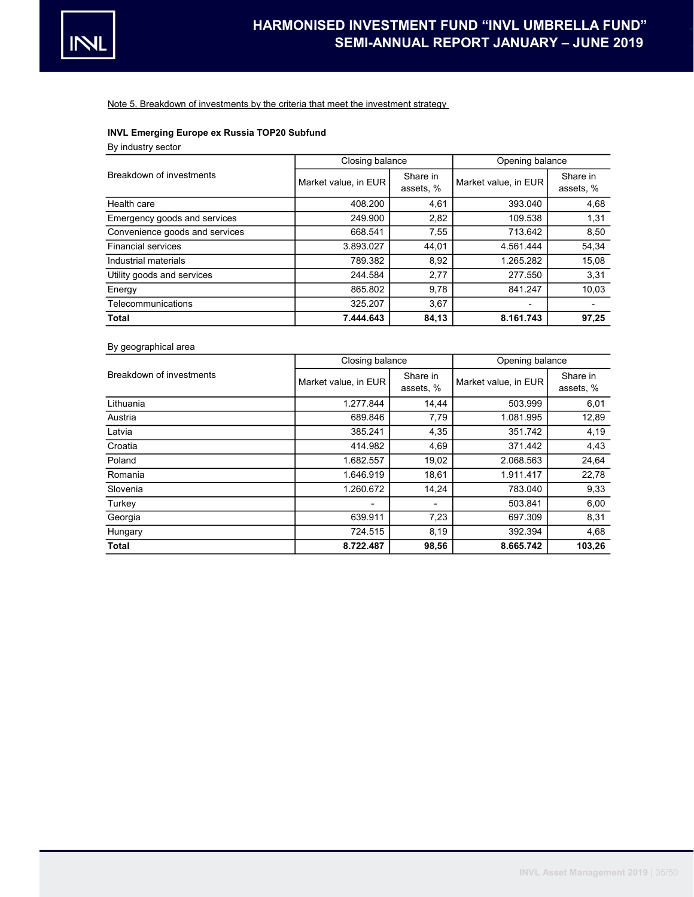

Note 5. Breakdown of investments by the criteria that meet the investment strategy

# INVL Emerging Europe ex Russia TOP20 Subfund

By industry sector

|                                | Closing balance      |                       | Opening balance      |                       |  |  |
|--------------------------------|----------------------|-----------------------|----------------------|-----------------------|--|--|
| Breakdown of investments       | Market value, in EUR | Share in<br>assets, % | Market value, in EUR | Share in<br>assets, % |  |  |
| Health care                    | 408.200              | 4,61                  | 393.040              | 4,68                  |  |  |
| Emergency goods and services   | 249.900              | 2,82                  | 109.538              | 1,31                  |  |  |
| Convenience goods and services | 668.541              | 7,55                  | 713.642              | 8,50                  |  |  |
| <b>Financial services</b>      | 3.893.027            | 44,01                 | 4.561.444            | 54,34                 |  |  |
| Industrial materials           | 789.382              | 8,92                  | 1.265.282            | 15,08                 |  |  |
| Utility goods and services     | 244.584              | 2,77                  | 277.550              | 3,31                  |  |  |
| Energy                         | 865.802              | 9,78                  | 841.247              | 10,03                 |  |  |
| Telecommunications             | 325.207              | 3,67                  |                      |                       |  |  |
| <b>Total</b>                   | 7.444.643            | 84,13                 | 8.161.743            | 97,25                 |  |  |

# By geographical area

|                          | Closing balance      |                       | Opening balance      |                       |  |
|--------------------------|----------------------|-----------------------|----------------------|-----------------------|--|
| Breakdown of investments | Market value, in EUR | Share in<br>assets, % | Market value, in EUR | Share in<br>assets, % |  |
| Lithuania                | 1.277.844            | 14,44                 | 503.999              | 6,01                  |  |
| Austria                  | 689.846              | 7,79                  | 1.081.995            | 12,89                 |  |
| Latvia                   | 385.241              | 4,35                  | 351.742              | 4,19                  |  |
| Croatia                  | 414.982              | 4,69                  | 371.442              | 4,43                  |  |
| Poland                   | 1.682.557            | 19,02                 | 2.068.563            | 24,64                 |  |
| Romania                  | 1.646.919            | 18,61                 | 1.911.417            | 22,78                 |  |
| Slovenia                 | 1.260.672            | 14,24                 | 783.040              | 9,33                  |  |
| Turkey                   | -                    | ٠                     | 503.841              | 6,00                  |  |
| Georgia                  | 639.911              | 7,23                  | 697.309              | 8,31                  |  |
| Hungary                  | 724.515              | 8,19                  | 392.394              | 4,68                  |  |
| <b>Total</b>             | 8.722.487            | 98,56                 | 8.665.742            | 103,26                |  |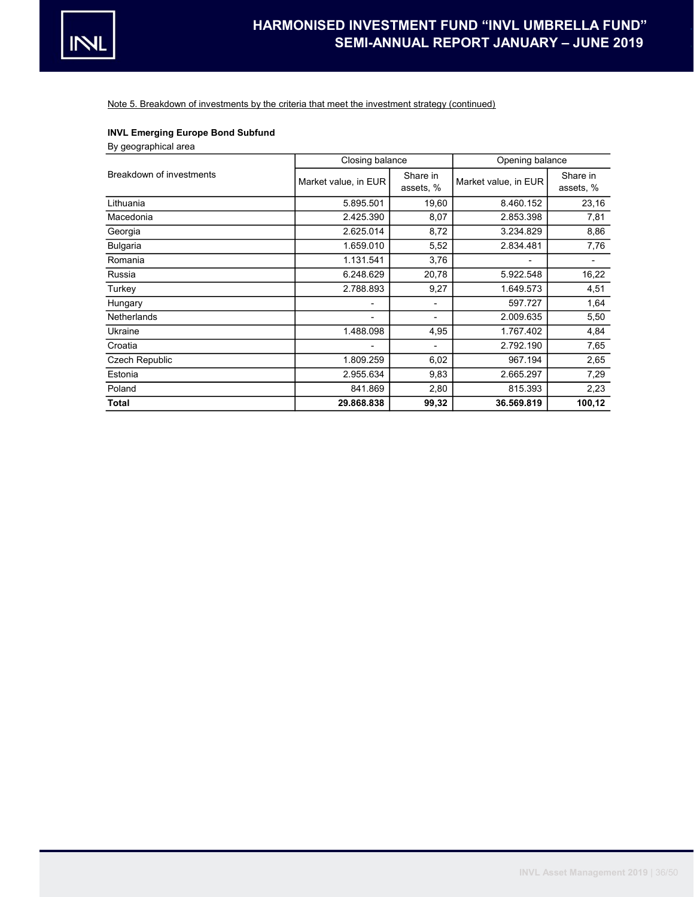

Note 5. Breakdown of investments by the criteria that meet the investment strategy (continued)

# INVL Emerging Europe Bond Subfund

By geographical area

|                          | Closing balance      |                          | Opening balance      |                       |
|--------------------------|----------------------|--------------------------|----------------------|-----------------------|
| Breakdown of investments | Market value, in EUR | Share in<br>assets, %    | Market value, in EUR | Share in<br>assets, % |
| Lithuania                | 5.895.501            | 19,60                    | 8.460.152            | 23,16                 |
| Macedonia                | 2.425.390            | 8,07                     | 2.853.398            | 7,81                  |
| Georgia                  | 2.625.014            | 8,72                     | 3.234.829            | 8,86                  |
| <b>Bulgaria</b>          | 1.659.010            | 5,52                     | 2.834.481            | 7,76                  |
| Romania                  | 1.131.541            | 3,76                     |                      |                       |
| Russia                   | 6.248.629            | 20,78                    | 5.922.548            | 16,22                 |
| Turkey                   | 2.788.893            | 9,27                     | 1.649.573            | 4,51                  |
| Hungary                  | ٠                    | $\overline{\phantom{a}}$ | 597.727              | 1,64                  |
| Netherlands              | -                    |                          | 2.009.635            | 5,50                  |
| Ukraine                  | 1.488.098            | 4,95                     | 1.767.402            | 4,84                  |
| Croatia                  |                      | $\overline{\phantom{a}}$ | 2.792.190            | 7,65                  |
| <b>Czech Republic</b>    | 1.809.259            | 6,02                     | 967.194              | 2,65                  |
| Estonia                  | 2.955.634            | 9,83                     | 2.665.297            | 7,29                  |
| Poland                   | 841.869              | 2,80                     | 815.393              | 2,23                  |
| <b>Total</b>             | 29.868.838           | 99,32                    | 36.569.819           | 100,12                |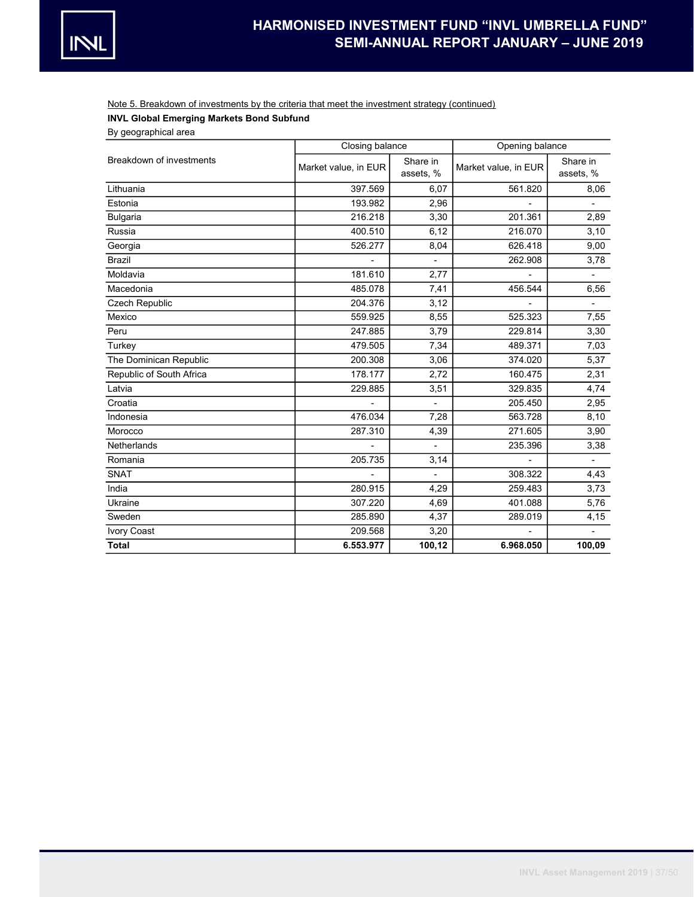# Note 5. Breakdown of investments by the criteria that meet the investment strategy (continued)

# INVL Global Emerging Markets Bond Subfund

By geographical area

|                          | Closing balance                               |                          | Opening balance      |                       |  |
|--------------------------|-----------------------------------------------|--------------------------|----------------------|-----------------------|--|
| Breakdown of investments | Share in<br>Market value, in EUR<br>assets, % |                          | Market value, in EUR | Share in<br>assets, % |  |
| Lithuania                | 397.569                                       | 6,07                     | 561.820              | 8,06                  |  |
| Estonia                  | 193.982                                       | 2,96                     |                      |                       |  |
| <b>Bulgaria</b>          | 216.218                                       | 3,30                     | 201.361              | 2,89                  |  |
| Russia                   | 400.510                                       | 6, 12                    | 216.070              | 3,10                  |  |
| Georgia                  | 526.277                                       | 8,04                     | 626.418              | 9,00                  |  |
| <b>Brazil</b>            |                                               | $\blacksquare$           | 262.908              | 3,78                  |  |
| Moldavia                 | 181.610                                       | 2,77                     |                      | ÷.                    |  |
| Macedonia                | 485.078                                       | 7,41                     | 456.544              | 6,56                  |  |
| Czech Republic           | 204.376                                       | 3,12                     |                      |                       |  |
| Mexico                   | 559.925                                       | 8,55                     | 525.323              | 7,55                  |  |
| Peru                     | 247.885                                       | 3,79                     | 229.814              | 3,30                  |  |
| Turkey                   | 479.505                                       | 7,34                     | 489.371              | 7,03                  |  |
| The Dominican Republic   | 200.308                                       | 3,06                     | 374.020              | 5,37                  |  |
| Republic of South Africa | 178.177                                       | 2,72                     | 160.475              | 2,31                  |  |
| Latvia                   | 229.885                                       | 3,51                     | 329.835              | 4,74                  |  |
| Croatia                  |                                               | $\overline{a}$           | 205.450              | 2,95                  |  |
| Indonesia                | 476.034                                       | 7,28                     | 563.728              | 8,10                  |  |
| Morocco                  | 287.310                                       | 4,39                     | 271.605              | 3,90                  |  |
| <b>Netherlands</b>       |                                               | $\overline{\phantom{a}}$ | 235.396              | 3,38                  |  |
| Romania                  | 205.735                                       | 3,14                     |                      |                       |  |
| <b>SNAT</b>              |                                               | $\overline{a}$           | 308.322              | 4,43                  |  |
| India                    | 280.915                                       | 4,29                     | 259.483              | 3,73                  |  |
| Ukraine                  | 307.220                                       | 4,69                     | 401.088              | 5,76                  |  |
| Sweden                   | 285.890                                       | 4,37                     | 289.019              | 4,15                  |  |
| Ivory Coast              | 209.568                                       | 3,20                     |                      |                       |  |
| <b>Total</b>             | 6.553.977                                     | 100,12                   | 6.968.050            | 100,09                |  |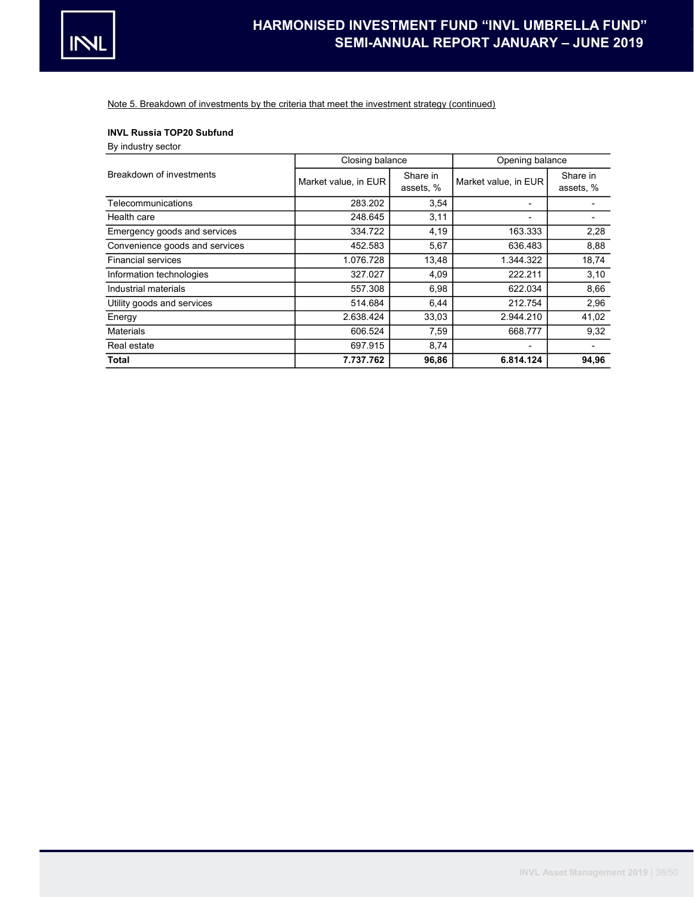

Note 5. Breakdown of investments by the criteria that meet the investment strategy (continued)

## INVL Russia TOP20 Subfund

By industry sector

|                                | Closing balance      |                       | Opening balance      |                       |
|--------------------------------|----------------------|-----------------------|----------------------|-----------------------|
| Breakdown of investments       | Market value, in EUR | Share in<br>assets, % | Market value, in EUR | Share in<br>assets, % |
| Telecommunications             | 283.202              | 3,54                  |                      |                       |
| Health care                    | 248.645              | 3,11                  |                      |                       |
| Emergency goods and services   | 334.722              | 4,19                  | 163.333              | 2,28                  |
| Convenience goods and services | 452.583              | 5,67                  | 636.483              | 8,88                  |
| <b>Financial services</b>      | 1.076.728            | 13,48                 | 1.344.322            | 18,74                 |
| Information technologies       | 327.027              | 4,09                  | 222.211              | 3,10                  |
| Industrial materials           | 557.308              | 6,98                  | 622.034              | 8,66                  |
| Utility goods and services     | 514.684              | 6,44                  | 212.754              | 2,96                  |
| Energy                         | 2.638.424            | 33,03                 | 2.944.210            | 41,02                 |
| <b>Materials</b>               | 606.524              | 7,59                  | 668.777              | 9,32                  |
| Real estate                    | 697.915              | 8,74                  | ٠                    |                       |
| Total                          | 7.737.762            | 96,86                 | 6.814.124            | 94,96                 |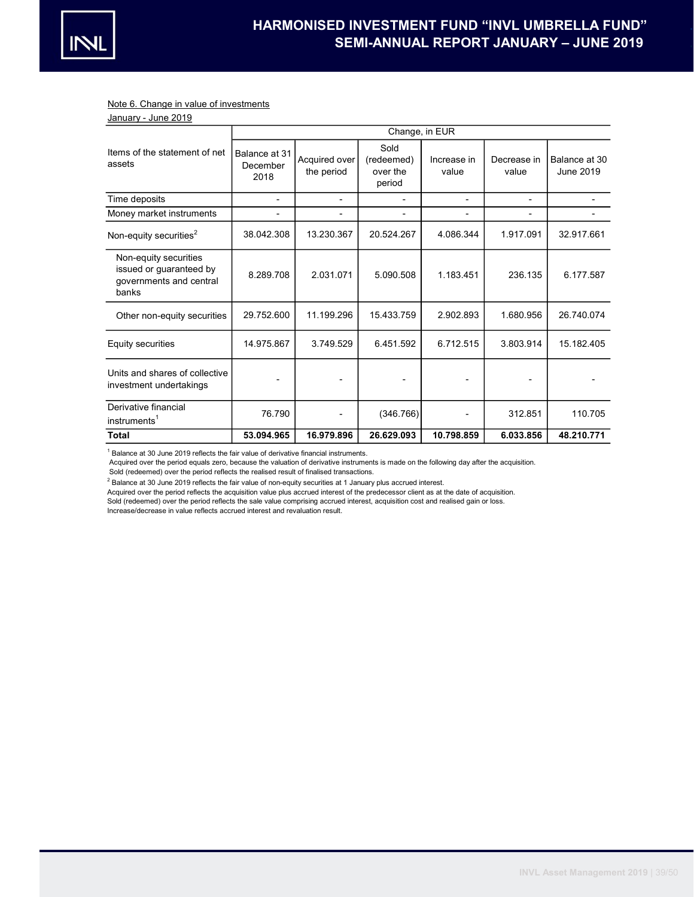

#### Note 6. Change in value of investments

| January - June 2019 |
|---------------------|
|---------------------|

|                                                                                      | Change, in EUR                    |                             |                                          |                      |                      |                            |  |  |
|--------------------------------------------------------------------------------------|-----------------------------------|-----------------------------|------------------------------------------|----------------------|----------------------|----------------------------|--|--|
| Items of the statement of net<br>assets                                              | Balance at 31<br>December<br>2018 | Acquired over<br>the period | Sold<br>(redeemed)<br>over the<br>period | Increase in<br>value | Decrease in<br>value | Balance at 30<br>June 2019 |  |  |
| Time deposits                                                                        | ä,                                | $\blacksquare$              | ۰                                        | ۰                    | $\blacksquare$       |                            |  |  |
| Money market instruments                                                             |                                   | $\blacksquare$              | -                                        |                      |                      |                            |  |  |
| Non-equity securities <sup>2</sup>                                                   | 38.042.308                        | 13.230.367                  | 20.524.267                               | 4.086.344            | 1.917.091            | 32.917.661                 |  |  |
| Non-equity securities<br>issued or guaranteed by<br>governments and central<br>banks | 8.289.708                         | 2.031.071                   | 5.090.508                                | 1.183.451            | 236.135              | 6.177.587                  |  |  |
| Other non-equity securities                                                          | 29.752.600                        | 11.199.296                  | 15.433.759                               | 2.902.893            | 1.680.956            | 26.740.074                 |  |  |
| Equity securities                                                                    | 14.975.867                        | 3.749.529                   | 6.451.592                                | 6.712.515            | 3.803.914            | 15.182.405                 |  |  |
| Units and shares of collective<br>investment undertakings                            |                                   |                             |                                          |                      |                      |                            |  |  |
| Derivative financial<br>instruments <sup>1</sup>                                     | 76.790                            |                             | (346.766)                                |                      | 312.851              | 110.705                    |  |  |
| Total                                                                                | 53.094.965                        | 16.979.896                  | 26.629.093                               | 10.798.859           | 6.033.856            | 48.210.771                 |  |  |

 $1$  Balance at 30 June 2019 reflects the fair value of derivative financial instruments.

Acquired over the period equals zero, because the valuation of derivative instruments is made on the following day after the acquisition.

Sold (redeemed) over the period reflects the realised result of finalised transactions.

 $^2$  Balance at 30 June 2019 reflects the fair value of non-equity securities at 1 January plus accrued interest.

Acquired over the period reflects the acquisition value plus accrued interest of the predecessor client as at the date of acquisition.

Sold (redeemed) over the period reflects the sale value comprising accrued interest, acquisition cost and realised gain or loss.

Increase/decrease in value reflects accrued interest and revaluation result.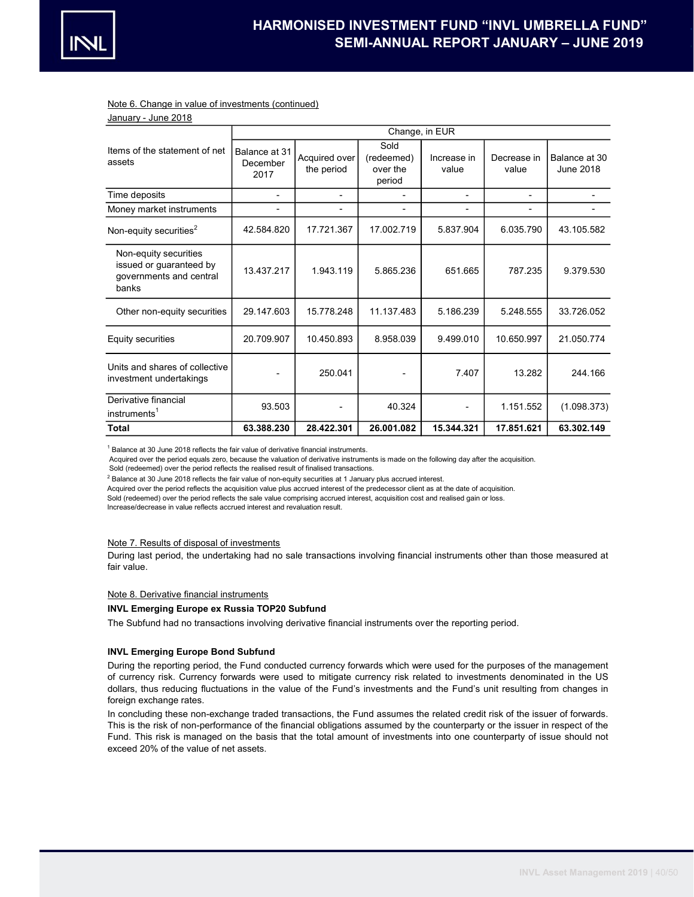#### Note 6. Change in value of investments (continued)

| January - June 2018                                                                  |                                   |                             |                                          |                      |                      |                            |  |  |
|--------------------------------------------------------------------------------------|-----------------------------------|-----------------------------|------------------------------------------|----------------------|----------------------|----------------------------|--|--|
|                                                                                      | Change, in EUR                    |                             |                                          |                      |                      |                            |  |  |
| Items of the statement of net<br>assets                                              | Balance at 31<br>December<br>2017 | Acquired over<br>the period | Sold<br>(redeemed)<br>over the<br>period | Increase in<br>value | Decrease in<br>value | Balance at 30<br>June 2018 |  |  |
| Time deposits                                                                        |                                   |                             |                                          |                      |                      |                            |  |  |
| Money market instruments                                                             |                                   |                             |                                          |                      |                      |                            |  |  |
| Non-equity securities <sup>2</sup>                                                   | 42.584.820                        | 17.721.367                  | 17.002.719                               | 5.837.904            | 6.035.790            | 43.105.582                 |  |  |
| Non-equity securities<br>issued or guaranteed by<br>governments and central<br>banks | 13.437.217                        | 1.943.119                   | 5.865.236                                | 651.665              | 787.235              | 9.379.530                  |  |  |
| Other non-equity securities                                                          | 29.147.603                        | 15.778.248                  | 11.137.483                               | 5.186.239            | 5.248.555            | 33.726.052                 |  |  |
| Equity securities                                                                    | 20.709.907                        | 10.450.893                  | 8.958.039                                | 9.499.010            | 10.650.997           | 21.050.774                 |  |  |
| Units and shares of collective<br>investment undertakings                            |                                   | 250.041                     |                                          | 7.407                | 13.282               | 244.166                    |  |  |
| Derivative financial<br>instruments <sup>1</sup>                                     | 93.503                            |                             | 40.324                                   |                      | 1.151.552            | (1.098.373)                |  |  |
| <b>Total</b>                                                                         | 63.388.230                        | 28.422.301                  | 26.001.082                               | 15.344.321           | 17.851.621           | 63.302.149                 |  |  |

 $1$  Balance at 30 June 2018 reflects the fair value of derivative financial instruments.

Acquired over the period equals zero, because the valuation of derivative instruments is made on the following day after the acquisition.

Sold (redeemed) over the period reflects the realised result of finalised transactions.

 $^2$  Balance at 30 June 2018 reflects the fair value of non-equity securities at 1 January plus accrued interest.

Acquired over the period reflects the acquisition value plus accrued interest of the predecessor client as at the date of acquisition.

Sold (redeemed) over the period reflects the sale value comprising accrued interest, acquisition cost and realised gain or loss.

Increase/decrease in value reflects accrued interest and revaluation result.

#### Note 7. Results of disposal of investments

During last period, the undertaking had no sale transactions involving financial instruments other than those measured at fair value.

#### Note 8. Derivative financial instruments

## INVL Emerging Europe ex Russia TOP20 Subfund

The Subfund had no transactions involving derivative financial instruments over the reporting period.

#### INVL Emerging Europe Bond Subfund

During the reporting period, the Fund conducted currency forwards which were used for the purposes of the management of currency risk. Currency forwards were used to mitigate currency risk related to investments denominated in the US dollars, thus reducing fluctuations in the value of the Fund's investments and the Fund's unit resulting from changes in foreign exchange rates.

In concluding these non-exchange traded transactions, the Fund assumes the related credit risk of the issuer of forwards. This is the risk of non-performance of the financial obligations assumed by the counterparty or the issuer in respect of the Fund. This risk is managed on the basis that the total amount of investments into one counterparty of issue should not exceed 20% of the value of net assets.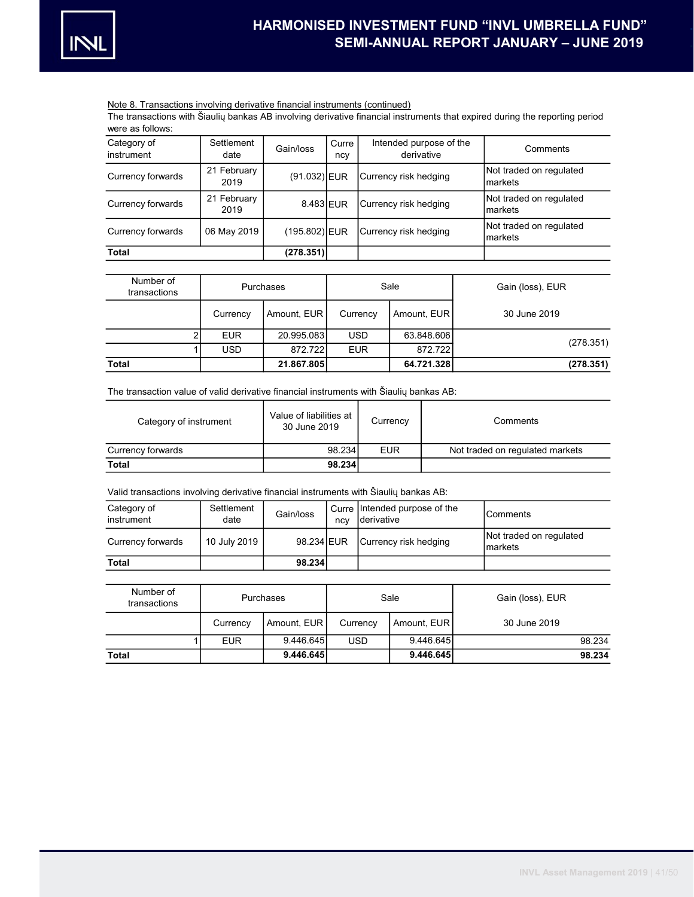

### Note 8. Transactions involving derivative financial instruments (continued)

The transactions with Šiaulių bankas AB involving derivative financial instruments that expired during the reporting period were as follows:

| Category of<br>instrument | Settlement<br>date  | Gain/loss     | Curre<br>ncy | Intended purpose of the<br>derivative | Comments                           |
|---------------------------|---------------------|---------------|--------------|---------------------------------------|------------------------------------|
| Currency forwards         | 21 February<br>2019 | (91.032) EUR  |              | Currency risk hedging                 | Not traded on regulated<br>markets |
| Currency forwards         | 21 February<br>2019 | 8.483 EUR     |              | Currency risk hedging                 | Not traded on regulated<br>markets |
| Currency forwards         | 06 May 2019         | (195.802) EUR |              | Currency risk hedging                 | Not traded on regulated<br>markets |
| <b>Total</b>              |                     | (278.351)     |              |                                       |                                    |

| Number of<br>transactions |            | Purchases   | Sale       |             | Gain (loss), EUR |  |
|---------------------------|------------|-------------|------------|-------------|------------------|--|
|                           | Currency   | Amount, EUR | Currency   | Amount, EUR | 30 June 2019     |  |
|                           | <b>EUR</b> | 20.995.083  | <b>USD</b> | 63.848.606  |                  |  |
|                           | <b>USD</b> | 872.7221    | <b>EUR</b> | 872.722     | (278.351)        |  |
| <b>Total</b>              |            | 21.867.805  |            | 64.721.328  | (278.351)        |  |

The transaction value of valid derivative financial instruments with Šiaulių bankas AB:

| Category of instrument | Value of liabilities at<br>30 June 2019 | Currency   | Comments                        |
|------------------------|-----------------------------------------|------------|---------------------------------|
| Currency forwards      | 98.234                                  | <b>EUR</b> | Not traded on regulated markets |
| Total                  | 98.234                                  |            |                                 |

Valid transactions involving derivative financial instruments with Šiaulių bankas AB:

| Category of<br>instrument | Settlement<br>date | Gain/loss  | ncy | Curre lintended purpose of the<br>Iderivative | lComments                           |
|---------------------------|--------------------|------------|-----|-----------------------------------------------|-------------------------------------|
| Currency forwards         | 10 July 2019       | 98.234 EUR |     | Currency risk hedging                         | Not traded on regulated<br>Imarkets |
| Total                     |                    | 98.234     |     |                                               |                                     |

| Number of<br>transactions | <b>Purchases</b> |             | Sale       |             | Gain (loss), EUR |
|---------------------------|------------------|-------------|------------|-------------|------------------|
|                           | Currency         | Amount, EUR | Currency   | Amount, EUR | 30 June 2019     |
|                           | <b>EUR</b>       | 9.446.645   | <b>USD</b> | 9.446.645   | 98.234           |
| Total                     |                  | 9.446.645   |            | 9.446.645   | 98.234           |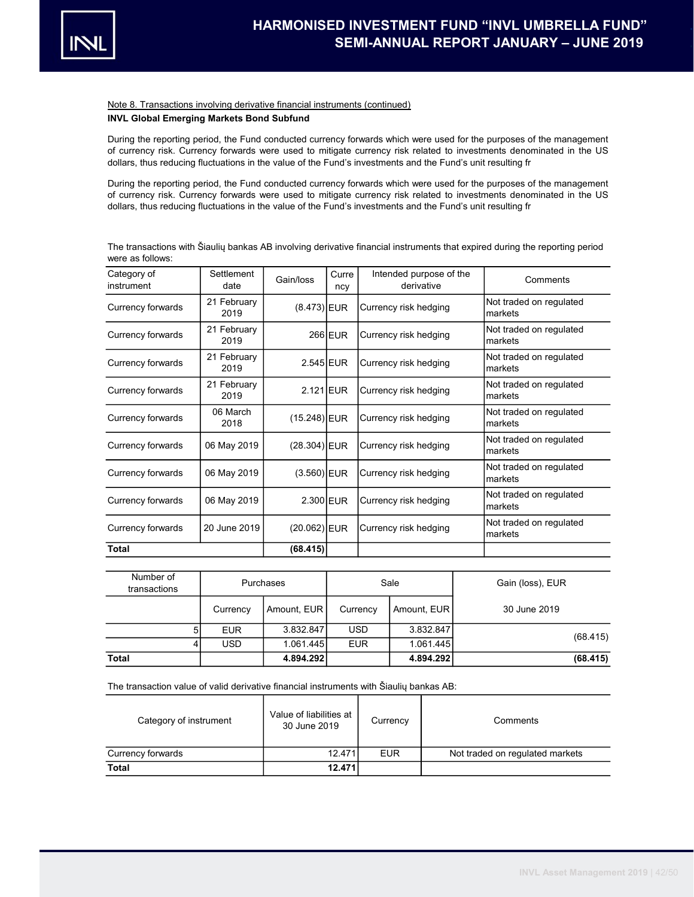

### Note 8. Transactions involving derivative financial instruments (continued)

# INVL Global Emerging Markets Bond Subfund

During the reporting period, the Fund conducted currency forwards which were used for the purposes of the management of currency risk. Currency forwards were used to mitigate currency risk related to investments denominated in the US dollars, thus reducing fluctuations in the value of the Fund's investments and the Fund's unit resulting fr

During the reporting period, the Fund conducted currency forwards which were used for the purposes of the management of currency risk. Currency forwards were used to mitigate currency risk related to investments denominated in the US dollars, thus reducing fluctuations in the value of the Fund's investments and the Fund's unit resulting fr

|                  | The transactions with Šiaulių bankas AB involving derivative financial instruments that expired during the reporting period |  |  |
|------------------|-----------------------------------------------------------------------------------------------------------------------------|--|--|
| were as follows: |                                                                                                                             |  |  |

| Category of<br>instrument | Settlement<br>date  | Gain/loss            | Curre<br>ncy | Intended purpose of the<br>derivative | Comments                           |
|---------------------------|---------------------|----------------------|--------------|---------------------------------------|------------------------------------|
| Currency forwards         | 21 February<br>2019 | $(8.473)$ <b>EUR</b> |              | Currency risk hedging                 | Not traded on regulated<br>markets |
| Currency forwards         | 21 February<br>2019 |                      | 266 EUR      | Currency risk hedging                 | Not traded on regulated<br>markets |
| Currency forwards         | 21 February<br>2019 | $2.545$ EUR          |              | Currency risk hedging                 | Not traded on regulated<br>markets |
| Currency forwards         | 21 February<br>2019 | $2.121$ EUR          |              | Currency risk hedging                 | Not traded on regulated<br>markets |
| Currency forwards         | 06 March<br>2018    | $(15.248)$ EUR       |              | Currency risk hedging                 | Not traded on regulated<br>markets |
| Currency forwards         | 06 May 2019         | $(28.304)$ EUR       |              | Currency risk hedging                 | Not traded on regulated<br>markets |
| Currency forwards         | 06 May 2019         | $(3.560)$ EUR        |              | Currency risk hedging                 | Not traded on regulated<br>markets |
| Currency forwards         | 06 May 2019         | 2.300 EUR            |              | Currency risk hedging                 | Not traded on regulated<br>markets |
| Currency forwards         | 20 June 2019        | (20.062) EUR         |              | Currency risk hedging                 | Not traded on regulated<br>markets |
| <b>Total</b>              |                     | (68.415)             |              |                                       |                                    |

| Number of<br>transactions |            | <b>Purchases</b> | Sale       |             | Gain (loss), EUR |
|---------------------------|------------|------------------|------------|-------------|------------------|
|                           | Currency   | Amount, EUR      | Currency   | Amount, EUR | 30 June 2019     |
|                           | <b>EUR</b> | 3.832.847        | <b>USD</b> | 3.832.847   |                  |
|                           | <b>USD</b> | 1.061.445        | <b>EUR</b> | 1.061.445   | (68.415)         |
| <b>Total</b>              |            | 4.894.292        |            | 4.894.292   | (68.415)         |

The transaction value of valid derivative financial instruments with Šiaulių bankas AB:

| Category of instrument | Value of liabilities at<br>30 June 2019 | Currency   | Comments                        |
|------------------------|-----------------------------------------|------------|---------------------------------|
| Currency forwards      | 12.471                                  | <b>EUR</b> | Not traded on regulated markets |
| <b>Total</b>           | 12.471                                  |            |                                 |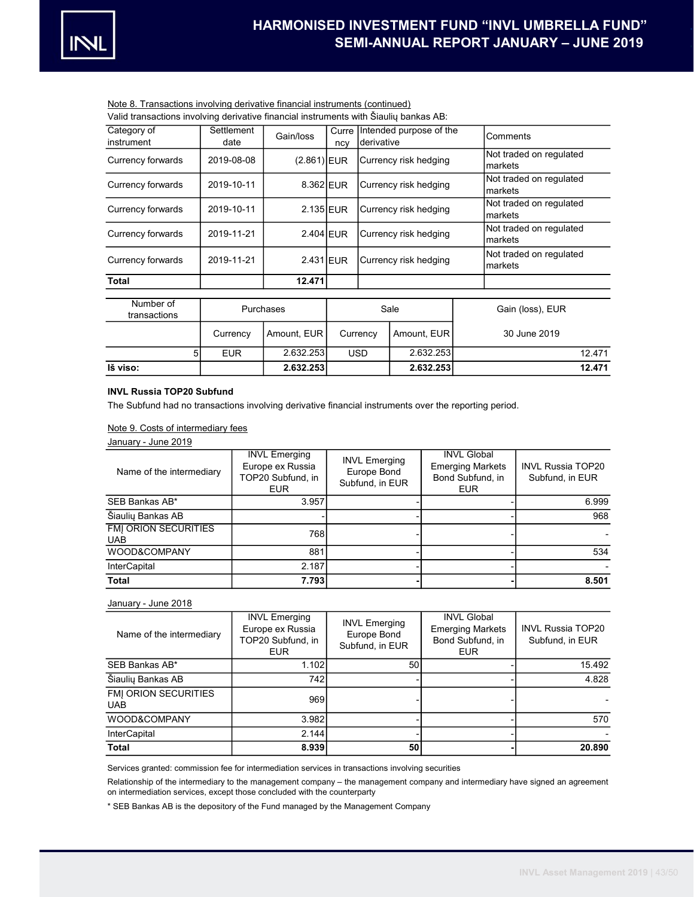## Note 8. Transactions involving derivative financial instruments (continued)

Valid transactions involving derivative financial instruments with Šiaulių bankas AB:

| Category of<br>instrument | Settlement<br>date | Gain/loss     | Curre Intended purpose of the<br>derivative<br>ncy |                         | Comments                           |                                    |
|---------------------------|--------------------|---------------|----------------------------------------------------|-------------------------|------------------------------------|------------------------------------|
| Currency forwards         | 2019-08-08         | $(2.861)$ EUR |                                                    | Currency risk hedging   |                                    | Not traded on regulated<br>markets |
| Currency forwards         | 2019-10-11         | 8.362 EUR     | Currency risk hedging                              |                         | Not traded on regulated<br>markets |                                    |
| Currency forwards         | 2019-10-11         | 2.135 EUR     |                                                    | Currency risk hedging   |                                    | Not traded on regulated<br>markets |
| Currency forwards         | 2019-11-21         | 2.404 EUR     |                                                    | Currency risk hedging   |                                    | Not traded on regulated<br>markets |
| Currency forwards         | 2019-11-21         | 2.431 EUR     |                                                    | Currency risk hedging   |                                    | Not traded on regulated<br>markets |
| <b>Total</b>              |                    | 12.471        |                                                    |                         |                                    |                                    |
| Number of<br>transactions |                    | Purchases     |                                                    | Sale                    |                                    | Gain (loss), EUR                   |
|                           | Currency           | Amount, EUR   |                                                    | Amount, EUR<br>Currency |                                    | 30 June 2019                       |
| 5                         | <b>EUR</b>         | 2.632.253     |                                                    | 2.632.253<br><b>USD</b> |                                    | 12.471                             |
| Iš viso:                  |                    | 2.632.253     |                                                    | 2.632.253               |                                    | 12.471                             |

## INVL Russia TOP20 Subfund

The Subfund had no transactions involving derivative financial instruments over the reporting period.

# Note 9. Costs of intermediary fees

January - June 2019

| Name of the intermediary                  | <b>INVL Emerging</b><br>Europe ex Russia<br>TOP20 Subfund, in<br><b>EUR</b> | <b>INVL Emerging</b><br>Europe Bond<br>Subfund, in EUR | <b>INVL Global</b><br><b>Emerging Markets</b><br>Bond Subfund, in<br><b>EUR</b> | <b>INVL Russia TOP20</b><br>Subfund, in EUR |
|-------------------------------------------|-----------------------------------------------------------------------------|--------------------------------------------------------|---------------------------------------------------------------------------------|---------------------------------------------|
| SEB Bankas AB*                            | 3.957                                                                       |                                                        |                                                                                 | 6.999                                       |
| Šiaulių Bankas AB                         |                                                                             |                                                        |                                                                                 | 968                                         |
| <b>FMI ORION SECURITIES</b><br><b>UAB</b> | 768                                                                         |                                                        |                                                                                 |                                             |
| WOOD&COMPANY                              | 881                                                                         |                                                        |                                                                                 | 534                                         |
| <b>InterCapital</b>                       | 2.187                                                                       |                                                        |                                                                                 |                                             |
| <b>Total</b>                              | 7.793                                                                       |                                                        |                                                                                 | 8.501                                       |

#### January - June 2018

| Name of the intermediary                  | <b>INVL Emerging</b><br>Europe ex Russia<br>TOP20 Subfund, in<br><b>EUR</b> | <b>INVL Emerging</b><br>Europe Bond<br>Subfund, in EUR | <b>INVL Global</b><br><b>Emerging Markets</b><br>Bond Subfund, in<br><b>EUR</b> | <b>INVL Russia TOP20</b><br>Subfund, in EUR |
|-------------------------------------------|-----------------------------------------------------------------------------|--------------------------------------------------------|---------------------------------------------------------------------------------|---------------------------------------------|
| SEB Bankas AB*                            | 1.102                                                                       | 50                                                     |                                                                                 | 15.492                                      |
| Šiaulių Bankas AB                         | 742                                                                         |                                                        |                                                                                 | 4.828                                       |
| <b>FMI ORION SECURITIES</b><br><b>UAB</b> | 969                                                                         |                                                        |                                                                                 |                                             |
| WOOD&COMPANY                              | 3.982                                                                       |                                                        |                                                                                 | 570                                         |
| <b>InterCapital</b>                       | 2.144                                                                       |                                                        |                                                                                 |                                             |
| <b>Total</b>                              | 8.939                                                                       | 50                                                     |                                                                                 | 20.890                                      |

Services granted: commission fee for intermediation services in transactions involving securities

Relationship of the intermediary to the management company – the management company and intermediary have signed an agreement on intermediation services, except those concluded with the counterparty

\* SEB Bankas AB is the depository of the Fund managed by the Management Company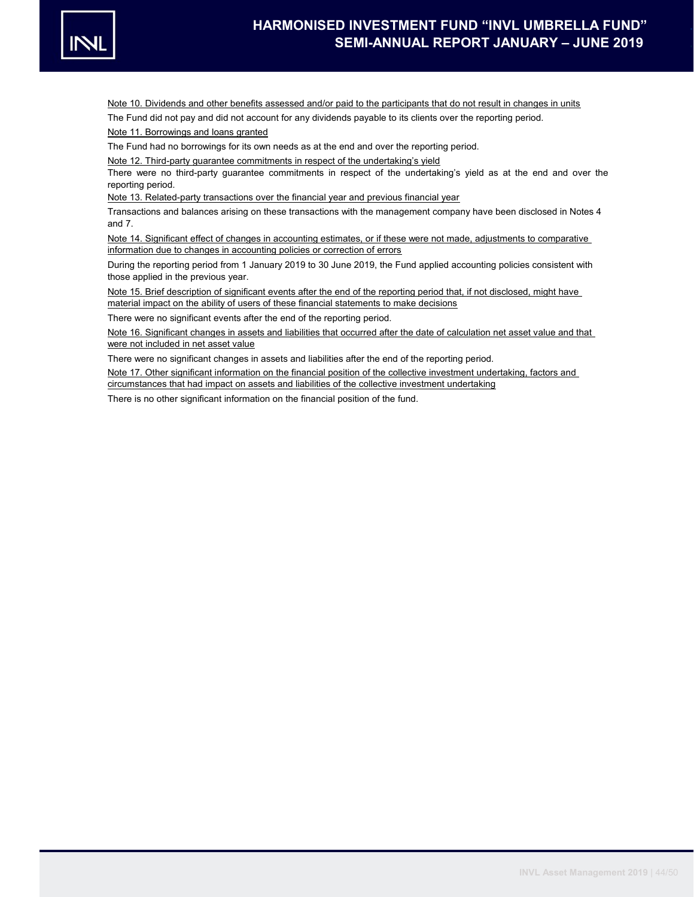

Note 10. Dividends and other benefits assessed and/or paid to the participants that do not result in changes in units

The Fund did not pay and did not account for any dividends payable to its clients over the reporting period.

Note 11. Borrowings and loans granted

The Fund had no borrowings for its own needs as at the end and over the reporting period.

Note 12. Third-party guarantee commitments in respect of the undertaking's yield

There were no third-party guarantee commitments in respect of the undertaking's yield as at the end and over the reporting period.

Note 13. Related-party transactions over the financial year and previous financial year

Transactions and balances arising on these transactions with the management company have been disclosed in Notes 4 and 7.

Note 14. Significant effect of changes in accounting estimates, or if these were not made, adjustments to comparative information due to changes in accounting policies or correction of errors

During the reporting period from 1 January 2019 to 30 June 2019, the Fund applied accounting policies consistent with those applied in the previous year.

Note 15. Brief description of significant events after the end of the reporting period that, if not disclosed, might have material impact on the ability of users of these financial statements to make decisions

There were no significant events after the end of the reporting period.

Note 16. Significant changes in assets and liabilities that occurred after the date of calculation net asset value and that were not included in net asset value

There were no significant changes in assets and liabilities after the end of the reporting period.

Note 17. Other significant information on the financial position of the collective investment undertaking, factors and circumstances that had impact on assets and liabilities of the collective investment undertaking

There is no other significant information on the financial position of the fund.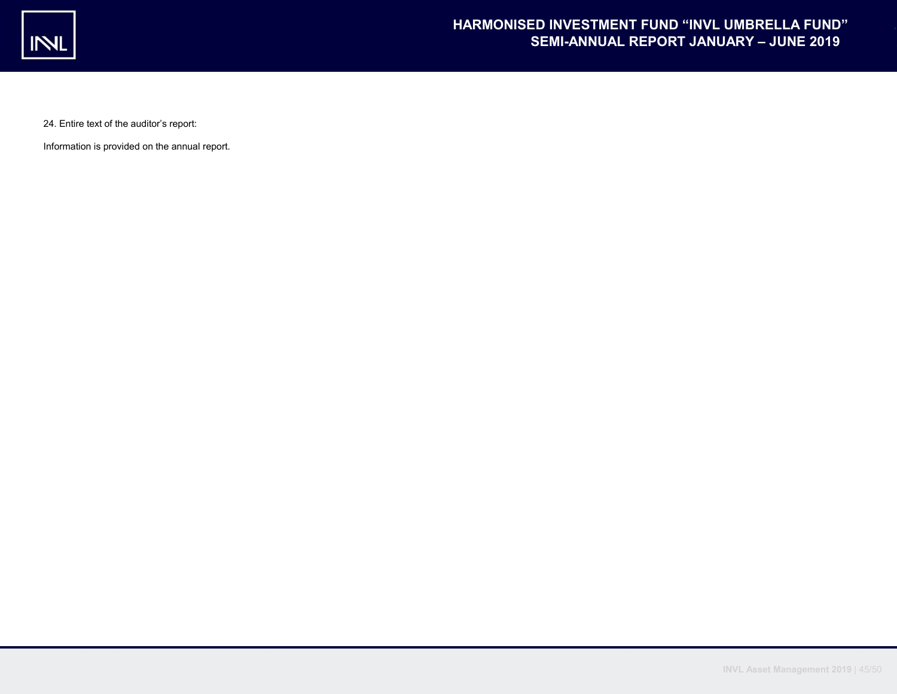

24. Entire text of the auditor's report:

Information is provided on the annual report.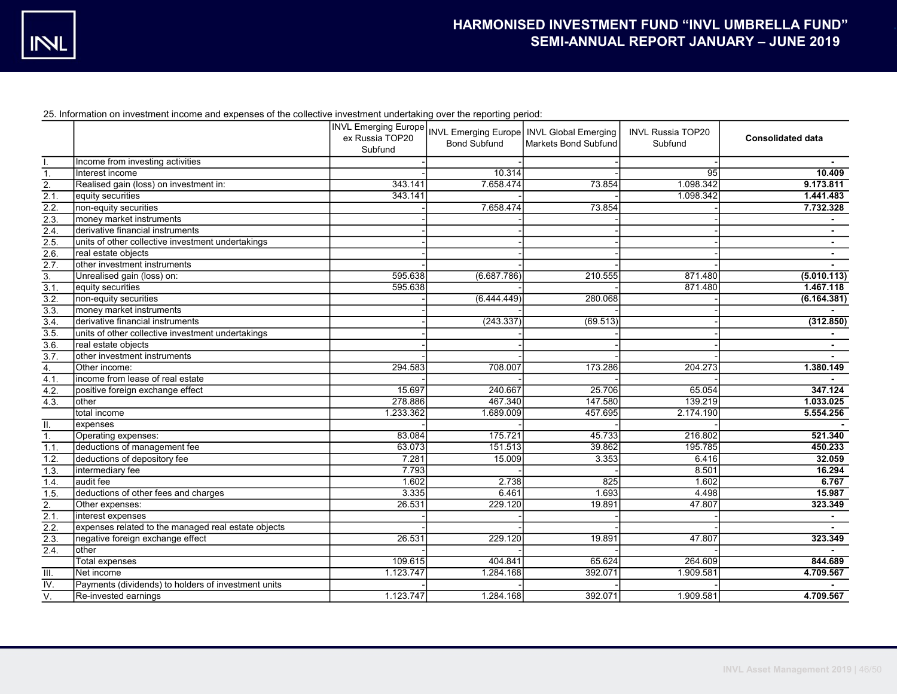25. Information on investment income and expenses of the collective investment undertaking over the reporting period:

|                  |                                                     |           | <b>Bond Subfund</b> | INVL Emerging Europe INVL Emerging Europe INVL Global Emerging<br><b>Markets Bond Subfund</b> | <b>INVL Russia TOP20</b><br>Subfund | <b>Consolidated data</b> |
|------------------|-----------------------------------------------------|-----------|---------------------|-----------------------------------------------------------------------------------------------|-------------------------------------|--------------------------|
|                  |                                                     | Subfund   |                     |                                                                                               |                                     |                          |
|                  | Income from investing activities                    |           |                     |                                                                                               |                                     |                          |
| $\overline{1}$ . | Interest income                                     |           | 10.314              |                                                                                               | 95                                  | 10.409                   |
| $\overline{2}$ . | Realised gain (loss) on investment in:              | 343.141   | 7.658.474           | 73.854                                                                                        | 1.098.342                           | 9.173.811                |
| 2.1              | equity securities                                   | 343.141   |                     |                                                                                               | 1.098.342                           | 1.441.483                |
| 2.2.             | non-equity securities                               |           | 7.658.474           | 73.854                                                                                        |                                     | 7.732.328                |
| 2.3.             | money market instruments                            |           |                     |                                                                                               |                                     |                          |
| 2.4.             | derivative financial instruments                    |           |                     |                                                                                               |                                     |                          |
| 2.5              | units of other collective investment undertakings   |           |                     |                                                                                               |                                     | $\sim$                   |
| $\overline{2.6}$ | real estate objects                                 |           |                     |                                                                                               |                                     |                          |
| 2.7.             | other investment instruments                        |           |                     |                                                                                               |                                     |                          |
| $\overline{3}$ . | Unrealised gain (loss) on:                          | 595.638   | (6.687.786)         | 210.555                                                                                       | 871.480                             | (5.010.113)              |
| 3.1.             | equity securities                                   | 595.638   |                     |                                                                                               | 871.480                             | 1.467.118                |
| 3.2.             | non-equity securities                               |           | (6.444.449)         | 280.068                                                                                       |                                     | (6.164.381)              |
| $\overline{3.3}$ | money market instruments                            |           |                     |                                                                                               |                                     |                          |
| $\overline{3.4}$ | derivative financial instruments                    |           | (243.337)           | (69.513)                                                                                      |                                     | (312.850)                |
| $\overline{3.5}$ | units of other collective investment undertakings   |           |                     |                                                                                               |                                     |                          |
| 3.6              | real estate objects                                 |           |                     |                                                                                               |                                     | $\sim$                   |
| $\overline{3.7}$ | other investment instruments                        |           |                     |                                                                                               |                                     |                          |
| $\overline{4}$ . | Other income:                                       | 294.583   | 708.007             | 173.286                                                                                       | 204.273                             | 1.380.149                |
| 4.1.             | income from lease of real estate                    |           |                     |                                                                                               |                                     |                          |
| 4.2.             | positive foreign exchange effect                    | 15.697    | 240.667             | 25.706                                                                                        | 65.054                              | 347.124                  |
| 4.3.             | other                                               | 278.886   | 467.340             | 147.580                                                                                       | 139.219                             | 1.033.025                |
|                  | total income                                        | 1.233.362 | 1.689.009           | 457.695                                                                                       | 2.174.190                           | 5.554.256                |
| Ш.               | expenses                                            |           |                     |                                                                                               |                                     |                          |
| $\overline{1}$ . | Operating expenses:                                 | 83.084    | 175.721             | 45.733                                                                                        | 216.802                             | 521.340                  |
| 1.1.             | deductions of management fee                        | 63.073    | 151.513             | 39.862                                                                                        | 195.785                             | 450.233                  |
| 1.2.             | deductions of depository fee                        | 7.281     | 15.009              | 3.353                                                                                         | 6.416                               | 32.059                   |
| 1.3.             | intermediary fee                                    | 7.793     |                     |                                                                                               | 8.501                               | 16.294                   |
| 1.4.             | audit fee                                           | 1.602     | 2.738               | 825                                                                                           | 1.602                               | 6.767                    |
| 1.5.             | deductions of other fees and charges                | 3.335     | 6.461               | 1.693                                                                                         | 4.498                               | 15,987                   |
| $\overline{2}$ . | Other expenses:                                     | 26.531    | 229.120             | 19.891                                                                                        | 47.807                              | 323.349                  |
| 2.1.             | interest expenses                                   |           |                     |                                                                                               |                                     |                          |
| 2.2.             | expenses related to the managed real estate objects |           |                     |                                                                                               |                                     |                          |
| $\overline{2.3}$ | negative foreign exchange effect                    | 26.531    | 229.120             | 19.891                                                                                        | 47.807                              | 323.349                  |
| 2.4.             | other                                               |           |                     |                                                                                               |                                     |                          |
|                  | Total expenses                                      | 109.615   | 404.841             | 65.624                                                                                        | 264.609                             | 844.689                  |
| III.             | Net income                                          | 1.123.747 | 1.284.168           | 392.071                                                                                       | 1.909.581                           | 4.709.567                |
| $\overline{W}$ . | Payments (dividends) to holders of investment units |           |                     |                                                                                               |                                     |                          |
| $\overline{V}$ . | Re-invested earnings                                | 1.123.747 | 1.284.168           | 392.071                                                                                       | 1.909.581                           | 4.709.567                |
|                  |                                                     |           |                     |                                                                                               |                                     |                          |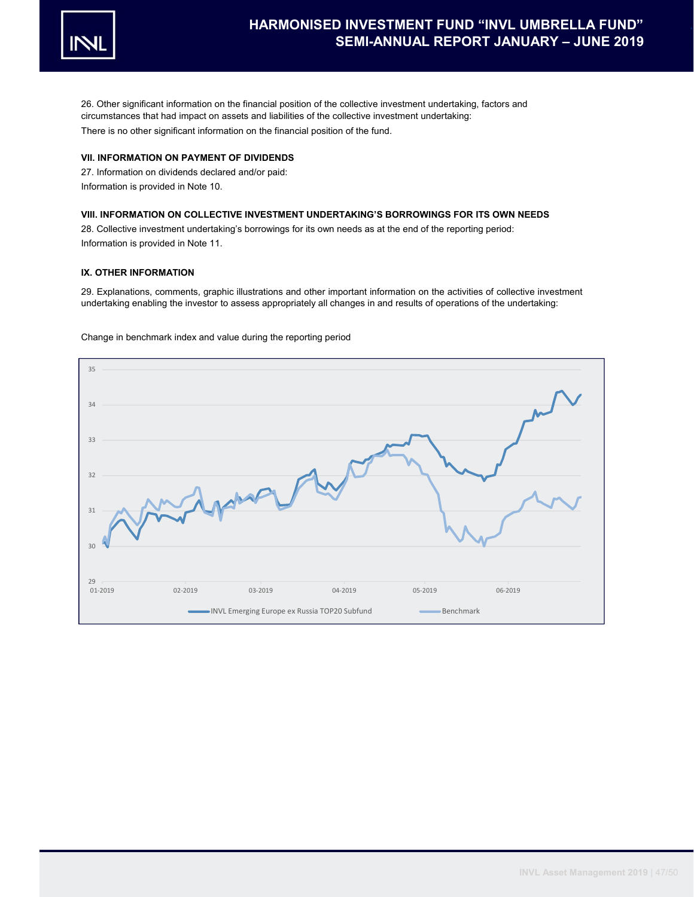

26. Other significant information on the financial position of the collective investment undertaking, factors and circumstances that had impact on assets and liabilities of the collective investment undertaking: There is no other significant information on the financial position of the fund.

## VII. INFORMATION ON PAYMENT OF DIVIDENDS

27. Information on dividends declared and/or paid: Information is provided in Note 10.

### VIII. INFORMATION ON COLLECTIVE INVESTMENT UNDERTAKING'S BORROWINGS FOR ITS OWN NEEDS

28. Collective investment undertaking's borrowings for its own needs as at the end of the reporting period: Information is provided in Note 11.

## IX. OTHER INFORMATION

29. Explanations, comments, graphic illustrations and other important information on the activities of collective investment undertaking enabling the investor to assess appropriately all changes in and results of operations of the undertaking:

Change in benchmark index and value during the reporting period

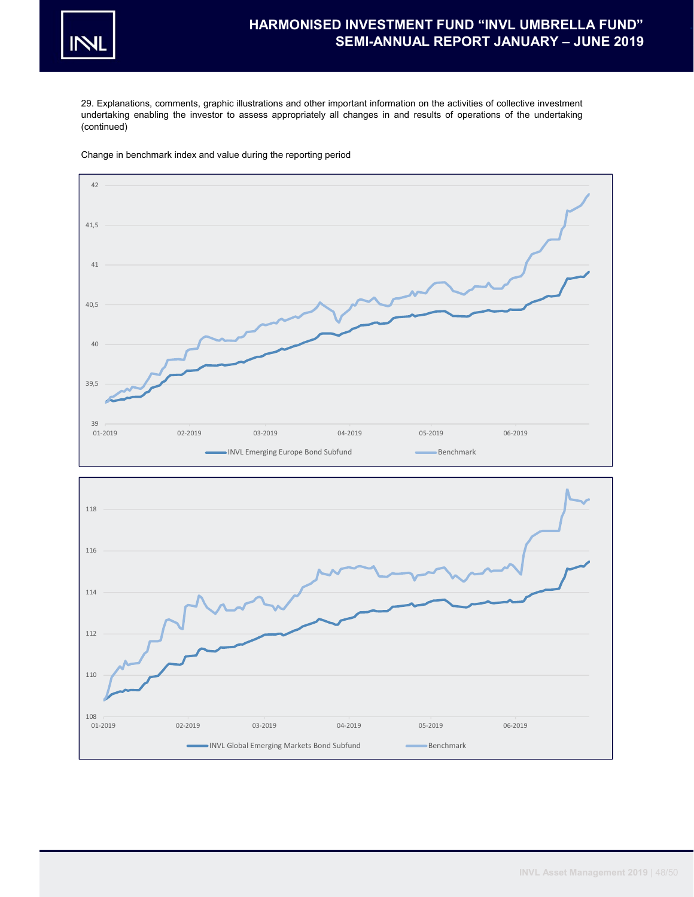

29. Explanations, comments, graphic illustrations and other important information on the activities of collective investment undertaking enabling the investor to assess appropriately all changes in and results of operations of the undertaking (continued)





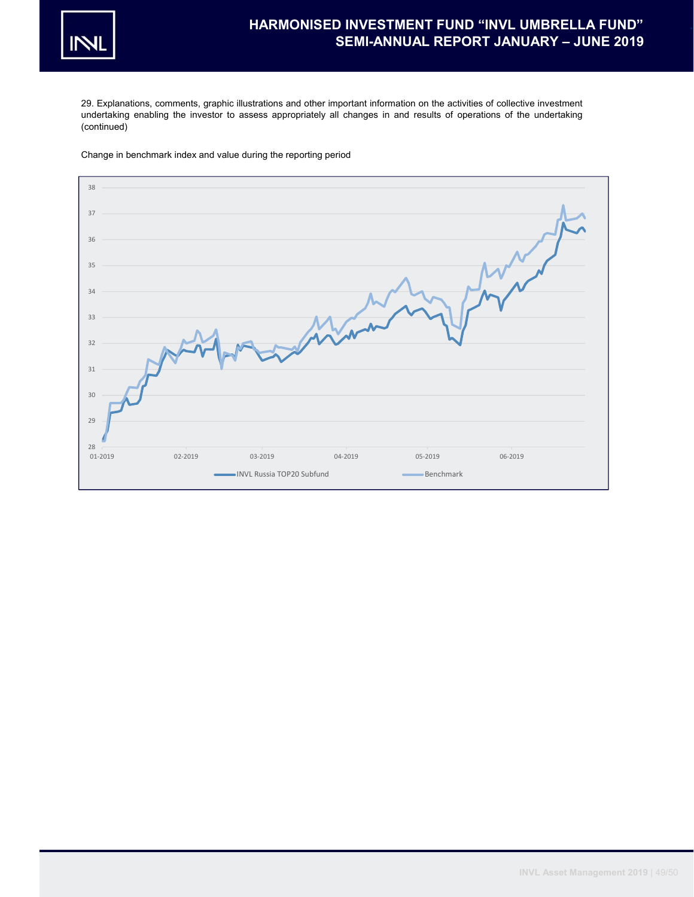

29. Explanations, comments, graphic illustrations and other important information on the activities of collective investment undertaking enabling the investor to assess appropriately all changes in and results of operations of the undertaking (continued)